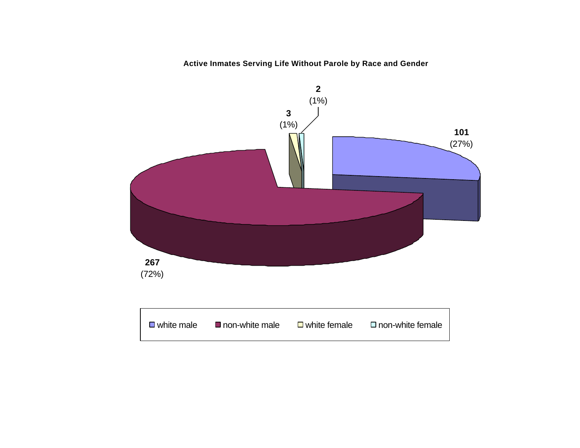## **Active Inmates Serving Life Without Parole by Race and Gender**

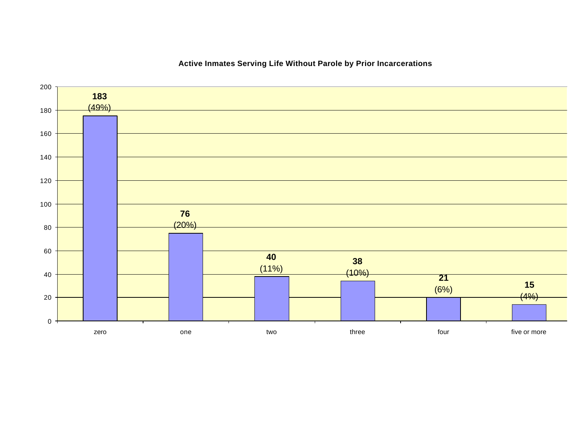

## **Active Inmates Serving Life Without Parole by Prior Incarcerations**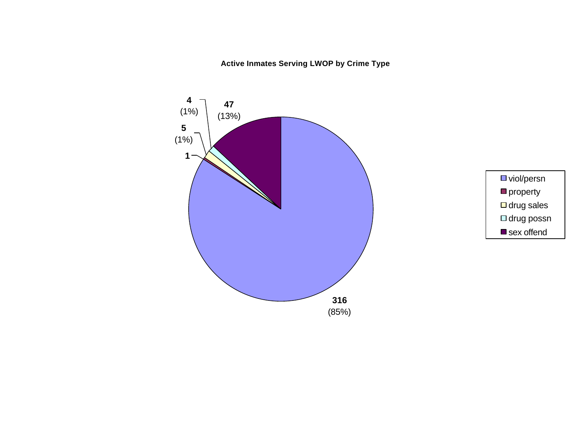**Active Inmates Serving LWOP by Crime Type**



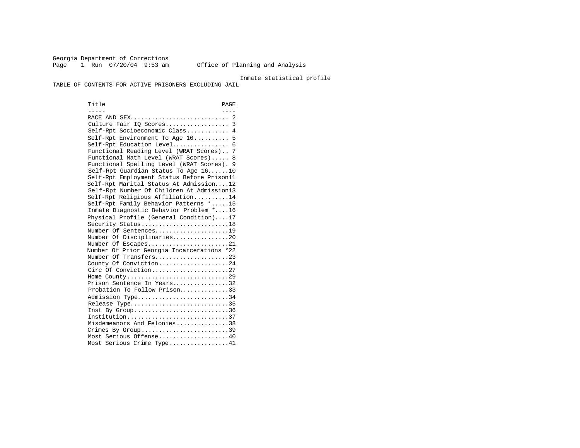Georgia Department of Corrections Page 1 Run 07/20/04 9:53 am Office of Planning and Analysis

Inmate statistical profile

TABLE OF CONTENTS FOR ACTIVE PRISONERS EXCLUDING JAIL

Title PAGE ----- ---- RACE AND SEX............................ 2 Culture Fair IQ Scores.................. 3 Self-Rpt Socioeconomic Class............ 4 Self-Rpt Environment To Age 16.......... 5 Self-Rpt Education Level................ 6 Functional Reading Level (WRAT Scores).. 7 Functional Math Level (WRAT Scores)..... 8 Functional Spelling Level (WRAT Scores). 9 Self-Rpt Guardian Status To Age 16......10 Self-Rpt Employment Status Before Prison11 Self-Rpt Marital Status At Admission....12 Self-Rpt Number Of Children At Admission13 Self-Rpt Religious Affiliation..........14 Self-Rpt Family Behavior Patterns \*.....15 Inmate Diagnostic Behavior Problem \*....16 Physical Profile (General Condition)....17 Security Status...........................18 Number Of Sentences.....................19 Number Of Disciplinaries................20 Number Of Escapes.........................21 Number Of Prior Georgia Incarcerations \*22 Number Of Transfers.....................23 County Of Conviction....................24 Circ Of Conviction........................27 Home County.............................29 Prison Sentence In Years................32 Probation To Follow Prison..............33 Admission Type.............................34 Release Type................................35 Inst By Group..................................36 Institution.............................37 Misdemeanors And Felonies...............38 Crimes By Group..............................39 Most Serious Offense....................40 Most Serious Crime Type.................41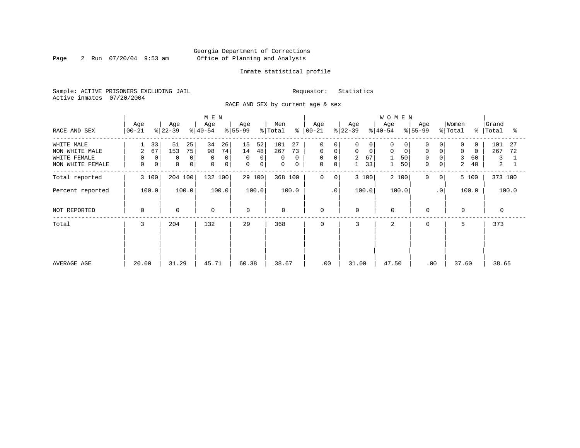Page 2 Run  $07/20/04$  9:53 am

## Inmate statistical profile

Sample: ACTIVE PRISONERS EXCLUDING JAIL Requestor: Statistics Active inmates 07/20/2004

RACE AND SEX by current age & sex

| RACE AND SEX                                                     | Age<br>$ 00-21 $                                         | Age<br>$ 22-39 $                                    | M E N<br>Age<br>$ 40-54 $                                 | Age<br>$ 55-99 $                                         | Men<br>% Total                                    | Age<br>$8   00 - 21$                                                                                  | Age<br>$ 22-39 $                                                        | <b>WOMEN</b><br>Age<br>$ 40-54 $  | Age<br>$8 55-99$                                       | Women<br>% Total<br>∻                                                 | Grand<br>Total<br>°≈                          |
|------------------------------------------------------------------|----------------------------------------------------------|-----------------------------------------------------|-----------------------------------------------------------|----------------------------------------------------------|---------------------------------------------------|-------------------------------------------------------------------------------------------------------|-------------------------------------------------------------------------|-----------------------------------|--------------------------------------------------------|-----------------------------------------------------------------------|-----------------------------------------------|
| WHITE MALE<br>NON WHITE MALE<br>WHITE FEMALE<br>NON WHITE FEMALE | 33<br>67<br>$\overline{a}$<br>$\mathbf 0$<br>0<br>0<br>0 | 51<br>25<br>75<br>153<br>$\mathbf 0$<br>0<br>0<br>0 | 34<br>26<br>74<br>98<br>0<br>$\Omega$<br>$\mathbf 0$<br>0 | 15<br>52<br>14<br>48<br>$\mathbf 0$<br>0<br>$\circ$<br>0 | 101<br>27<br>267<br>73<br>0<br>$\Omega$<br>0<br>0 | $\mathbf 0$<br>0<br>$\mathbf 0$<br>$\circ$<br>$\mathsf{O}\xspace$<br>$\mathbf 0$<br>$\mathsf{O}$<br>0 | 0<br>0<br>$\mathbf 0$<br>$\mathbf 0$<br>67<br>$\overline{2}$<br>33<br>1 | 0<br>0<br>$\mathbf 0$<br>50<br>50 | 0<br>0<br>$\mathbf 0$<br>$\overline{0}$<br>0<br>0<br>0 | $\Omega$<br>$\Omega$<br>$\mathbf 0$<br>$\Omega$<br>3<br>60<br>2<br>40 | 101<br>27<br>267<br>72<br>3<br>$\overline{a}$ |
| Total reported                                                   | 3 100                                                    | 204 100                                             | 132 100                                                   | 29 100                                                   | 368 100                                           | 0<br>0                                                                                                | 3 100                                                                   | 2 100                             | 0<br>$\mathbf{0}$                                      | 5 100                                                                 | 373 100                                       |
| Percent reported                                                 | 100.0                                                    | 100.0                                               | 100.0                                                     | 100.0                                                    | 100.0                                             | .0'                                                                                                   | 100.0                                                                   | 100.0                             | $\cdot$ 0                                              | 100.0                                                                 | 100.0                                         |
| NOT REPORTED                                                     | 0                                                        | $\mathbf 0$                                         | 0                                                         | $\mathbf 0$                                              | $\mathbf 0$                                       | 0                                                                                                     | 0                                                                       | $\mathbf 0$                       | $\mathbf 0$                                            | $\mathbf 0$                                                           | $\Omega$                                      |
| Total                                                            | 3                                                        | 204                                                 | 132                                                       | 29                                                       | 368                                               | 0                                                                                                     | 3                                                                       | $\overline{2}$                    | $\mathbf 0$                                            | 5                                                                     | 373                                           |
| AVERAGE AGE                                                      | 20.00                                                    | 31.29                                               | 45.71                                                     | 60.38                                                    | 38.67                                             | .00                                                                                                   | 31.00                                                                   | 47.50                             | .00                                                    | 37.60                                                                 | 38.65                                         |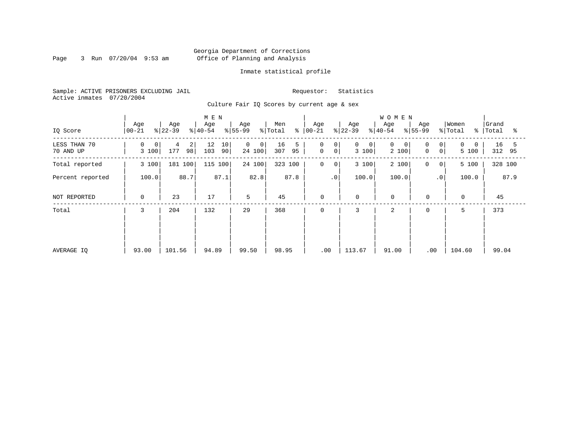Page 3 Run  $07/20/04$  9:53 am

## Inmate statistical profile

Sample: ACTIVE PRISONERS EXCLUDING JAIL Requestor: Statistics Active inmates 07/20/2004

Culture Fair IQ Scores by current age & sex

| IQ Score                  | Age<br>$00 - 21$ | Age<br>$ 22-39 $                   | M E N<br>Age<br>$ 40-54 $ | Age<br>$ 55-99$                          | Men<br>$\frac{1}{2}$ Total | Age<br>$8   00 - 21$                                                   | Age<br>$ 22-39 $                | <b>WOMEN</b><br>Age<br>$8 40-54$ | Age<br>$8 55-99$    | Women<br>% Total       | Grand<br>%   Total<br>ႜ |
|---------------------------|------------------|------------------------------------|---------------------------|------------------------------------------|----------------------------|------------------------------------------------------------------------|---------------------------------|----------------------------------|---------------------|------------------------|-------------------------|
| LESS THAN 70<br>70 AND UP | 0<br>0<br>3 100  | 2 <br>$\overline{4}$<br>98 <br>177 | 10<br>12<br>103<br>90     | $\mathbf{0}$<br>$\overline{0}$<br>24 100 | 16<br>5<br>307<br>95       | $\mathbf 0$<br>0 <sup>1</sup><br>$\mathsf{O}\xspace$<br>0 <sup>1</sup> | $\mathbf 0$<br>$\circ$<br>3 100 | 0<br>0<br>2 100                  | 0<br>0<br>0<br>0    | $\Omega$<br>0<br>5 100 | 16<br>5<br>312 95       |
| Total reported            | 3 100            | 181 100                            | 115 100                   | 24 100                                   | 323<br>100                 | $\mathsf{O}$<br>0                                                      | 3 100                           | 2 100                            | 0<br>0 <sup>1</sup> | 5 100                  | 328 100                 |
| Percent reported          | 100.0            | 88.7                               | 87.1                      | 82.8                                     | 87.8                       | .0 <sup>1</sup>                                                        | 100.0                           | 100.0                            | $\cdot$ 0           | 100.0                  | 87.9                    |
| NOT REPORTED              | 0                | 23                                 | 17                        | 5                                        | 45                         | 0                                                                      | $\mathbf 0$                     | $\mathbf 0$                      | $\mathbf 0$         | $\mathbf 0$            | 45                      |
| Total                     | 3                | 204                                | 132                       | 29                                       | 368                        | 0                                                                      | 3                               | 2                                | $\mathbf 0$         | 5                      | 373                     |
| AVERAGE IQ                | 93.00            | 101.56                             | 94.89                     | 99.50                                    | 98.95                      | .00                                                                    | 113.67                          | 91.00                            | .00                 | 104.60                 | 99.04                   |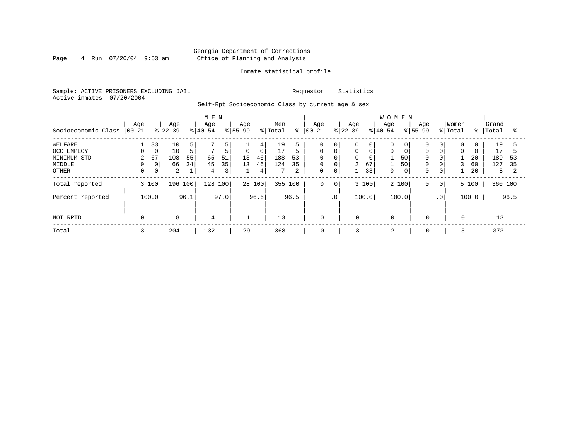Page  $4$  Run  $07/20/04$  9:53 am

## Inmate statistical profile

Sample: ACTIVE PRISONERS EXCLUDING JAIL Requestor: Statistics Active inmates 07/20/2004

Self-Rpt Socioeconomic Class by current age & sex

|                     |                  |                |                  |      | M E N            |                         |                  |             |                |      |                   |                 |                 |       | <b>WOMEN</b>     |       |                    |                 |                  |          |                |      |
|---------------------|------------------|----------------|------------------|------|------------------|-------------------------|------------------|-------------|----------------|------|-------------------|-----------------|-----------------|-------|------------------|-------|--------------------|-----------------|------------------|----------|----------------|------|
| Socioeconomic Class | Age<br>$00 - 21$ |                | Age<br>$ 22-39 $ |      | Age<br>$ 40-54 $ |                         | Age<br>$8 55-99$ |             | Men<br>% Total | ి    | Age<br>$ 00 - 21$ |                 | Age<br>$ 22-39$ |       | Age<br>$8 40-54$ |       | Age<br>$8155 - 99$ |                 | Women<br>% Total | %        | Grand<br>Total | °    |
| WELFARE             |                  | 33             | 10               | 5    |                  | 5.                      |                  | 4           | 19             |      | 0                 | 0               | 0               | 0     |                  | 0     | 0                  | $\overline{0}$  | 0                |          | 19             |      |
| OCC EMPLOY          | 0                | $\mathbf 0$    | 10               | 5    | 7                | 5                       | $\mathbf 0$      | $\mathbf 0$ | 17             |      | $\Omega$          | $\mathbf 0$     | 0               |       | $\Omega$         |       | $\mathbf 0$        | 0               | $\Omega$         | $\Omega$ | 17             |      |
| MINIMUM STD         | $\overline{2}$   | 67             | 108              | 55   | 65               | 51                      | 13               | 46          | 188            | 53   | $\Omega$          | $\Omega$        | 0               |       |                  | 50    | $\mathbf 0$        | 0               |                  | 20       | 189            | 53   |
| MIDDLE              | 0                | $\mathbf{0}$   | 66               | 34   | 45               | 35                      | 13               | 46          | 124            | 35   | 0                 | 0               | $\overline{2}$  | 67    |                  | 50    | 0                  | 0 <sup>1</sup>  | 3                | 60       | 127            | 35   |
| OTHER               | 0                | 0 <sup>1</sup> | 2                | 1    | 4                | $\overline{\mathbf{3}}$ |                  | 4           |                | 2    | 0                 | $\mathbf 0$     |                 | 33    | $\Omega$         | 0     | 0                  | $\overline{0}$  |                  | 20       | 8              |      |
| Total reported      |                  | 3 100          | 196 100          |      | 128 100          |                         |                  | 28 100      | 355 100        |      | 0                 | 0 <sup>1</sup>  |                 | 3 100 |                  | 2 100 | $\mathbf 0$        | 0 <sup>1</sup>  |                  | 5 100    | 360 100        |      |
| Percent reported    |                  | 100.0          |                  | 96.1 |                  | 97.0                    |                  | 96.6        |                | 96.5 |                   | .0 <sup>′</sup> |                 | 100.0 |                  | 100.0 |                    | .0 <sup>1</sup> |                  | 100.0    |                | 96.5 |
| NOT RPTD            | 0                |                | 8                |      | 4                |                         |                  |             | 13             |      | $\mathbf 0$       |                 | $\mathbf 0$     |       | $\mathbf 0$      |       | $\mathbf 0$        |                 | 0                |          | 13             |      |
| Total               | 3                |                | 204              |      | 132              |                         | 29               |             | 368            |      | 0                 |                 | 3               |       | 2                |       | 0                  |                 | 5                |          | 373            |      |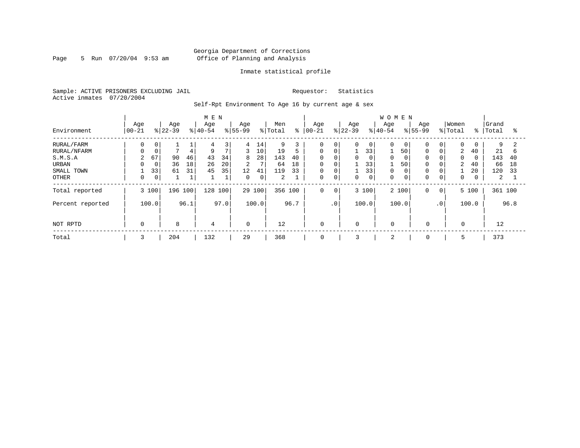Page 5 Run 07/20/04 9:53 am

## Inmate statistical profile

Sample: ACTIVE PRISONERS EXCLUDING JAIL Requestor: Statistics Active inmates 07/20/2004

Self-Rpt Environment To Age 16 by current age & sex

|                  |                  |             |                 |      | M E N            |                |                    |       |                |      |                   |             |                  |              | WOMEN            |       |                    |                 |                  |               |                |      |
|------------------|------------------|-------------|-----------------|------|------------------|----------------|--------------------|-------|----------------|------|-------------------|-------------|------------------|--------------|------------------|-------|--------------------|-----------------|------------------|---------------|----------------|------|
| Environment      | Age<br>$ 00-21 $ |             | Age<br>$ 22-39$ |      | Age<br>$8 40-54$ |                | Age<br>$8155 - 99$ |       | Men<br>% Total | ి    | Age<br>$ 00 - 21$ |             | Age<br>$8 22-39$ |              | Age<br>$8 40-54$ |       | Age<br>$8155 - 99$ |                 | Women<br>% Total | $\frac{8}{6}$ | Grand<br>Total | ႜ    |
| RURAL/FARM       | 0                | 0           |                 |      | 4                | 3              | 4                  | 14    | 9              | 3    | $\Omega$          | 0           | 0                | $\mathbf{0}$ | $\Omega$         | 0     | $\mathbf 0$        | 0               | 0                | 0             | 9              |      |
| RURAL/NFARM      |                  | $\mathbf 0$ |                 | 4    | 9                | $\overline{7}$ | 3                  | 10    | 19             | 5    | $\mathbf 0$       | $\mathbf 0$ |                  | 33           |                  | 50    | 0                  | $\Omega$        | 2                | 40            | 21             | 6    |
| S.M.S.A          | 2                | 67          | 90              | 46   | 43               | 34             | 8                  | 28    | 143            | 40   | $\mathbf 0$       | $\mathbf 0$ | 0                | 0            | $\Omega$         |       | $\mathbf 0$        | 0               | 0                | $\mathbf 0$   | 143            | 40   |
| URBAN            |                  | $\mathbf 0$ | 36              | 18   | 26               | 20             | $\overline{a}$     | 7     | 64             | 18   | $\mathbf 0$       | $\mathbf 0$ |                  | 33           |                  | 50    | 0                  | 0               | 2                | 40            | 66             | 18   |
| SMALL TOWN       |                  | 33          | 61              | 31   | 45               | 35             | 12                 | 41    | 119            | 33   | $\mathbf 0$       | $\mathbf 0$ |                  | 33           | $\Omega$         |       | 0                  | 0               |                  | 20            | 120            | 33   |
| <b>OTHER</b>     | 0                | 0           |                 |      |                  |                | $\Omega$           | 0     | 2              |      | $\Omega$          | $\mathbf 0$ | 0                | 0            | $\Omega$         | 0     | $\mathbf 0$        | 0               | 0                | 0             | 2              |      |
| Total reported   |                  | 3 100       | 196 100         |      | 128              | 100            | 29                 | 100   | 356 100        |      | 0                 | 0           |                  | 3 100        |                  | 2 100 | $\mathbf 0$        | $\circ$         |                  | 5 100         | 361 100        |      |
| Percent reported |                  | 100.0       |                 | 96.1 |                  | 97.0           |                    | 100.0 |                | 96.7 |                   | $\cdot$ 0   |                  | 100.0        |                  | 100.0 |                    | .0 <sup>1</sup> |                  | 100.0         |                | 96.8 |
| NOT RPTD         | $\Omega$         |             | 8               |      | 4                |                | $\Omega$           |       | 12             |      | $\mathbf 0$       |             | $\Omega$         |              | $\Omega$         |       | $\Omega$           |                 | $\Omega$         |               | 12             |      |
| Total            | 3                |             | 204             |      | 132              |                | 29                 |       | 368            |      | $\mathbf 0$       |             | 3                |              | 2                |       | $\mathbf 0$        |                 |                  |               | 373            |      |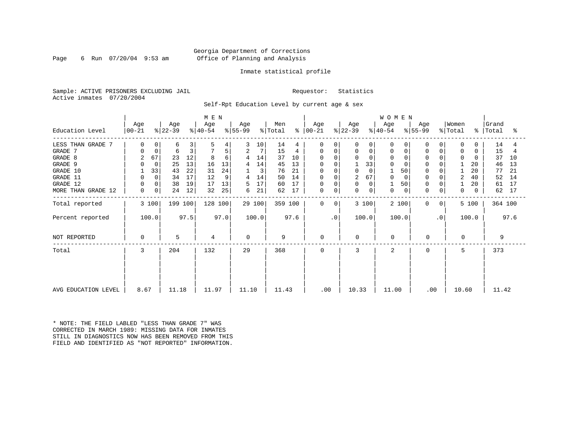Page 6 Run  $07/20/04$  9:53 am

## Inmate statistical profile

Sample: ACTIVE PRISONERS EXCLUDING JAIL Requestor: Statistics Active inmates 07/20/2004

Self-Rpt Education Level by current age & sex

|                     |                  |             | M E N            |      |                  |      |                  |        |                |         | <b>WOMEN</b>         |           |                  |              |                  |                |                  |             |                  |               |                |         |
|---------------------|------------------|-------------|------------------|------|------------------|------|------------------|--------|----------------|---------|----------------------|-----------|------------------|--------------|------------------|----------------|------------------|-------------|------------------|---------------|----------------|---------|
| Education Level     | Age<br>$ 00-21 $ |             | Age<br>$ 22-39 $ |      | Age<br>$ 40-54 $ |      | Age<br>$ 55-99 $ |        | Men<br>% Total |         | Age<br>$8   00 - 21$ |           | Age<br>$ 22-39 $ |              | Age<br>$ 40-54 $ |                | Age<br>$ 55-99 $ |             | Women<br>% Total | $\frac{8}{6}$ | Grand<br>Total | °       |
| LESS THAN GRADE 7   | 0                |             | 6                | 3    | 5                | 4    |                  | 10     | 14             | 4       | $\Omega$             | $\Omega$  | 0                | $\Omega$     | $\Omega$         |                | O                |             | $\Omega$         | 0             | 14             |         |
| GRADE 7             | $\Omega$         | 0           | 6                | 3    |                  | 5    | 2                | 7      | 15             | 4       | 0                    | 0         | 0                | 0            | 0                | 0              | <sup>0</sup>     | 0           | 0                | $\Omega$      | 15             |         |
| GRADE 8             | $\overline{a}$   | 67          | 23               | 12   | 8                | 6    | 4                | 14     | 37             | 10      | $\Omega$             | $\Omega$  | 0                | $\Omega$     | $\Omega$         |                |                  |             | $\Omega$         |               | 37             | 10      |
| GRADE 9             |                  | $\Omega$    | 25               | 13   | 16               | 13   | 4                | 14     | 45             | 13      | 0                    | $\Omega$  |                  | 33           | $\Omega$         |                |                  |             |                  | 20            | 46             | 13      |
| GRADE 10            |                  | 33          | 43               | 22   | 31               | 24   |                  | 3      | 76             | 21      | $\mathbf 0$          | $\Omega$  | 0                | $\Omega$     |                  | 50             |                  |             |                  | 20            | 77             | 21      |
| GRADE 11            |                  | $\mathbf 0$ | 34               | 17   | 12               | 9    | 4                | 14     | 50             | 14      | $\mathbf 0$          |           | $\overline{2}$   | 67           |                  |                |                  |             | $\overline{2}$   | 40            | 52             | 14      |
| GRADE 12            |                  | 0           | 38               | 19   | 17               | 13   | 5                | 17     | 60             | 17      | 0                    | $\Omega$  | 0                | $\Omega$     |                  | 50             | <sup>0</sup>     |             |                  | 20            | 61             | 17      |
| MORE THAN GRADE 12  | 0                | 0           | 24               | 12   | 32               | 25   | 6                | 21     | 62             | 17      | $\mathbf 0$          | 0         | 0                | $\mathbf{0}$ | 0                | $\overline{0}$ | $\Omega$         | $\mathbf 0$ | 0                | $\Omega$      | 62             | 17      |
| Total reported      |                  | 3 100       | 199 100          |      | 128 100          |      |                  | 29 100 |                | 359 100 | $\Omega$             | $\Omega$  | 3 100            |              | 2 100            |                | $\Omega$         | 0           |                  | 5 100         |                | 364 100 |
| Percent reported    |                  | 100.0       |                  | 97.5 |                  | 97.0 |                  | 100.0  |                | 97.6    |                      | $\cdot$ 0 | 100.0            |              | 100.0            |                |                  | $\cdot$ 0   |                  | 100.0         |                | 97.6    |
| NOT REPORTED        | 0                |             | 5                |      | 4                |      | $\Omega$         |        | 9              |         | $\mathbf 0$          |           | $\Omega$         |              | $\mathbf 0$      |                | $\Omega$         |             | $\Omega$         |               | 9              |         |
| Total               | 3                |             | 204              |      | 132              |      | 29               |        | 368            |         | $\Omega$             |           | ζ                |              | $\overline{a}$   |                | $\Omega$         |             | 5                |               | 373            |         |
|                     |                  |             |                  |      |                  |      |                  |        |                |         |                      |           |                  |              |                  |                |                  |             |                  |               |                |         |
| AVG EDUCATION LEVEL | 8.67             |             | 11.18            |      | 11.97            |      | 11.10            |        | 11.43          |         | .00                  |           | 10.33            |              | 11.00            |                | .00              |             | 10.60            |               | 11.42          |         |

\* NOTE: THE FIELD LABLED "LESS THAN GRADE 7" WAS CORRECTED IN MARCH 1989: MISSING DATA FOR INMATES STILL IN DIAGNOSTICS NOW HAS BEEN REMOVED FROM THIS FIELD AND IDENTIFIED AS "NOT REPORTED" INFORMATION.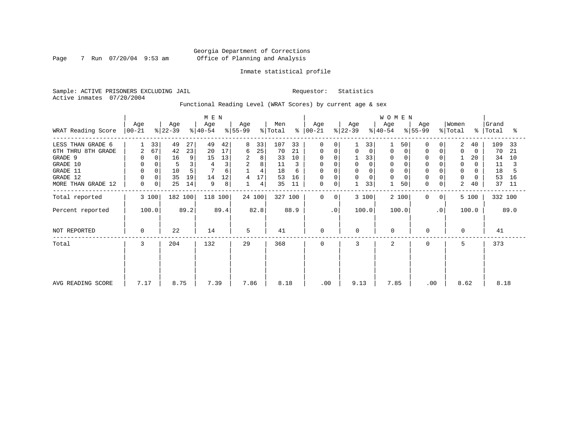Page 7 Run 07/20/04 9:53 am

## Inmate statistical profile

Sample: ACTIVE PRISONERS EXCLUDING JAIL Requestor: Statistics Active inmates 07/20/2004

Functional Reading Level (WRAT Scores) by current age & sex

|                    |                    |                   |         | M E N            |      |                 |                |                |         |                |                |                  |    | WOMEN            |    |                  |                |                  |          |                    |      |
|--------------------|--------------------|-------------------|---------|------------------|------|-----------------|----------------|----------------|---------|----------------|----------------|------------------|----|------------------|----|------------------|----------------|------------------|----------|--------------------|------|
| WRAT Reading Score | Age<br>$ 00 - 21 $ | Age<br>$ 22-39 $  |         | Age<br>$ 40-54 $ |      | Age<br>$ 55-99$ |                | Men<br>% Total | ွေ      | Age<br>  00-21 |                | Age<br>$ 22-39 $ |    | Age<br>$ 40-54 $ |    | Age<br>$ 55-99 $ |                | Women<br>% Total |          | Grand<br>%   Total | ႜ    |
| LESS THAN GRADE 6  |                    | 33<br>49          | 27      | 49               | 42   | 8               | 33             | 107            | 33      | $\Omega$       | $\Omega$       |                  | 33 |                  | 50 | $\Omega$         |                | 2                | 40       | 109                | 33   |
| 6TH THRU 8TH GRADE | 2                  | 67<br>42          | 23      | 20               | 17   | 6               | 25             | 70             | 21      | 0              | 0              | 0                | 0  | 0                |    | $\mathbf 0$      | 0              | $\Omega$         | 0        | 70                 | 21   |
| GRADE 9            | 0                  | 16<br>0           | 9       | 15               | 13   | 2               | 8              | 33             | 10      | 0              |                |                  | 33 | 0                |    | 0                |                |                  | 20       | 34                 | 10   |
| GRADE 10           | 0                  | 0                 | 3       |                  | 3    | 2               | 8              | 11             | 3       | $\Omega$       | 0              | 0                | 0  | $\Omega$         |    | $\mathbf 0$      |                | 0                | 0        | 11                 |      |
| GRADE 11           | $\mathbf 0$        | 10                | 5       |                  | 6    |                 | $\overline{4}$ | 18             | 6       | <sup>0</sup>   |                | $\Omega$         |    |                  |    |                  |                | $\Omega$         |          | 18                 |      |
| GRADE 12           | $\mathbf 0$        | 35<br>$\mathbf 0$ | 19      | 14               | 12   | 4               | 17             | 53             | 16      | 0              |                | 0                | 0  | $\Omega$         |    | $\Omega$         | 0              | 0                | $\Omega$ | 53                 | 16   |
| MORE THAN GRADE 12 | 0                  | 25<br>0           | 14      | 9                | 8    |                 | 4              | 35             | 11      | 0              | 0              |                  | 33 |                  | 50 | 0                | $\overline{0}$ | 2                | 40       | 37                 | 11   |
| Total reported     | 3 100              |                   | 182 100 | 118 100          |      |                 | 24 100         |                | 327 100 | $\mathbf 0$    | $\overline{0}$ | 3 100            |    | 2 100            |    | $\mathbf 0$      | 0 <sup>1</sup> |                  | 5 100    | 332 100            |      |
| Percent reported   | 100.0              |                   | 89.2    |                  | 89.4 |                 | 82.8           |                | 88.9    |                | $\cdot$ 0      | 100.0            |    | 100.0            |    |                  | $\cdot$ 0      |                  | 100.0    |                    | 89.0 |
| NOT REPORTED       | 0                  | 22                |         | 14               |      | 5               |                | 41             |         | $\mathbf 0$    |                | 0                |    | $\mathbf 0$      |    | 0                |                | $\Omega$         |          | 41                 |      |
| Total              | 3                  | 204               |         | 132              |      | 29              |                | 368            |         | 0              |                | 3                |    | 2                |    | $\mathbf 0$      |                | 5                |          | 373                |      |
|                    |                    |                   |         |                  |      |                 |                |                |         |                |                |                  |    |                  |    |                  |                |                  |          |                    |      |
| AVG READING SCORE  | 7.17               |                   | 8.75    | 7.39             |      | 7.86            |                | 8.18           |         | .00            |                | 9.13             |    | 7.85             |    | .00              |                | 8.62             |          | 8.18               |      |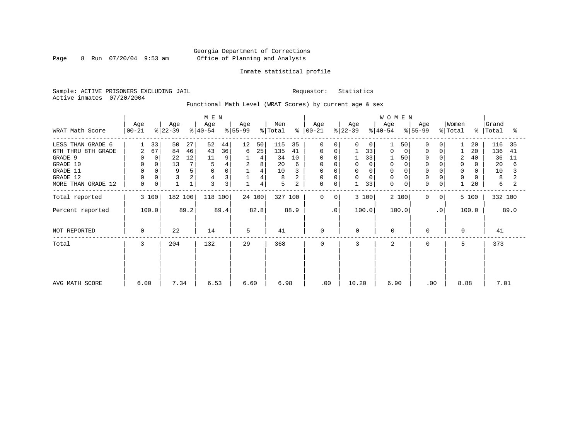Page 8 Run  $07/20/04$  9:53 am

## Inmate statistical profile

Sample: ACTIVE PRISONERS EXCLUDING JAIL Requestor: Statistics Active inmates 07/20/2004

Functional Math Level (WRAT Scores) by current age & sex

|                    | Age       | Age                       | M E N<br>Age | Age       | Men                 | Age                         | Age           | WOMEN<br>Age     | Age                     | Women                    | Grand      |
|--------------------|-----------|---------------------------|--------------|-----------|---------------------|-----------------------------|---------------|------------------|-------------------------|--------------------------|------------|
| WRAT Math Score    | $00 - 21$ | $ 22-39 $                 | $ 40-54 $    | $ 55-99 $ | % Total<br>န္       | $ 00-21 $                   | $ 22-39 $     | $8 40-54$        | $\frac{1}{6}$ 55-99     | % Total<br>$\frac{8}{6}$ | Total<br>ႜ |
| LESS THAN GRADE 6  | 33        | 50<br>27                  | 52<br>44     | 12<br>50  | 115<br>35           | $\Omega$<br>$\Omega$        | 0<br>0        | 50               | O                       | 20                       | 116<br>35  |
| 6TH THRU 8TH GRADE | 67<br>2   | 84<br>46                  | 36<br>43     | 25<br>6   | 135<br>41           | 0<br>$\mathbf 0$            | 33            | 0<br>0           | 0                       | 20                       | 136<br>41  |
| GRADE 9            |           | 12<br>0<br>22             | 11<br>9      | 4         | 34<br>10            | 0                           | 33            | 50               |                         | $\overline{2}$<br>40     | 36<br>11   |
| GRADE 10           | 0         | 13<br>7 <sub>1</sub><br>0 | 5            | 2<br>8    | 20<br>6             | 0                           | $\Omega$      | 0                |                         | 0<br>0                   | 20<br>6    |
| GRADE 11           |           | 9<br>5                    | $\Omega$     | 4         | 10                  | $\Omega$                    | $\Omega$      | $\Omega$         |                         | $\Omega$                 | 10         |
| GRADE 12           |           | 2                         | 3<br>4       | 4         | 8                   | 0<br>$\Omega$               | 0<br>$\Omega$ | $\Omega$         |                         | $\mathbf 0$              | 8          |
| MORE THAN GRADE 12 | 0         | 0                         | 3<br>3       | 4         | 5<br>$\overline{a}$ | $\mathbf 0$<br>0            | 33            | $\mathbf 0$<br>0 | $\Omega$<br>$\mathbf 0$ | 20                       | 6          |
| Total reported     | 3 100     | 182 100                   | 118 100      | 24 100    | 327 100             | $\mathbf 0$<br>$\mathbf{0}$ | 3 100         | 2 100            | $\mathbf 0$<br>0        | 5 100                    | 332 100    |
| Percent reported   | 100.0     | 89.2                      | 89.4         | 82.8      | 88.9                | $\cdot$ 0                   | 100.0         | 100.0            | $\cdot$ 0               | 100.0                    | 89.0       |
| NOT REPORTED       | $\Omega$  | 22                        | 14           | 5         | 41                  | 0                           | $\Omega$      | $\mathbf 0$      | 0                       | 0                        | 41         |
| Total              | 3         | 204                       | 132          | 29        | 368                 | $\mathbf 0$                 | 3             | $\overline{2}$   | 0                       | 5                        | 373        |
|                    |           |                           |              |           |                     |                             |               |                  |                         |                          |            |
|                    |           |                           |              |           |                     |                             |               |                  |                         |                          |            |
| AVG MATH SCORE     | 6.00      | 7.34                      | 6.53         | 6.60      | 6.98                | .00                         | 10.20         | 6.90             | .00                     | 8.88                     | 7.01       |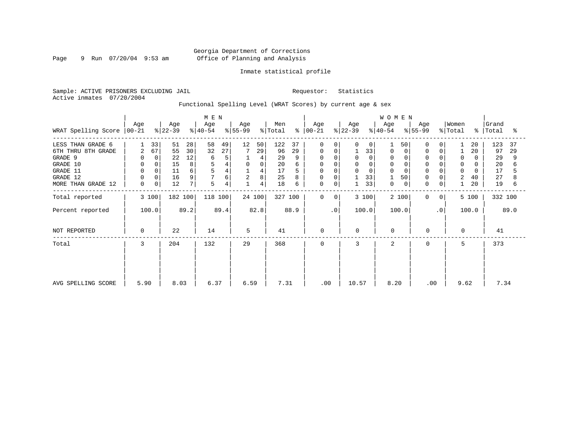Page 9 Run 07/20/04 9:53 am

## Inmate statistical profile

Sample: ACTIVE PRISONERS EXCLUDING JAIL Requestor: Statistics Active inmates 07/20/2004

Functional Spelling Level (WRAT Scores) by current age & sex

|                             | Age         | Age      | M E N<br>Age | Age  | Men       |      | Age            |        | Age     |      | WOMEN<br>Age |           | Age          |             | Women       |       | Grand     |                |          |             |         |      |
|-----------------------------|-------------|----------|--------------|------|-----------|------|----------------|--------|---------|------|--------------|-----------|--------------|-------------|-------------|-------|-----------|----------------|----------|-------------|---------|------|
| WRAT Spelling Score   00-21 |             |          | $ 22-39 $    |      | $8 40-54$ |      | $ 55-99 $      |        | % Total | ႜ    | $ 00-21$     |           | $ 22-39 $    |             | $ 40-54 $   |       | $ 55-99 $ |                | % Total  | $\approx$ 1 | Total   | ႜ    |
| LESS THAN GRADE 6           |             | 33       | 51           | 28   | 58        | 49   | 12             | 50     | 122     | 37   | 0            | $\Omega$  | 0            | $\mathbf 0$ |             | 50    | 0         | 0              |          | 20          | 123     | 37   |
| 6TH THRU 8TH GRADE          | 2           | 67       | 55           | 30   | 32        | 27   |                | 29     | 96      | 29   | 0            | 0         |              | 33          | 0           | 0     | 0         | 0              |          | 20          | 97      | 29   |
| GRADE 9                     | 0           | $\Omega$ | 22           | 12   | 6         | 5    |                | 4      | 29      |      | 0            |           | $\Omega$     | $\Omega$    | 0           |       |           |                | 0        |             | 29      | 9    |
| GRADE 10                    | 0           | 0        | 15           | 8    | 5         |      | 0              | 0      | 20      |      | 0            |           | 0            |             | 0           |       | $\Omega$  |                | 0        | 0           | 20      |      |
| GRADE 11                    | $\mathbf 0$ |          | 11           | 6    |           |      |                | 4      | 17      |      |              |           | $\Omega$     |             |             |       |           |                | $\Omega$ |             | 17      |      |
| GRADE 12                    | $\mathbf 0$ | 0        | 16           | 9    |           | 6    | $\overline{2}$ | 8      | 25      |      | 0            | $\Omega$  |              | 33          |             | 50    | $\Omega$  | $\Omega$       | 2        | 40          | 27      |      |
| MORE THAN GRADE 12          | 0           | 0        | 12           | 7    | 5         | 4    |                | 4      | 18      | 6    | 0            | 0         | $\mathbf{1}$ | 33          | $\mathbf 0$ | 0     | 0         | 0              |          | 20          | 19      | 6    |
| Total reported              |             | 3 100    | 182 100      |      | 118 100   |      |                | 24 100 | 327 100 |      | $\mathbf 0$  | 0         |              | 3 100       |             | 2 100 | 0         | 0 <sup>1</sup> |          | 5 100       | 332 100 |      |
| Percent reported            |             | 100.0    |              | 89.2 |           | 89.4 |                | 82.8   |         | 88.9 |              | $\cdot$ 0 |              | 100.0       | 100.0       |       |           | $\cdot$ 0      |          | 100.0       |         | 89.0 |
| NOT REPORTED                | 0           |          | 22           |      | 14        |      | 5              |        | 41      |      | $\mathbf 0$  |           | $\mathbf 0$  |             | $\Omega$    |       | 0         |                | $\Omega$ |             | 41      |      |
| Total                       | 3           |          | 204          |      | 132       |      | 29             |        | 368     |      | $\mathbf 0$  |           | 3            |             | 2           |       | 0         |                | 5        |             | 373     |      |
|                             |             |          |              |      |           |      |                |        |         |      |              |           |              |             |             |       |           |                |          |             |         |      |
|                             |             |          |              |      |           |      |                |        |         |      |              |           |              |             |             |       |           |                |          |             |         |      |
| AVG SPELLING SCORE          | 5.90        |          | 8.03         |      | 6.37      |      | 6.59           |        | 7.31    |      | .00          |           | 10.57        |             | 8.20        |       | .00       |                | 9.62     |             | 7.34    |      |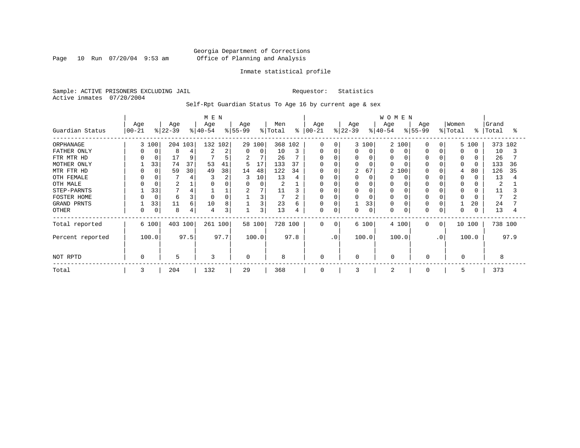Page 10 Run 07/20/04 9:53 am

## Inmate statistical profile

Sample: ACTIVE PRISONERS EXCLUDING JAIL Requestor: Statistics Active inmates 07/20/2004

Self-Rpt Guardian Status To Age 16 by current age & sex

|                  | Age       |          | Age       |      | M E N<br>Age |      | Age      |          | Men     |         | Age          |          | Age       |             | <b>WOMEN</b><br>Age |       | Age                   |                | Women        |        | Grand |         |
|------------------|-----------|----------|-----------|------|--------------|------|----------|----------|---------|---------|--------------|----------|-----------|-------------|---------------------|-------|-----------------------|----------------|--------------|--------|-------|---------|
| Guardian Status  | $00 - 21$ |          | $ 22-39 $ |      | $ 40-54 $    |      | $ 55-99$ |          | % Total | ៖       | $ 00-21$     |          | $ 22-39 $ |             | $ 40-54 $           |       | $\frac{1}{6}$   55-99 |                | % Total      | °      | Total | °       |
| ORPHANAGE        |           | 3 100    | 204 103   |      | 132 102      |      |          | 29 100   |         | 368 102 | $\Omega$     | 0        |           | 3 100       | $\overline{2}$      | 100   | U                     | $\Omega$       |              | 5 100  |       | 373 102 |
| FATHER ONLY      | 0         | 0        | 8         |      |              | 2    | $\Omega$ | $\Omega$ | 10      | 3       | U            | C        |           | $\Omega$    | O                   |       |                       |                | <sup>0</sup> |        | 10    |         |
| FTR MTR HD       | $\Omega$  | 0        | 17        | 9    |              | 5    | 2        | 7        | 26      |         | <sup>0</sup> |          |           |             | <sup>0</sup>        |       |                       |                |              |        | 26    |         |
| MOTHER ONLY      |           | 33       | 74        | 37   | 53           | 41   | 5        | 17       | 133     | 37      | U            |          |           |             | $\cap$              |       |                       |                | $\Omega$     |        | 133   | 36      |
| MTR FTR HD       | $\Omega$  | $\Omega$ | 59        | 30   | 49           | 38   | 14       | 48       | 122     | 34      | 0            |          | 2         | 67          | $\overline{a}$      | 100   |                       |                | 4            | 80     | 126   | 35      |
| OTH FEMALE       | 0         |          |           |      |              | 2    |          | 10       | 13      |         | O            |          |           |             |                     |       |                       |                | 0            |        | 13    |         |
| OTH MALE         |           |          | 2         |      |              |      |          | 0        | 2       |         | U            |          |           |             | O                   |       |                       |                | 0            |        | 2     |         |
| STEP-PARNTS      |           | 33       |           |      |              |      |          | 7        | 11      |         | 0            |          |           |             | 0                   |       |                       |                | $\Omega$     |        | 11    |         |
| FOSTER HOME      |           | 0        | 6         | 3    | $\Omega$     |      |          | 3        |         |         | 0            |          |           |             | $\Omega$            |       |                       |                | $\Omega$     |        |       |         |
| GRAND PRNTS      |           | 33       | 11        | 6    | 10           | 8    |          | 3        | 23      | 6       | 0            | C        |           | 33          | 0                   |       |                       |                |              | 20     | 24    |         |
| <b>OTHER</b>     | 0         | 0        | 8         | 4    | 4            | 3    |          | 3        | 13      |         | 0            | 0        |           | $\mathbf 0$ | 0                   |       | $\Omega$              |                | $\Omega$     |        | 13    |         |
| Total reported   |           | 6 100    | 403 100   |      | 261 100      |      |          | 58 100   | 728 100 |         | $\Omega$     | $\Omega$ |           | 6 100       |                     | 4 100 | $\Omega$              | $\overline{0}$ |              | 10 100 |       | 738 100 |
| Percent reported |           | 100.0    |           | 97.5 |              | 97.7 |          | 100.0    |         | 97.8    |              | . 0      |           | 100.0       |                     | 100.0 |                       | $\cdot$ 0      |              | 100.0  |       | 97.9    |
| NOT RPTD         | $\Omega$  |          | 5         |      | 3            |      |          |          | 8       |         | $\Omega$     |          | $\Omega$  |             | $\Omega$            |       | $\Omega$              |                | $\Omega$     |        | 8     |         |
| Total            | 3         |          | 204       |      | 132          |      | 29       |          | 368     |         | $\Omega$     |          | 3         |             | $\overline{a}$      |       | $\Omega$              |                | 5            |        | 373   |         |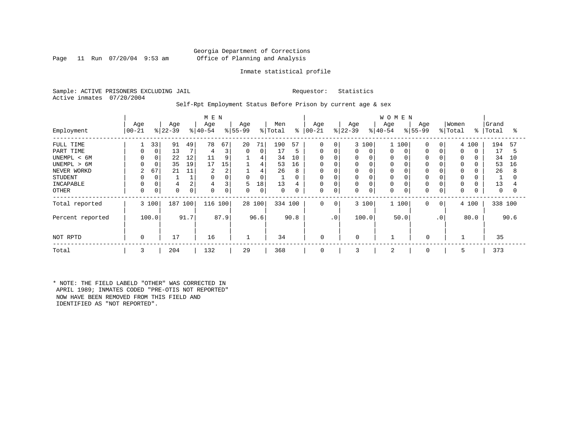## Georgia Department of Corrections Page 11 Run 07/20/04 9:53 am Office of Planning and Analysis

## Inmate statistical profile

Sample: ACTIVE PRISONERS EXCLUDING JAIL Requestor: Statistics Active inmates 07/20/2004

## Self-Rpt Employment Status Before Prison by current age & sex

|                  | M E N             |       |                  |                |                  |      |                 |             |                |      |                   |                |                  |             | <b>WOMEN</b>     |       |                 |              |                  |       |                |      |
|------------------|-------------------|-------|------------------|----------------|------------------|------|-----------------|-------------|----------------|------|-------------------|----------------|------------------|-------------|------------------|-------|-----------------|--------------|------------------|-------|----------------|------|
| Employment       | Age<br>$ 00 - 21$ |       | Age<br>$ 22-39 $ |                | Age<br>$ 40-54 $ |      | Age<br>$ 55-99$ |             | Men<br>% Total | ွေ   | Age<br>$ 00 - 21$ |                | Age<br>$ 22-39 $ |             | Age<br>$8 40-54$ |       | Age<br>$ 55-99$ |              | Women<br>% Total | ៖     | Grand<br>Total | ႜ    |
|                  |                   |       |                  |                |                  |      |                 |             |                |      |                   |                |                  |             |                  |       |                 |              |                  |       |                |      |
| FULL TIME        |                   | 33    | 91               | 49             | 78               | 67   | 20              | 71          | 190            | 57   | $\mathbf 0$       | $\overline{0}$ |                  | 3 100       |                  | 100   | $\Omega$        | $\Omega$     |                  | 4 100 | 194            | 57   |
| PART TIME        |                   | 0     | 13               |                | 4                | 3    | $\mathbf 0$     | $\mathbf 0$ | 17             | 5    | 0                 | 0              | 0                | $\mathbf 0$ | 0                |       | $\Omega$        |              | $\Omega$         |       | 17             | 5    |
| UNEMPL < 6M      |                   |       | 22               | 12             | 11               | 9    |                 | 4           | 34             | 10   | $\Omega$          |                |                  | $\Omega$    | 0                |       |                 |              |                  |       | 34             | 10   |
| UNEMPL > 6M      |                   |       | 35               | 19             | 17               | 15   |                 | 4           | 53             | 16   | $\mathbf 0$       |                |                  | 0           | 0                |       |                 |              |                  |       | 53             | 16   |
| NEVER WORKD      | $\overline{2}$    | 67    | 21               | 11             | 2                | 2    |                 | 4           | 26             | 8    | $\mathbf 0$       |                |                  | $\Omega$    | 0                |       |                 |              | 0                |       | 26             | 8    |
| <b>STUDENT</b>   |                   |       |                  |                | $\Omega$         |      | 0               | 0           |                | 0    | 0                 |                | 0                | 0           | 0                |       |                 |              | $\Omega$         |       |                |      |
| INCAPABLE        |                   |       | 4                | $\overline{2}$ | $\overline{4}$   | 3    | 5               | 18          | 13             | 4    | $\Omega$          |                | 0                | $\Omega$    | $\Omega$         |       |                 |              | $\Omega$         |       | 13             |      |
| OTHER            |                   | 0     | 0                | 0              | 0                | 0    | 0               | 0           | $\mathbf 0$    | 0    | 0                 | 0              | 0                | $\mathbf 0$ | 0                |       | 0               | 0            | 0                |       | 0              | 0    |
| Total reported   |                   | 3 100 | 187              | 100            | 116 100          |      |                 | 28 100      | 334 100        |      | 0                 | 0              |                  | 3 100       |                  | 1 100 | $\mathbf 0$     | $\mathbf{0}$ |                  | 4 100 | 338 100        |      |
| Percent reported |                   | 100.0 |                  | 91.7           |                  | 87.9 |                 | 96.6        |                | 90.8 |                   | $\cdot$ 0      |                  | 100.0       |                  | 50.0  |                 | $\cdot$ 0    |                  | 80.0  |                | 90.6 |
| NOT RPTD         | $\Omega$          |       | 17               |                | 16               |      |                 |             | 34             |      | 0                 |                | 0                |             |                  |       | $\Omega$        |              |                  |       | 35             |      |
| Total            | 3                 |       | 204              |                | 132              |      | 29              |             | 368            |      | 0                 |                | 3                |             | 2                |       | 0               |              | 5                |       | 373            |      |

\* NOTE: THE FIELD LABELD "OTHER" WAS CORRECTED IN APRIL 1989; INMATES CODED "PRE-OTIS NOT REPORTED" NOW HAVE BEEN REMOVED FROM THIS FIELD AND IDENTIFIED AS "NOT REPORTED".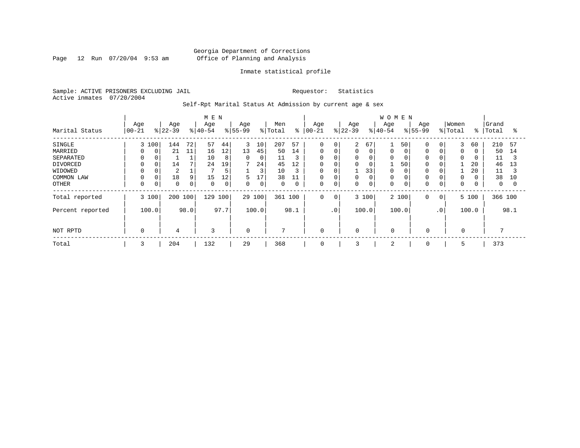Page 12 Run 07/20/04 9:53 am

## Inmate statistical profile

Sample: ACTIVE PRISONERS EXCLUDING JAIL Requestor: Statistics Active inmates 07/20/2004

Self-Rpt Marital Status At Admission by current age & sex

|                  |          | M E N |           |             |             |             |             |       |             |      |             |                 |             |             | <b>WOMEN</b> |       |             |           |             |               |              |      |
|------------------|----------|-------|-----------|-------------|-------------|-------------|-------------|-------|-------------|------|-------------|-----------------|-------------|-------------|--------------|-------|-------------|-----------|-------------|---------------|--------------|------|
|                  | Age      |       | Age       |             | Age         |             | Age         |       | Men         |      | Age         |                 | Age         |             | Age          |       | Age         |           | Women       |               | Grand        |      |
| Marital Status   | $ 00-21$ |       | $ 22-39 $ |             | $ 40-54 $   |             | $8 55-99$   |       | % Total     | ៖    | $ 00 - 21$  |                 | $ 22-39 $   |             | $ 40-54$     |       | $8 55-99$   |           | % Total     | $\frac{1}{6}$ | Total        | °≈   |
| <b>SINGLE</b>    |          | 3 100 | 144       | 72          | 57          | 44          | 3           | 10    | 207         | 57   | $\mathbf 0$ | 0               | 2           | 67          |              | 50    |             | 0         | 3           | 60            | 210          | 57   |
| MARRIED          | $\Omega$ | 0     | 21        | 11          | 16          | 12          | 13          | 45    | 50          | 14   | $\mathbf 0$ | 0               | 0           | 0           | 0            |       | $\Omega$    |           | $\mathbf 0$ |               | 50           | 14   |
| SEPARATED        | $\Omega$ |       |           |             | 10          | 8           | $\mathbf 0$ | 0     | 11          | 3    | 0           | 0               | 0           | 0           | 0            |       |             |           | 0           |               | 11           | 3    |
| DIVORCED         | 0        | 0     | 14        |             | 24          | 19          | 7           | 24    | 45          | 12   | 0           | 0               | 0           | 0           |              | 50    |             |           |             | 20            | 46           | 13   |
| WIDOWED          |          |       | 2         |             |             | 5           |             | 3     | 10          | 3    | 0           |                 |             | 33          | 0            |       |             |           |             | 20            | 11           |      |
| COMMON LAW       |          |       | 18        | 9           | 15          | 12          | 5           | 17    | 38          | 11   | $\mathbf 0$ | O               |             | 0           | 0            |       |             |           | 0           |               | 38           | 10   |
| <b>OTHER</b>     | 0        | 0     | $\Omega$  | $\mathbf 0$ | $\mathbf 0$ | $\mathbf 0$ | 0           | 0     | $\mathbf 0$ | 0    | 0           | 0               | 0           | $\mathbf 0$ | 0            |       |             | 0         | $\mathbf 0$ |               | $\mathbf{0}$ |      |
| Total reported   |          | 3 100 | 200 100   |             | 129         | 100         | 29 100      |       | 361 100     |      | $\mathbf 0$ | 0               |             | 3 100       |              | 2 100 | 0           | $\circ$   |             | 5 100         | 366 100      |      |
| Percent reported |          | 100.0 |           | 98.0        |             | 97.7        |             | 100.0 |             | 98.1 |             | .0 <sup>1</sup> |             | 100.0       |              | 100.0 |             | $\cdot$ 0 |             | 100.0         |              | 98.1 |
|                  |          |       |           |             |             |             |             |       |             |      |             |                 |             |             |              |       |             |           |             |               |              |      |
| NOT RPTD         | 0        |       | 4         |             | 3           |             | $\mathbf 0$ |       | 7           |      | 0           |                 | $\mathbf 0$ |             | $\mathbf 0$  |       | $\mathbf 0$ |           | $\mathbf 0$ |               |              |      |
| Total            | 3        |       | 204       |             | 132         |             | 29          |       | 368         |      | 0           |                 | 3           |             | 2            |       | 0           |           | 5           |               | 373          |      |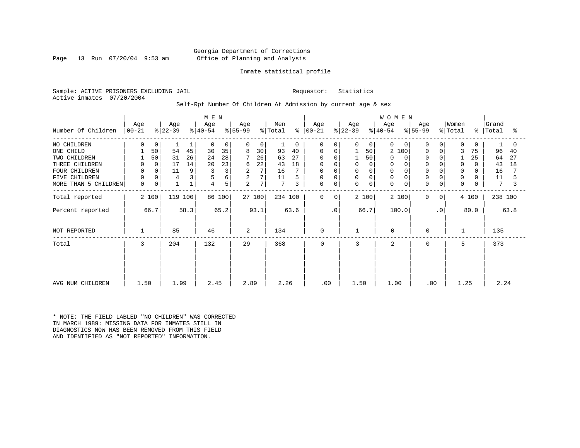## Georgia Department of Corrections Page 13 Run 07/20/04 9:53 am Office of Planning and Analysis

## Inmate statistical profile

Sample: ACTIVE PRISONERS EXCLUDING JAIL Requestor: Statistics Active inmates 07/20/2004

## Self-Rpt Number Of Children At Admission by current age & sex

|                      |                    |             |                  |             | M E N            |        |                  |        |                            |      |              |           |                  |                | WOMEN            |          |                  |             |                  |               |                |      |
|----------------------|--------------------|-------------|------------------|-------------|------------------|--------|------------------|--------|----------------------------|------|--------------|-----------|------------------|----------------|------------------|----------|------------------|-------------|------------------|---------------|----------------|------|
| Number Of Children   | Age<br>$ 00 - 21 $ |             | Age<br>$ 22-39 $ |             | Age<br>$ 40-54 $ |        | Age<br>$ 55-99 $ |        | Men<br>$\frac{1}{2}$ Total | ៖    | Age<br>00-21 |           | Age<br>$ 22-39 $ |                | Age<br>$ 40-54 $ |          | Age<br>$ 55-99 $ |             | Women<br>% Total | $\frac{8}{6}$ | Grand<br>Total | °    |
| NO CHILDREN          | $\Omega$           | 0           |                  | 1           | 0                | 0      | $\Omega$         | 0      |                            | 0    | 0            | $\Omega$  | 0                | $\overline{0}$ | $\Omega$         | $\Omega$ | $\Omega$         | 0           | $\Omega$         | $\Omega$      |                |      |
| ONE CHILD            |                    | 50          | 54               | 45          | 30               | 35     | 8                | 30     | 93                         | 40   | 0            | 0         |                  | 50             | 2                | 100      | $\Omega$         | $\mathbf 0$ | 3                | 75            | 96             | 40   |
| TWO CHILDREN         |                    | 50          | 31               | 26          | 24               | 28     |                  | 26     | 63                         | 27   |              |           |                  | 50             | $\Omega$         |          | $\Omega$         | $\Omega$    |                  | 25            | 64             | 27   |
| THREE CHILDREN       | 0                  | $\mathbf 0$ | 17               | 14          | 20               | 23     | 6                | 22     | 43                         | 18   | 0            | 0         | 0                | 0              | 0                |          | $\Omega$         |             | 0                | $\Omega$      | 43             | 18   |
| FOUR CHILDREN        | $\mathbf 0$        |             | 11               | 9           |                  | 3      | 2                | 7      | 16                         |      | $\Omega$     |           | $\Omega$         |                | $\Omega$         |          |                  |             | $\Omega$         |               | 16             |      |
| FIVE CHILDREN        | $\mathbf 0$        | $\mathbf 0$ | 4                | 3           |                  | 6      | 2                | 7      | 11                         |      | 0            | 0         | 0                |                | $\Omega$         |          |                  | 0           | $\mathbf 0$      |               | 11             |      |
| MORE THAN 5 CHILDREN | $\mathbf 0$        | 0           |                  | $\mathbf 1$ | 4                | 5      | 2                | 7      | $7\phantom{.0}$            | 3    | 0            | 0         | 0                | 0              | $\mathbf 0$      | 0        | $\mathbf 0$      | $\mathbf 0$ | $\mathbf 0$      | 0             | 7              |      |
| Total reported       |                    | 2 100       | 119 100          |             |                  | 86 100 |                  | 27 100 | 234 100                    |      | 0            | 0         |                  | 2 100          | 2 100            |          | $\mathbf 0$      | 0           |                  | 4 100         | 238 100        |      |
| Percent reported     |                    | 66.7        |                  | 58.3        |                  | 65.2   |                  | 93.1   |                            | 63.6 |              | $\cdot$ 0 |                  | 66.7           | 100.0            |          |                  | $\cdot$ 0   |                  | 80.0          |                | 63.8 |
| NOT REPORTED         |                    |             | 85               |             | 46               |        | 2                |        | 134                        |      | $\mathbf 0$  |           |                  |                | 0                |          | 0                |             | 1                |               | 135            |      |
| Total                | 3                  |             | 204              |             | 132              |        | 29               |        | 368                        |      | $\mathbf 0$  |           | 3                |                | $\overline{2}$   |          | $\mathbf 0$      |             | 5                |               | 373            |      |
|                      |                    |             |                  |             |                  |        |                  |        |                            |      |              |           |                  |                |                  |          |                  |             |                  |               |                |      |
|                      |                    |             |                  |             |                  |        |                  |        |                            |      |              |           |                  |                |                  |          |                  |             |                  |               |                |      |
| AVG NUM CHILDREN     | 1.50               |             | 1.99             |             | 2.45             |        | 2.89             |        | 2.26                       |      | .00          |           | 1.50             |                | 1.00             |          | .00              |             | 1.25             |               | 2.24           |      |

\* NOTE: THE FIELD LABLED "NO CHILDREN" WAS CORRECTED IN MARCH 1989: MISSING DATA FOR INMATES STILL IN DIAGNOSTICS NOW HAS BEEN REMOVED FROM THIS FIELD AND IDENTIFIED AS "NOT REPORTED" INFORMATION.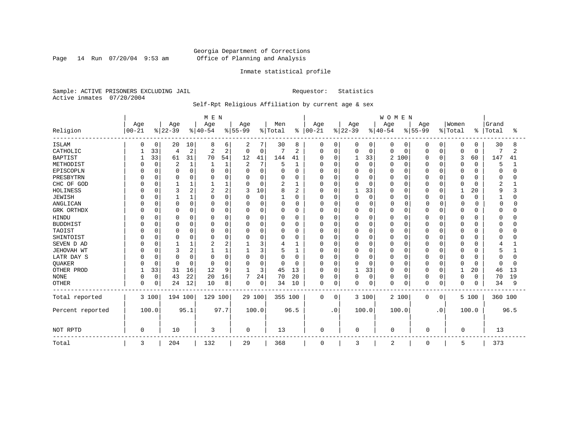Page 14 Run 07/20/04 9:53 am

## Inmate statistical profile

Sample: ACTIVE PRISONERS EXCLUDING JAIL Requestor: Statistics Active inmates 07/20/2004

## Self-Rpt Religious Affiliation by current age & sex

|                  |           |             |                |                | M E N    |          |                |          |              |               |             |             |          |              | WOMEN          |             |          |           |              |          |         |      |
|------------------|-----------|-------------|----------------|----------------|----------|----------|----------------|----------|--------------|---------------|-------------|-------------|----------|--------------|----------------|-------------|----------|-----------|--------------|----------|---------|------|
|                  | Age       |             | Age            |                | Age      |          | Age            |          | Men          |               | Age         |             | Age      |              | Age            |             | Age      |           | Women        |          | Grand   |      |
| Religion         | $00 - 21$ |             | $ 22-39$       |                | $ 40-54$ |          | $ 55-99$       |          | % Total      | $\frac{8}{6}$ | $00 - 21$   |             | $ 22-39$ |              | $ 40-54 $      |             | $ 55-99$ |           | % Total      | ి        | Total   | ႜ    |
| <b>ISLAM</b>     | O         | 0           | 20             | 10             | 8        | 6        | 2              | 7        | 30           | 8             | 0           | 0           | 0        | $\mathbf{0}$ | 0              | 0           | 0        | 0         | 0            | 0        | 30      | 8    |
| CATHOLIC         |           | 33          | 4              | $\overline{2}$ | 2        | 2        | $\mathbf 0$    | 0        | 7            | 2             | $\Omega$    | $\mathbf 0$ | 0        | $\mathbf 0$  | 0              | 0           | 0        | $\Omega$  | $\mathbf 0$  | 0        | 7       | 2    |
| <b>BAPTIST</b>   |           | 33          | 61             | 31             | 70       | 54       | 12             | 41       | 144          | 41            | $\Omega$    | 0           |          | 33           | 2              | 100         | U        | $\Omega$  | 3            | 60       | 147     | 41   |
| METHODIST        |           | $\Omega$    | $\overline{2}$ | 1              |          | 1        | $\overline{2}$ | 7        | 5            | 1             |             | $\Omega$    | $\Omega$ | $\Omega$     | 0              | 0           |          | O         | $\mathbf 0$  | $\Omega$ | 5       |      |
| EPISCOPLN        |           | $\Omega$    | $\Omega$       | $\Omega$       |          | 0        | $\Omega$       | 0        | O            | 0             |             | $\mathbf 0$ | 0        | $\Omega$     | Ω              | 0           | O        | $\Omega$  | $\Omega$     | $\Omega$ | O       |      |
| PRESBYTRN        |           |             | 0              | $\Omega$       |          | O        | 0              | 0        | O            | 0             |             | $\Omega$    | 0        | $\Omega$     | 0              | 0           |          | $\Omega$  | 0            |          |         |      |
| CHC OF GOD       |           | U           |                |                |          |          | $\Omega$       | 0        | 2            | 1             |             | $\Omega$    | 0        | $\Omega$     | 0              | $\Omega$    | O        | $\Omega$  | $\Omega$     | U        | 2       |      |
| HOLINESS         |           |             | 3              | 2              | 2        | 2        | 3              | 10       | 8            | 2             | U           | $\Omega$    |          | 33           | O              | $\Omega$    |          | n         | $\mathbf{1}$ | 20       | q       |      |
| <b>JEWISH</b>    |           |             |                |                | O        | O        | $\Omega$       | $\Omega$ | $\mathbf{1}$ | 0             | U           | $\Omega$    | $\Omega$ | $\mathbf 0$  | O              | 0           | O        | n         | $\mathbf 0$  | $\Omega$ |         |      |
| ANGLICAN         |           | $\Omega$    | 0              | O              | O        | U        | $\Omega$       | 0        | 0            | 0             | O           | $\Omega$    | 0        | $\mathbf 0$  | O              | $\Omega$    | $\Omega$ | O         | $\Omega$     |          | n       |      |
| GRK ORTHDX       |           | 0           | $\Omega$       | 0              | O        | 0        | 0              | 0        | 0            | 0             | U           | 0           | 0        | $\Omega$     | 0              | 0           |          | 0         | 0            |          |         |      |
| <b>HINDU</b>     |           |             | $\Omega$       |                |          | 0        | 0              | 0        | 0            | 0             |             | $\Omega$    | 0        | $\Omega$     | Ω              | 0           |          | O         | 0            |          |         |      |
| <b>BUDDHIST</b>  |           |             | $\Omega$       | $\Omega$       |          | O        | $\Omega$       | 0        | 0            | $\Omega$      |             | $\Omega$    | 0        | $\Omega$     | Ω              | 0           |          | $\Omega$  | $\Omega$     |          |         |      |
| TAOIST           |           |             | $\Omega$       | O              |          | 0        | 0              | 0        | 0            | 0             |             | $\Omega$    | 0        | $\cap$       | Ω              | $\Omega$    |          | $\Omega$  | $\Omega$     |          |         |      |
| SHINTOIST        |           |             | $\Omega$       |                | U        | O        | U              | 0        | O            | 0             |             | $\Omega$    | 0        | $\cap$       | O              | $\Omega$    |          | $\Omega$  | $\Omega$     | ∩        |         |      |
| SEVEN D AD       |           |             |                |                |          | 2        |                | 3        | 4            | 1             | U           | $\Omega$    | $\Omega$ | $\cap$       | O              | $\Omega$    |          | $\Omega$  | $\Omega$     |          |         |      |
| JEHOVAH WT       |           | O           |                | 2              |          |          |                | 3        |              |               | U           | $\Omega$    | 0        | $\Omega$     | 0              | 0           | U        | $\Omega$  | 0            |          |         |      |
| LATR DAY S       |           |             | $\Omega$       | $\Omega$       |          | 0        | 0              | $\Omega$ | 0            | 0             |             | $\Omega$    | 0        | $\Omega$     | 0              | 0           | O        | O         | $\mathbf 0$  |          |         |      |
| QUAKER           |           | $\Omega$    | $\Omega$       | O              | $\cap$   | $\Omega$ | O              | 0        | 0            | 0             | U           | $\Omega$    | 0        | $\Omega$     | 0              | 0           | 0        | $\Omega$  | $\mathbf 0$  | O        |         |      |
| OTHER PROD       |           | 33          | 31             | 16             | 12       | 9        | -1             | 3        | 45           | 13            | $\Omega$    | $\Omega$    | 1        | 33           | 0              | 0           | 0        | $\Omega$  | 1            | 20       | 46      | 13   |
| <b>NONE</b>      | $\Omega$  | $\mathbf 0$ | 43             | 22             | 20       | 16       | 7              | 24       | 70           | 20            | $\Omega$    | 0           | $\Omega$ | $\mathbf 0$  | 0              | $\mathbf 0$ | 0        | 0         | $\mathbf 0$  | $\Omega$ | 70      | 19   |
| <b>OTHER</b>     | 0         | 0           | 24             | 12             | 10       | 8        | 0              | 0        | 34           | 10            | 0           | 0           | 0        | 0            | 0              | 0           | 0        | $\Omega$  | $\mathbf 0$  | $\Omega$ | 34      | 9    |
| Total reported   |           | 3 100       | 194 100        |                | 129 100  |          |                | 29 100   | 355 100      |               | $\mathbf 0$ | 0           |          | 3 100        |                | 2 100       | $\Omega$ | 0         |              | 5 100    | 360 100 |      |
| Percent reported |           | 100.0       |                | 95.1           |          | 97.7     |                | 100.0    |              | 96.5          |             | $\cdot$ 0   |          | 100.0        |                | 100.0       |          | $\cdot$ 0 |              | 100.0    |         | 96.5 |
| NOT RPTD         | 0         |             | 10             |                | 3        |          | 0              |          | 13           |               | $\mathbf 0$ |             | 0        |              | $\mathbf 0$    |             | $\Omega$ |           | $\Omega$     |          | 13      |      |
| Total            | 3         |             | 204            |                | 132      |          | 29             |          | 368          |               | 0           |             | 3        |              | $\overline{2}$ |             | 0        |           | 5            |          | 373     |      |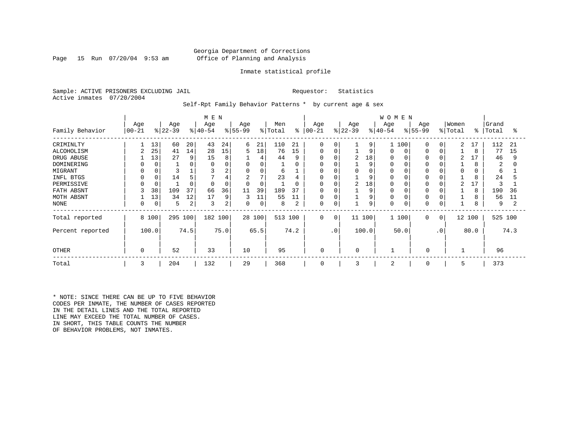## Georgia Department of Corrections Page 15 Run 07/20/04 9:53 am Office of Planning and Analysis

### Inmate statistical profile

Sample: ACTIVE PRISONERS EXCLUDING JAIL **Requestor:** Statistics Active inmates 07/20/2004

Self-Rpt Family Behavior Patterns \* by current age & sex

|                  |           |       |           |      | M E N     |      |                |        |                     |          |              |            |           |          | <b>WOMEN</b> |       |           |           |         |           |         |      |
|------------------|-----------|-------|-----------|------|-----------|------|----------------|--------|---------------------|----------|--------------|------------|-----------|----------|--------------|-------|-----------|-----------|---------|-----------|---------|------|
|                  | Age       |       | Age       |      | Age       |      | Age            |        | Men                 |          | Age          |            | Age       |          | Age          |       | Age       |           | Women   |           | Grand   |      |
| Family Behavior  | $00 - 21$ |       | $ 22-39 $ |      | $ 40-54 $ |      | $ 55-99$       |        | $\frac{1}{2}$ Total | န္       | $ 00-21$     |            | $ 22-39 $ |          | $ 40-54 $    |       | $8 55-99$ |           | % Total | $\approx$ | Total   | °    |
| CRIMINLTY        |           | 13    | 60        | 20   | 43        | 24   | 6              | 21     | 110                 | 21       | $\Omega$     | $\Omega$   |           | 9        |              | 100   | $\Omega$  | $\Omega$  | 2       | 17        | 112     | -21  |
| ALCOHOLISM       | 2         | 25    | 41        | 14   | 28        | 15   | 5              | 18     | 76                  | 15       | $\Omega$     | $\Omega$   |           | 9        | $\Omega$     | 0     |           | $\Omega$  |         | 8         | 77      | 15   |
| DRUG ABUSE       |           | 13    | 27        | 9    | 15        | 8    |                | 4      | 44                  | 9        | <sup>0</sup> | C          | 2         | 18       | $\Omega$     |       |           |           | 2       |           | 46      | 9    |
| DOMINERING       |           |       |           |      |           |      | 0              |        |                     | $\Omega$ | n            |            |           | 9        | $\Omega$     |       |           |           |         | 8         | 2       |      |
| MIGRANT          |           |       |           |      |           | 2    | 0              | 0      | 6                   |          | 0            |            |           | $\Omega$ | 0            |       |           |           | 0       | 0         | 6       |      |
| INFL BTGS        |           |       | 14        |      |           | 4    | $\overline{2}$ | 7      | 23                  | 4        | 0            |            |           | 9        | $\Omega$     |       |           |           |         | 8         | 24      |      |
| PERMISSIVE       |           |       |           |      | $\Omega$  | 0    | $\Omega$       |        |                     | $\Omega$ | $\Omega$     | 0          | 2         | 18       | $\Omega$     |       |           |           | 2       |           |         |      |
| FATH ABSNT       |           | 38    | 109       | 37   | 66        | 36   | 11             | 39     | 189                 | 37       | $\Omega$     | $\sqrt{ }$ |           | 9        | $\Omega$     |       |           |           |         | 8         | 190     | 36   |
| MOTH ABSNT       |           | 13    | 34        | 12   | 17        | 9    | 3              | 11     | 55                  | 11       | 0            | $\Omega$   |           | 9        | $\Omega$     |       |           |           |         | 8         | 56      | 11   |
| NONE             | 0         | 0     | 5         | 2    | 3         | 2    | 0              | 0      | 8                   |          | $\mathbf 0$  | C          |           | 9        | $\Omega$     |       |           |           |         | 8         | 9       | 2    |
| Total reported   |           | 8 100 | 295 100   |      | 182 100   |      |                | 28 100 | 513 100             |          | $\mathbf 0$  | 0          | 11 100    |          |              | 1 100 | 0         | 0         |         | 12 100    | 525 100 |      |
| Percent reported |           | 100.0 |           | 74.5 |           | 75.0 |                | 65.5   |                     | 74.2     |              | $\cdot$ 0  | 100.0     |          |              | 50.0  |           | $\cdot$ 0 |         | 80.0      |         | 74.3 |
| <b>OTHER</b>     | $\Omega$  |       | 52        |      | 33        |      | 10             |        | 95                  |          | 0            |            | $\Omega$  |          |              |       | $\Omega$  |           |         |           | 96      |      |
| Total            | 3         |       | 204       |      | 132       |      | 29             |        | 368                 |          | 0            |            | 3         |          | 2            |       | 0         |           | 5       |           | 373     |      |

\* NOTE: SINCE THERE CAN BE UP TO FIVE BEHAVIOR CODES PER INMATE, THE NUMBER OF CASES REPORTED IN THE DETAIL LINES AND THE TOTAL REPORTED LINE MAY EXCEED THE TOTAL NUMBER OF CASES. IN SHORT, THIS TABLE COUNTS THE NUMBER OF BEHAVIOR PROBLEMS, NOT INMATES.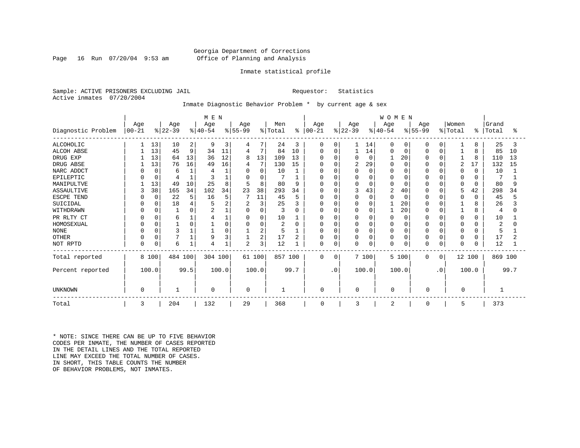## Georgia Department of Corrections Page 16 Run 07/20/04 9:53 am Office of Planning and Analysis

### Inmate statistical profile

Sample: ACTIVE PRISONERS EXCLUDING JAIL **Requestor:** Statistics Active inmates 07/20/2004

## Inmate Diagnostic Behavior Problem \* by current age & sex

|                    |            |          | M E N     |      |           |        |                |          |                |      | WOMEN         |             |           |             |              |             |              |           |          |          |                |      |
|--------------------|------------|----------|-----------|------|-----------|--------|----------------|----------|----------------|------|---------------|-------------|-----------|-------------|--------------|-------------|--------------|-----------|----------|----------|----------------|------|
|                    | Age        |          | Age       |      | Age       |        | Age            |          | Men            |      | Age           |             | Age       |             | Age          |             | Age          |           | Women    |          | Grand          |      |
| Diagnostic Problem | $ 00 - 21$ |          | $ 22-39 $ |      | $ 40-54 $ |        | $ 55-99$       |          | % Total        |      | $8   00 - 21$ |             | $ 22-39 $ |             | $ 40-54 $    |             | $ 55-99 $    |           | % Total  | ႜ        | Total          | °≈   |
| <b>ALCOHOLIC</b>   |            | 13       | 10        | 2    | 9         | 3      | 4              |          | 24             | 3    | 0             | 0           |           | 14          | $\Omega$     | 0           | $\Omega$     | $\Omega$  | 1        | 8        | 25             | 3    |
| <b>ALCOH ABSE</b>  |            | 13       | 45        | 9    | 34        | 11     | 4              | 7        | 84             | 10   | 0             | $\mathbf 0$ |           | 14          | O            | 0           | 0            | $\Omega$  |          | 8        | 85             | 10   |
| DRUG EXP           |            | 13       | 64        | 13   | 36        | 12     | 8              | 13       | 109            | 13   | O             | O           | $\Omega$  | $\mathbf 0$ |              | 20          | $\Omega$     | $\Omega$  |          | 8        | 110            | 13   |
| DRUG ABSE          |            | 13       | 76        | 16   | 49        | 16     | 4              |          | 130            | 15   | O             | O           | 2         | 29          |              | $\Omega$    |              | $\Omega$  | 2        | 17       | 132            | 15   |
| NARC ADDCT         |            | $\Omega$ | 6         |      |           |        | $\Omega$       | 0        | 10             |      | 0             | 0           |           | $\mathbf 0$ |              | $\Omega$    |              | $\Omega$  | 0        | $\Omega$ | 10             |      |
| EPILEPTIC          |            | $\Omega$ |           |      | 3         |        | $\Omega$       | 0        |                |      | O             | $\Omega$    |           | $\Omega$    |              | $\Omega$    |              | $\Omega$  | 0        | O        |                |      |
| MANIPULTVE         |            | 13       | 49        | 10   | 25        | 8      | 5              | 8        | 80             | 9    | $\Omega$      | O           |           | $\Omega$    |              | $\Omega$    |              | $\Omega$  | 0        | $\Omega$ | 80             |      |
| <b>ASSAULTIVE</b>  | 3          | 38       | 165       | 34   | 102       | 34     | 23             | 38       | 293            | 34   | $\Omega$      | O           |           | 43          | 2            | 40          | $\Omega$     | $\Omega$  | 5        | 42       | 298            | 34   |
| ESCPE TEND         |            | $\Omega$ | 22        | 5    | 16        | 5      |                | 11       | 45             | 5    | 0             | $\Omega$    |           | $\mathbf 0$ |              | $\Omega$    | 0            | $\Omega$  | 0        | $\Omega$ | 45             |      |
| SUICIDAL           |            |          | 18        |      |           | 2      | 2              | 3        | 25             | 3    | 0             | O           |           | 0           |              | 20          |              |           |          | 8        | 26             |      |
| WITHDRAWN          |            |          |           |      |           |        | $\Omega$       | $\Omega$ | 3              | U    | <sup>0</sup>  | U           |           | $\Omega$    |              | 20          |              | $\Omega$  |          | 8        | 4              |      |
| PR RLTY CT         |            |          | 6         |      |           |        | $\Omega$       | 0        | 10             |      | 0             | 0           |           | 0           |              | $\Omega$    | $\Omega$     | $\Omega$  | 0        | $\Omega$ | 10             |      |
| HOMOSEXUAL         |            |          |           |      |           | $\cap$ | $\Omega$       | $\Omega$ | $\overline{c}$ | O    | 0             | 0           |           | $\Omega$    |              | $\Omega$    | $\Omega$     | $\cap$    | $\Omega$ | $\cap$   | $\overline{2}$ |      |
| <b>NONE</b>        |            |          | 3         |      |           |        |                | 2        | 5              |      | 0             | 0           |           | $\Omega$    |              | $\Omega$    | 0            | $\Omega$  | $\Omega$ | O        | 5              |      |
| <b>OTHER</b>       |            |          |           |      | 9         |        |                | 2        | 17             | 2    | 0             | 0           |           | 0           |              | $\mathbf 0$ | 0            | $\Omega$  | 0        | 0        | 17             |      |
| NOT RPTD           | 0          | 0        | 6         |      | 4         |        | $\overline{2}$ | 3        | 12             |      | 0             | 0           |           | 0           | <sup>0</sup> | $\mathbf 0$ |              | 0         | 0        | 0        | 12             |      |
| Total reported     |            | 8 100    | 484 100   |      | 304 100   |        |                | 61 100   | 857 100        |      | $\Omega$      | 0           |           | 7 100       |              | 5 100       | $\Omega$     | 0         | 12 100   |          | 869 100        |      |
| Percent reported   |            | 100.0    |           | 99.5 |           | 100.0  |                | 100.0    |                | 99.7 |               | $\cdot$ 0   |           | 100.0       |              | 100.0       |              | $\cdot$ 0 |          | 100.0    |                | 99.7 |
| UNKNOWN            | $\Omega$   |          |           |      | 0         |        | $\mathbf 0$    |          | 1              |      | $\Omega$      |             | 0         |             | 0            |             | O            |           | 0        |          |                |      |
| Total              | 3          |          | 204       |      | 132       |        | 29             |          | 368            |      | $\mathbf 0$   |             | 3         |             | 2            |             | <sup>0</sup> |           | 5        |          | 373            |      |

\* NOTE: SINCE THERE CAN BE UP TO FIVE BEHAVIOR CODES PER INMATE, THE NUMBER OF CASES REPORTED IN THE DETAIL LINES AND THE TOTAL REPORTED LINE MAY EXCEED THE TOTAL NUMBER OF CASES. IN SHORT, THIS TABLE COUNTS THE NUMBER OF BEHAVIOR PROBLEMS, NOT INMATES.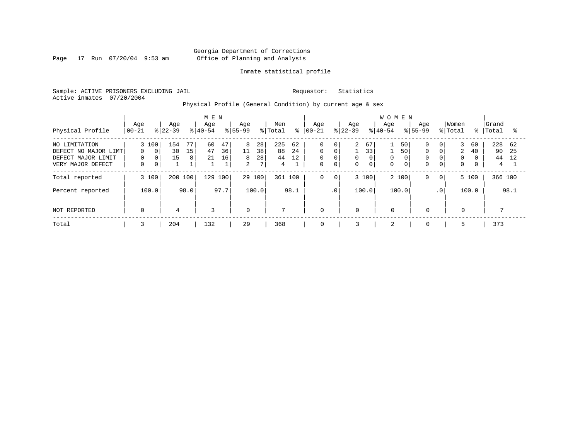Page 17 Run 07/20/04 9:53 am

## Inmate statistical profile

Sample: ACTIVE PRISONERS EXCLUDING JAIL Requestor: Statistics Active inmates 07/20/2004

Physical Profile (General Condition) by current age & sex

|                                                                                  |                                    | M E N                                     |                  |               |                  |                                |                                |                     |                      |                |                                                          |                             |                          |                                        | <b>WOMEN</b>     |               |                                              |                                                   |                            |                      |                      |                  |
|----------------------------------------------------------------------------------|------------------------------------|-------------------------------------------|------------------|---------------|------------------|--------------------------------|--------------------------------|---------------------|----------------------|----------------|----------------------------------------------------------|-----------------------------|--------------------------|----------------------------------------|------------------|---------------|----------------------------------------------|---------------------------------------------------|----------------------------|----------------------|----------------------|------------------|
| Physical Profile                                                                 | Age<br>$00 - 21$                   |                                           | Age<br>$ 22-39 $ |               | Age<br>$8 40-54$ |                                | Age<br>$8 55-99$               |                     | Men<br>% Total       | ៖              | Age<br>$ 00-21$                                          |                             | Age<br>$ 22-39 $         |                                        | Age<br>$8 40-54$ |               | Aqe<br>$8155 - 99$                           |                                                   | Women<br>% Total           | ႜႜ                   | Grand<br>Total       | °≈               |
| NO LIMITATION<br>DEFECT NO MAJOR LIMT<br>DEFECT MAJOR LIMIT<br>VERY MAJOR DEFECT | 3 100<br>$\Omega$<br>0<br>$\Omega$ | $\Omega$<br>$\overline{0}$<br>$\mathbf 0$ | 154<br>30<br>15  | 77<br>15<br>8 | 60<br>47<br>21   | 47<br>36<br>16<br>$\mathbf{1}$ | 8<br>11<br>8<br>$\overline{2}$ | 28<br>38<br>28<br>7 | 225<br>88<br>44<br>4 | 62<br>24<br>12 | $\mathbf 0$<br>$\mathbf 0$<br>$\mathbf 0$<br>$\mathbf 0$ | 0<br>0<br>0<br>$\mathbf{0}$ | $\overline{a}$<br>0<br>0 | 67<br>33<br>$\mathbf 0$<br>$\mathbf 0$ | 0<br>$\Omega$    | 50<br>50<br>0 | $\Omega$<br>$\Omega$<br>$\Omega$<br>$\Omega$ | 0 <sup>1</sup><br>$\Omega$<br>0<br>$\overline{0}$ | 3<br>2<br>0<br>$\mathbf 0$ | 60<br>40<br>$\Omega$ | 228<br>90<br>44<br>4 | - 62<br>25<br>12 |
| Total reported                                                                   | 3 100                              |                                           | 200 100          |               | 129              | 100                            |                                | 29 100              | 361                  | 100            | 0                                                        | $\mathbf 0$                 |                          | 3 100                                  | 2 100            |               | 0                                            | $\mathbf{0}$                                      |                            | 5 100                | 366 100              |                  |
| Percent reported                                                                 | 100.0                              |                                           |                  | 98.0          |                  | 97.7                           |                                | 100.0               |                      | 98.1           |                                                          | .0 <sup>1</sup>             |                          | 100.0                                  | 100.0            |               |                                              | $\cdot$ 0                                         |                            | 100.0                |                      | 98.1             |
| NOT REPORTED                                                                     | $\mathbf 0$                        |                                           | 4                |               | 3                |                                | $\overline{0}$                 |                     | $\mathbf{r}$         |                | $\mathbf 0$                                              |                             | $\mathbf 0$              |                                        | $\mathbf 0$      |               | $\mathbf 0$                                  |                                                   | $\mathbf{0}$               |                      |                      |                  |
| Total                                                                            | 3                                  |                                           | 204              |               | 132              |                                | 29                             |                     | 368                  |                | 0                                                        |                             | 3                        |                                        | $\overline{2}$   |               | $\mathbf 0$                                  |                                                   | 5                          |                      | 373                  |                  |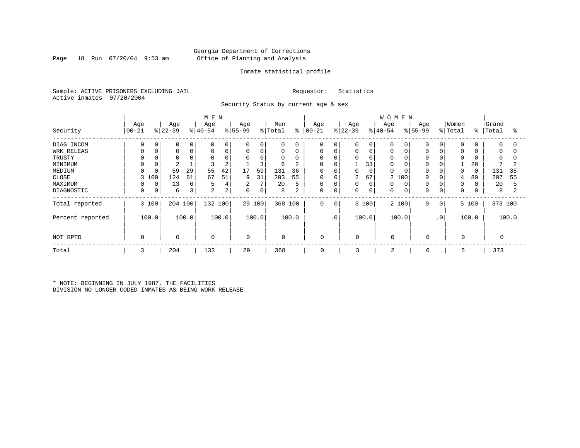## Georgia Department of Corrections Page 18 Run 07/20/04 9:53 am Office of Planning and Analysis

## Inmate statistical profile

Sample: ACTIVE PRISONERS EXCLUDING JAIL Requestor: Statistics Active inmates 07/20/2004

Security Status by current age & sex

|                  |                 |          |                 |       | M E N            |                |                  |        |                |                |                      |             |                  |             | <b>WOMEN</b>     |       |                  |          |                  |       |                |          |
|------------------|-----------------|----------|-----------------|-------|------------------|----------------|------------------|--------|----------------|----------------|----------------------|-------------|------------------|-------------|------------------|-------|------------------|----------|------------------|-------|----------------|----------|
| Security         | Age<br>$ 00-21$ |          | Age<br>$ 22-39$ |       | Age<br>$ 40-54 $ |                | Age<br>$8 55-99$ |        | Men<br>% Total |                | Age<br>$8   00 - 21$ |             | Age<br>$ 22-39 $ |             | Age<br>$8 40-54$ |       | Age<br>$ 55-99 $ |          | Women<br>% Total | ిం    | Grand<br>Total | ႜ        |
| DIAG INCOM       | <sup>0</sup>    | $\Omega$ | $\Omega$        |       | $\Omega$         | $\Omega$       | 0                | 0      | $\Omega$       | 0              | 0                    | 0           | 0                | 0           | $\Omega$         |       |                  | $\Omega$ | 0                |       | $\Omega$       | $\Omega$ |
| WRK RELEAS       | $\Omega$        |          | 0               | 0     | $\Omega$         | 0              | 0                | 0      | 0              | 0              | 0                    | $\mathbf 0$ | 0                | $\mathbf 0$ | 0                |       | $\Omega$         |          | 0                |       | 0              | $\Omega$ |
| TRUSTY           |                 |          |                 |       | $\Omega$         |                | 0                | 0      | $\mathbf 0$    | 0              | 0                    |             |                  | 0           | 0                |       |                  |          | $\Omega$         |       | $\Omega$       |          |
| MINIMUM          |                 |          | $\overline{2}$  |       |                  | 2              |                  | 3      | 6              | $\overline{2}$ | 0                    |             |                  | 33          | 0                |       |                  |          |                  | 20    |                |          |
| MEDIUM           |                 |          | 59              | 29    | 55               | 42             | 17               | 59     | 131            | 36             | 0                    |             | 0                | 0           | $\mathbf 0$      |       |                  |          | $\Omega$         |       | 131            | 35       |
| CLOSE            | 3               | 100      | 124             | 61    | 67               | 51             | 9                | 31     | 203            | 55             | 0                    | 0           | 2                | 67          | 2                | 100   | $\Omega$         |          | 4                | 80    | 207            | 55       |
| MAXIMUM          |                 | 0        | 13              | 6     | 5                | $\overline{4}$ | 2                | 7      | 20             | 5              | 0                    |             | 0                | $\mathbf 0$ | 0                |       | $\Omega$         |          | $\Omega$         |       | 20             | 5        |
| DIAGNOSTIC       | 0               | 0        | 6               | 3     | 2                | 2              | 0                | 0      | 8              | 2              | 0                    | 0           | 0                | 0           | 0                |       | 0                | 0        | 0                |       | 8              |          |
| Total reported   |                 | 3 100    | 204 100         |       | 132 100          |                |                  | 29 100 | 368 100        |                | 0                    | $\mathbf 0$ |                  | 3 100       |                  | 2 100 | $\mathbf 0$      | 0        |                  | 5 100 | 373 100        |          |
| Percent reported |                 | 100.0    |                 | 100.0 |                  | 100.0          |                  | 100.0  |                | 100.0          |                      | $\cdot$ 0   |                  | 100.0       |                  | 100.0 |                  | .0       |                  | 100.0 |                | 100.0    |
| NOT RPTD         | $\Omega$        |          | $\mathbf 0$     |       | $\mathbf 0$      |                | 0                |        | $\mathbf 0$    |                | 0                    |             | 0                |             | $\Omega$         |       | $\mathbf 0$      |          | 0                |       |                |          |
| Total            | 3               |          | 204             |       | 132              |                | 29               |        | 368            |                | 0                    |             | 3                |             | 2                |       | 0                |          | 5                |       | 373            |          |

\* NOTE: BEGINNING IN JULY 1987, THE FACILITIES DIVISION NO LONGER CODED INMATES AS BEING WORK RELEASE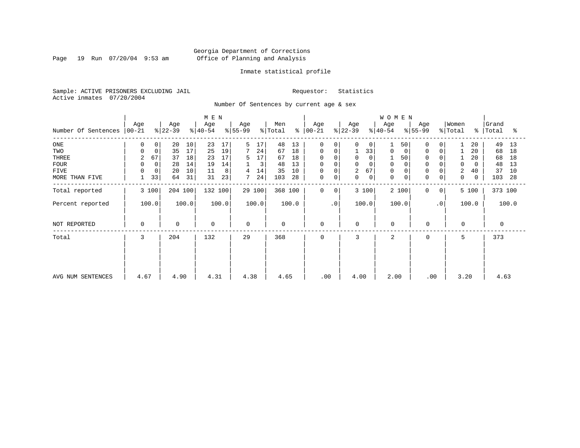Page 19 Run 07/20/04 9:53 am

## Inmate statistical profile

Sample: ACTIVE PRISONERS EXCLUDING JAIL Requestor: Statistics Active inmates 07/20/2004

Number Of Sentences by current age & sex

|                     |             |          |           |       | M E N       |       |                |        |             |       |             |           |             |             | WOMEN          |             |             |                |          |             |          |       |
|---------------------|-------------|----------|-----------|-------|-------------|-------|----------------|--------|-------------|-------|-------------|-----------|-------------|-------------|----------------|-------------|-------------|----------------|----------|-------------|----------|-------|
|                     | Age         |          | Age       |       | Age         |       | Age            |        | Men         |       | Age         |           | Age         |             | Age            |             | Age         |                | Women    |             | Grand    |       |
| Number Of Sentences | $ 00-21$    |          | $ 22-39 $ |       | $ 40-54 $   |       | $ 55-99 $      |        | % Total     | နွ    | $ 00-21 $   |           | $ 22-39 $   |             | $ 40-54 $      |             | $ 55-99 $   |                | % Total  | $\approx$ 1 | Total    | ႜ     |
| ONE                 | 0           | 0        | 20        | 10    | 23          | 17    | 5              | 17     | 48          | 13    | 0           | 0         | $\Omega$    | 0           |                | 50          | 0           | $\overline{0}$ |          | 20          | 49       | 13    |
| TWO                 | 0           | 0        | 35        | 17    | 25          | 19    | $7\phantom{.}$ | 24     | 67          | 18    | 0           |           |             | 33          | 0              | 0           | $\mathbf 0$ | $\mathbf 0$    |          | 20          | 68       | 18    |
| THREE               | 2           | 67       | 37        | 18    | 23          | 17    | 5              | 17     | 67          | 18    | 0           |           | $\mathbf 0$ |             |                | 50          | $\Omega$    |                |          | 20          | 68       | 18    |
| <b>FOUR</b>         | 0           | $\Omega$ | 28        | 14    | 19          | 14    |                | 3      | 48          | 13    | $\mathbf 0$ |           | $\Omega$    |             | $\mathbf 0$    |             |             |                | $\Omega$ | 0           | 48       | 13    |
| FIVE                | $\Omega$    | 0        | 20        | 10    | 11          | 8     | 4              | 14     | 35          | 10    | $\mathsf 0$ |           | 2           | 67          | 0              |             | $\Omega$    |                | 2        | 40          | 37       | 10    |
| MORE THAN FIVE      |             | 33       | 64        | 31    | 31          | 23    |                | 24     | 103         | 28    | $\mathsf 0$ | 0         | $\mathbf 0$ | $\mathbf 0$ | $\mathbf 0$    | $\mathbf 0$ | $\Omega$    | 0              | 0        | 0           | 103      | 28    |
| Total reported      |             | 3 100    | 204 100   |       | 132 100     |       |                | 29 100 | 368 100     |       | $\Omega$    | $\Omega$  |             | 3 100       |                | 2 100       | $\Omega$    | $\overline{0}$ |          | 5 100       | 373 100  |       |
| Percent reported    |             | 100.0    |           | 100.0 |             | 100.0 |                | 100.0  |             | 100.0 |             | $\cdot$ 0 | 100.0       |             | 100.0          |             |             | $\cdot$ 0      |          | 100.0       |          | 100.0 |
| NOT REPORTED        | $\mathbf 0$ |          | 0         |       | $\mathbf 0$ |       | $\mathbf 0$    |        | $\mathbf 0$ |       | $\mathbf 0$ |           | $\mathbf 0$ |             | $\Omega$       |             | $\mathbf 0$ |                | $\Omega$ |             | $\Omega$ |       |
| Total               | 3           |          | 204       |       | 132         |       | 29             |        | 368         |       | $\Omega$    |           | 3           |             | $\overline{a}$ |             | $\Omega$    |                | 5        |             | 373      |       |
|                     |             |          |           |       |             |       |                |        |             |       |             |           |             |             |                |             |             |                |          |             |          |       |
|                     |             |          |           |       |             |       |                |        |             |       |             |           |             |             |                |             |             |                |          |             |          |       |
| AVG NUM SENTENCES   | 4.67        |          | 4.90      |       | 4.31        |       | 4.38           |        | 4.65        |       | .00         |           | 4.00        |             | 2.00           |             | .00         |                | 3.20     |             | 4.63     |       |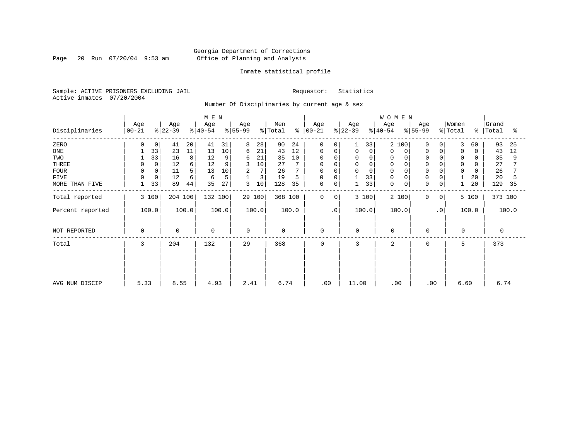Page 20 Run 07/20/04 9:53 am

## Inmate statistical profile

Sample: ACTIVE PRISONERS EXCLUDING JAIL Requestor: Statistics Active inmates 07/20/2004

Number Of Disciplinaries by current age & sex

|                  |                 |                      | M E N            |                 |                      |                  |                  | WOMEN                                          |                                        |                     |
|------------------|-----------------|----------------------|------------------|-----------------|----------------------|------------------|------------------|------------------------------------------------|----------------------------------------|---------------------|
| Disciplinaries   | Age<br>$ 00-21$ | Age<br>$ 22-39 $     | Age<br>$ 40-54 $ | Age<br>$ 55-99$ | Men<br>% Total<br>န္ | Age<br>$ 00-21$  | Age<br>$ 22-39 $ | Age<br>Age<br>$\frac{1}{6}$ 55-99<br>$ 40-54 $ | Women<br>% Total<br>ွေ                 | Grand<br>Total<br>ႜ |
| ZERO             | 0               | 41<br>20             | 41<br>31         | 8<br>28         | 90<br>24             | 0<br>$\Omega$    | 33               | $\overline{2}$<br>100<br>$\Omega$              | 3<br>0<br>60                           | 93<br>25            |
| ONE              | 33              | 23<br>11             | 13<br>10         | 21<br>6         | 43<br>12             | $\mathbf 0$<br>0 | $\mathbf 0$<br>0 | $\Omega$<br>0<br>0                             | $\mathbf 0$<br>$\mathbf 0$<br>$\Omega$ | 43<br>12            |
| TWO              | 33              | 8<br>16              | 12<br>9          | 21<br>6         | 35<br>10             | $\Omega$<br>0    | $\Omega$<br>0    | 0                                              | 0                                      | 35<br>9             |
| THREE            | $\mathbf 0$     | 12<br>6              | 12<br>9          | 10              | 27                   | 0<br>$\Omega$    | $\mathbf 0$<br>0 | $\Omega$<br>0                                  | $\mathbf 0$                            | 27                  |
| <b>FOUR</b>      |                 | 5 <sub>1</sub><br>11 | 10<br>13         | 7<br>2          | 26                   | 0                | $\Omega$         | $\Omega$                                       | $\Omega$                               | 26                  |
| <b>FIVE</b>      | 0<br>$\Omega$   | 12<br>6              | 5<br>6           | 3               | 19<br>5              | 0<br>$\mathbf 0$ | 33               | 0<br>$\Omega$                                  | 20                                     | 20<br>5             |
| MORE THAN FIVE   | 33              | 89<br>44             | 27<br>35         | 3<br>10         | 128<br>35            | 0<br>0           | 33               | $\mathbf 0$<br>$\mathbf 0$<br>0                | 20<br>0                                | 129<br>35           |
| Total reported   | 3 100           | 204 100              | 132 100          | 29 100          | 368 100              | $\mathbf 0$<br>0 | 3 100            | 2 100<br>0                                     | 5 100<br>$\mathbf{0}$                  | 373 100             |
| Percent reported | 100.0           | 100.0                | 100.0            | 100.0           | 100.0                | $\cdot$ 0        | 100.0            | 100.0                                          | $\cdot$ 0<br>100.0                     | 100.0               |
| NOT REPORTED     | 0               | $\mathbf 0$          | 0                | $\Omega$        | $\mathbf 0$          | 0                | 0                | $\mathbf 0$<br>0                               | $\mathbf 0$                            | $\Omega$            |
| Total            | 3               | 204                  | 132              | 29              | 368                  | 0                | 3                | 2<br>0                                         | 5                                      | 373                 |
|                  |                 |                      |                  |                 |                      |                  |                  |                                                |                                        |                     |
|                  |                 |                      |                  |                 |                      |                  |                  |                                                |                                        |                     |
| AVG NUM DISCIP   | 5.33            | 8.55                 | 4.93             | 2.41            | 6.74                 | .00              | 11.00            | .00                                            | .00<br>6.60                            | 6.74                |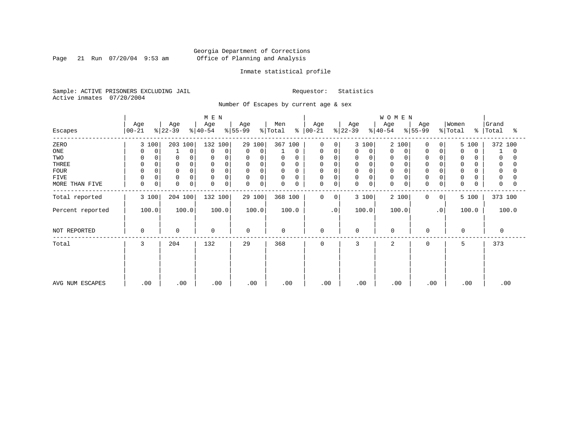Page 21 Run 07/20/04 9:53 am

## Inmate statistical profile

Sample: ACTIVE PRISONERS EXCLUDING JAIL Requestor: Statistics Active inmates 07/20/2004

Number Of Escapes by current age & sex

|                  |                  |                      | M E N                      |                  |                         |                            |                  | WOMEN            |                  |                                   |                     |
|------------------|------------------|----------------------|----------------------------|------------------|-------------------------|----------------------------|------------------|------------------|------------------|-----------------------------------|---------------------|
| Escapes          | Age<br>$00 - 21$ | Age<br>$ 22-39 $     | Age<br>$ 40-54 $           | Age<br>$ 55-99 $ | Men<br>% Total<br>ະ     | Age<br>$ 00 - 21 $         | Age<br>$ 22-39 $ | Age<br>$8 40-54$ | Age<br>$ 55-99 $ | Women<br>% Total<br>$\frac{1}{6}$ | Grand<br>Total<br>ႜ |
| ZERO             | 3 100            | 203<br>100           | 132 100                    | 29 100           | 367 100                 | $\Omega$<br>$\Omega$       | 3 100            | 2<br>100         | 0<br>0           | 5 100                             | 372 100             |
| ONE              | 0<br>0           | $\Omega$             | 0<br>$\Omega$              | 0<br>$\mathbf 0$ | 0                       | 0<br>0                     | 0<br>0           | 0<br>0           | 0<br>0           | $\Omega$<br>0                     | 0                   |
| TWO              | 0<br>$\Omega$    | 0                    | $\Omega$                   | 0<br>$\Omega$    | 0<br>$\Omega$           | 0<br>$\Omega$              | 0<br>$\Omega$    | 0                | $\mathbf 0$      | 0                                 | 0                   |
| THREE            | $\mathbf 0$      | $\mathbf 0$          | $\Omega$                   | 0<br>0           | $\mathbf 0$<br>0        | 0<br>0                     | 0                | $\mathbf 0$      | $\mathbf 0$      | 0                                 | 0                   |
| <b>FOUR</b>      | $\Omega$         |                      | $\Omega$                   | 0<br>$\Omega$    | $\mathbf 0$<br>$\Omega$ | 0                          | 0                | $\Omega$         | $\Omega$         | $\Omega$                          |                     |
| FIVE             | 0<br>0           | $\mathbf 0$          | 0<br>$\Omega$              | $\mathbf 0$<br>0 | 0<br>0                  | 0<br>$\Omega$              | 0<br>$\Omega$    | 0                | $\Omega$         | 0                                 | 0                   |
| MORE THAN FIVE   | $\mathbf 0$<br>0 | $\Omega$<br>$\Omega$ | $\mathbf 0$<br>$\mathbf 0$ | 0<br>$\Omega$    | $\mathbf 0$<br>0        | $\mathbf 0$<br>$\mathbf 0$ | 0<br>0           | $\mathbf 0$<br>0 | 0<br>0           | $\Omega$                          | $\Omega$            |
| Total reported   | 3 100            | 204 100              | 132 100                    | 29 100           | 368 100                 | 0<br>$\mathbf{0}$          | 3 100            | 2 100            | $\mathbf 0$<br>0 | 5 100                             | 373 100             |
| Percent reported | 100.0            | 100.0                | 100.0                      | 100.0            | 100.0                   | $\cdot$ 0                  | 100.0            | 100.0            | $\cdot$ 0        | 100.0                             | 100.0               |
| NOT REPORTED     | $\Omega$         | $\mathbf 0$          | $\mathbf 0$                | $\Omega$         | $\mathbf 0$             | 0                          | $\Omega$         | $\mathbf 0$      | $\mathbf 0$      | $\Omega$                          | 0                   |
| Total            | 3                | 204                  | 132                        | 29               | 368                     | $\mathbf 0$                | 3                | 2                | 0                | 5                                 | 373                 |
|                  |                  |                      |                            |                  |                         |                            |                  |                  |                  |                                   |                     |
|                  |                  |                      |                            |                  |                         |                            |                  |                  |                  |                                   |                     |
| AVG NUM ESCAPES  | .00              | .00                  | .00                        | .00              | .00                     | .00                        | .00              | .00              | .00              | .00                               | .00                 |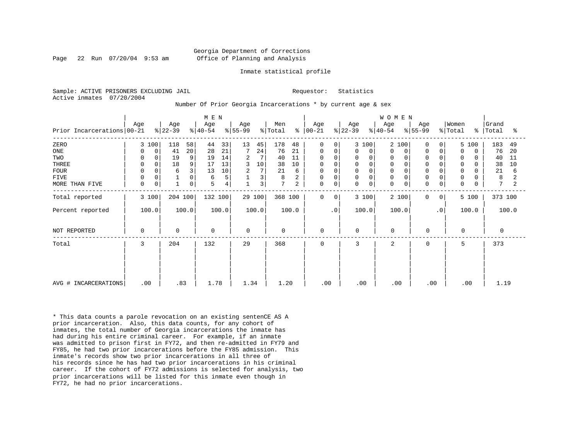## Georgia Department of Corrections Page 22 Run 07/20/04 9:53 am Office of Planning and Analysis

#### Inmate statistical profile

Sample: ACTIVE PRISONERS EXCLUDING JAIL **Requestor:** Statistics Active inmates 07/20/2004

#### Number Of Prior Georgia Incarcerations \* by current age & sex

| Prior Incarcerations 00-21                                                  | Age                                                                    | Age<br>$ 22-39 $                                                | M E N<br>Age<br>$ 40-54 $                                                    | Age<br>$ 55-99$                                              | Men<br>% Total<br>៖                                                          | Age<br>$00 - 21$                                                                                                                               | Age<br>$ 22-39 $<br>$ 40-54 $                                                        | <b>WOMEN</b><br>Age<br>Age<br>$ 55-99$                                                                                                  | Women<br>% Total                                                                                        | Grand<br>%   Total<br>ႜ                                                                   |
|-----------------------------------------------------------------------------|------------------------------------------------------------------------|-----------------------------------------------------------------|------------------------------------------------------------------------------|--------------------------------------------------------------|------------------------------------------------------------------------------|------------------------------------------------------------------------------------------------------------------------------------------------|--------------------------------------------------------------------------------------|-----------------------------------------------------------------------------------------------------------------------------------------|---------------------------------------------------------------------------------------------------------|-------------------------------------------------------------------------------------------|
| ZERO<br>ONE<br>TWO<br>THREE<br><b>FOUR</b><br><b>FIVE</b><br>MORE THAN FIVE | 3 100<br>$\mathbf 0$<br>0<br>0<br>0<br>0<br>$\mathbf 0$<br>0<br>0<br>0 | 58<br>118<br>20<br>41<br>19<br>9<br>9<br>18<br>3<br>6<br>0<br>0 | 33<br>44<br>28<br>21<br>14<br>19<br>13<br>17<br>13<br>10<br>5<br>6<br>4<br>5 | 13<br>45<br>24<br>7<br>7<br>2<br>3<br>10<br>7<br>2<br>3<br>3 | 178<br>48<br>21<br>76<br>40<br>11<br>38<br>10<br>21<br>6<br>8<br>2<br>7<br>2 | $\mathbf 0$<br>$\Omega$<br>$\mathbf 0$<br>0<br>$\Omega$<br>0<br>$\mathbf 0$<br>$\mathbf 0$<br>$\Omega$<br>$\mathbf 0$<br>0<br>0<br>$\mathbf 0$ | 3 100<br>0<br>0<br>0<br>0<br>0<br>0<br>$\Omega$<br>0<br>$\Omega$<br>0<br>$\mathbf 0$ | 2 100<br>$\Omega$<br>0<br>$\Omega$<br>0<br>$\Omega$<br>$\mathbf 0$<br>$\mathbf 0$<br>$\mathbf 0$<br>$\Omega$<br>$\Omega$<br>$\mathbf 0$ | 5 100<br>0<br>0<br>$\Omega$<br>$\Omega$<br>$\Omega$<br>0<br>$\mathbf 0$<br>$\mathbf 0$<br>$\Omega$<br>0 | 183<br>49<br>20<br>76<br>40<br>11<br>38<br>10<br>21<br>6<br>8<br>2<br>7<br>$\overline{c}$ |
| Total reported<br>Percent reported                                          | 3 100<br>100.0                                                         | 204 100<br>100.0                                                | 132 100<br>100.0                                                             | 29 100<br>100.0                                              | 368 100<br>100.0                                                             | 0<br>0<br>$\cdot$ 0                                                                                                                            | 3 100<br>100.0                                                                       | 2 100<br>$\mathbf 0$<br>100.0                                                                                                           | 5 100<br>$\overline{0}$<br>$\cdot$ 0<br>100.0                                                           | 373 100<br>100.0                                                                          |
| NOT REPORTED                                                                | 0                                                                      | $\Omega$                                                        | $\mathbf 0$                                                                  | $\Omega$                                                     | $\mathbf 0$                                                                  | 0                                                                                                                                              | $\Omega$                                                                             | $\mathbf 0$<br>$\mathbf 0$                                                                                                              | $\mathbf 0$                                                                                             |                                                                                           |
| Total                                                                       | 3                                                                      | 204                                                             | 132                                                                          | 29                                                           | 368                                                                          | 0                                                                                                                                              | 3                                                                                    | $\overline{2}$<br>0                                                                                                                     | 5                                                                                                       | 373                                                                                       |
| AVG # INCARCERATIONS                                                        | .00                                                                    | .83                                                             | 1.78                                                                         | 1.34                                                         | 1.20                                                                         | .00                                                                                                                                            | .00                                                                                  | .00<br>.00                                                                                                                              | .00                                                                                                     | 1.19                                                                                      |

\* This data counts a parole revocation on an existing sentenCE AS A prior incarceration. Also, this data counts, for any cohort of inmates, the total number of Georgia incarcerations the inmate has had during his entire criminal career. For example, if an inmate was admitted to prison first in FY72, and then re-admitted in FY79 and FY85, he had two prior incarcerations before the FY85 admission. This inmate's records show two prior incarcerations in all three of his records since he has had two prior incarcerations in his criminal career. If the cohort of FY72 admissions is selected for analysis, two prior incarcerations will be listed for this inmate even though in FY72, he had no prior incarcerations.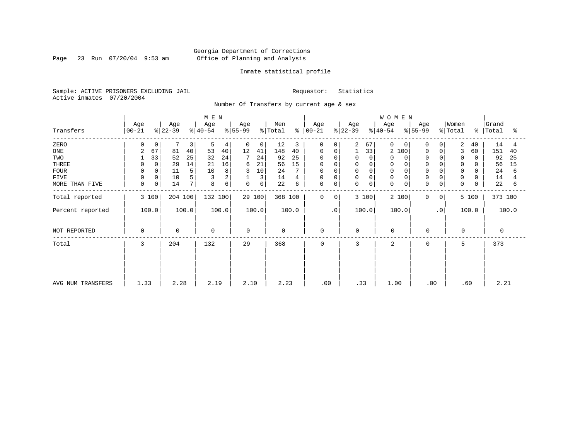Page 23 Run 07/20/04 9:53 am

## Inmate statistical profile

Sample: ACTIVE PRISONERS EXCLUDING JAIL Requestor: Statistics Active inmates 07/20/2004

Number Of Transfers by current age & sex

|                   |                      |                           | M E N            |                   |                |                      |                         | <b>WOMEN</b>                  |                                     |             |                         |
|-------------------|----------------------|---------------------------|------------------|-------------------|----------------|----------------------|-------------------------|-------------------------------|-------------------------------------|-------------|-------------------------|
| Transfers         | Age<br>$ 00-21 $     | Age<br>$ 22-39 $          | Age<br>$ 40-54 $ | Age<br>$ 55-99 $  | Men<br>% Total | Age<br>$8   00 - 21$ | Age<br>$ 22-39 $        | Age<br>$ 40-54 $<br>$ 55-99 $ | Women<br>Age<br>$\frac{1}{2}$ Total |             | Grand<br>%   Total<br>ႜ |
| ZERO              |                      | 0<br>3                    | 5<br>4           | 0<br>0            | 12<br>3        | 0<br>0 <sup>1</sup>  | 2<br>67                 | 0<br>$\Omega$                 | 0                                   | 2<br>40     | 14                      |
| ONE               | $\overline{2}$<br>67 | 81<br>40                  | 53<br>40         | 12<br>41          | 148<br>40      | 0<br>0               | 33                      | 2<br>100                      | 0<br>$\Omega$                       | 3<br>60     | 151<br>40               |
| TWO               | 33                   | 52<br>25                  | 32<br>24         | 7<br>24           | 92<br>25       | $\Omega$             | $\Omega$<br>0           | 0                             | $\Omega$                            | 0           | 92<br>25                |
| THREE             |                      | 29<br>14<br>0             | 16<br>21         | 21<br>6           | 15<br>56       | 0                    | 0<br>0                  | 0                             | $\Omega$                            | 0           | 56<br>15                |
| <b>FOUR</b>       |                      | 11<br>5                   | 10<br>8          | 10<br>3           | 24             | 0                    | $\mathbf 0$<br>$\Omega$ | $\mathbf 0$                   |                                     |             | 24<br>6                 |
| <b>FIVE</b>       |                      | 0<br>10                   | 3                | $\mathbf{1}$<br>3 | 14<br>4        | 0<br>0               | $\mathbf 0$<br>0        | $\mathbf 0$                   | $\Omega$<br>$\mathbf 0$             | $\mathbf 0$ | 14                      |
| MORE THAN FIVE    | $\mathbf 0$          | 0 <sup>1</sup><br>14<br>7 | б<br>8           | 0<br>0            | 22<br>6        | 0<br>0               | $\mathbf 0$<br>0        | $\mathbf 0$<br>0              | $\mathbf 0$<br>0                    | $\mathbf 0$ | 22<br>6                 |
| Total reported    | 3 100                | 204 100                   | 132 100          | 29 100            | 368 100        | 0<br>0               | 3 100                   | 2 100                         | 0<br>$\mathbf{0}$                   | 5 100       | 373 100                 |
| Percent reported  | 100.0                | 100.0                     | 100.0            | 100.0             | 100.0          | $\cdot$ 0            | 100.0                   | 100.0                         | $\cdot$ 0                           | 100.0       | 100.0                   |
| NOT REPORTED      | 0                    | $\mathbf 0$               | $\mathbf 0$      | $\Omega$          | $\mathbf 0$    | $\mathbf 0$          | $\mathbf 0$             | $\mathbf 0$                   | $\mathbf 0$                         | $\mathbf 0$ | 0                       |
| Total             | 3                    | 204                       | 132              | 29                | 368            | 0                    | 3                       | 2                             | $\mathbf 0$                         | 5           | 373                     |
|                   |                      |                           |                  |                   |                |                      |                         |                               |                                     |             |                         |
|                   |                      |                           |                  |                   |                |                      |                         |                               |                                     |             |                         |
| AVG NUM TRANSFERS | 1.33                 | 2.28                      | 2.19             | 2.10              | 2.23           | .00                  | .33                     | 1.00                          | .00                                 | .60         | 2.21                    |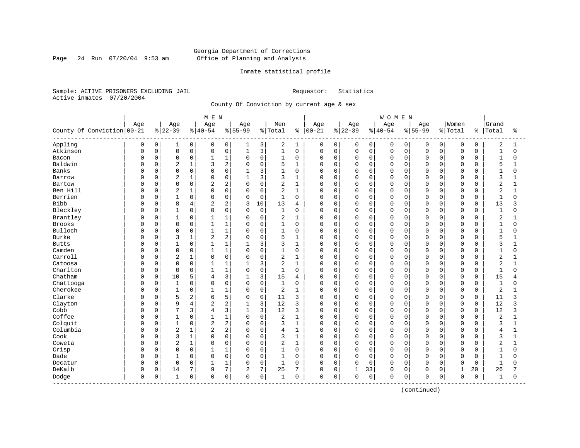Page 24 Run 07/20/04 9:53 am

## Inmate statistical profile

Sample: ACTIVE PRISONERS EXCLUDING JAIL Requestor: Statistics Active inmates 07/20/2004

County Of Conviction by current age & sex

|                            |     |          |                |                | M E N          |                |              |             |                |                |             |             |             |             | WOMEN       |             |             |             |              |              |                |              |
|----------------------------|-----|----------|----------------|----------------|----------------|----------------|--------------|-------------|----------------|----------------|-------------|-------------|-------------|-------------|-------------|-------------|-------------|-------------|--------------|--------------|----------------|--------------|
|                            | Age |          | Age            |                | Age            |                | Age          |             | Men            |                | Age         |             | Age         |             | Age         |             | Age         |             | Women        |              | Grand          |              |
| County Of Conviction 00-21 |     |          | $8 22-39$      |                | $ 40-54$       |                | $8 55-99$    |             | % Total        | ႜ              | $00 - 21$   |             | $ 22 - 39$  |             | $8 40-54$   |             | $8 55-99$   |             | % Total      | ႜ            | Total          | ႜ            |
| Appling                    | 0   | 0        | 1              | 0              | 0              | 0              | 1            | 3           | 2              | 1              | 0           | 0           | 0           | 0           | 0           | 0           | 0           | $\mathbf 0$ | $\mathbf 0$  | $\mathbf 0$  | 2              | 1            |
| Atkinson                   | O   | 0        | $\mathbf 0$    | 0              | $\mathbf 0$    | $\mathsf 0$    | $\mathbf{1}$ | 3           | $\mathbf{1}$   | $\mathsf 0$    | $\mathbf 0$ | 0           | $\mathbf 0$ | 0           | $\mathbf 0$ | $\mathbf 0$ | $\mathbf 0$ | $\mathbf 0$ | $\mathbf 0$  | 0            | $\mathbf{1}$   | $\Omega$     |
| Bacon                      | U   | 0        | $\mathbf 0$    | 0              | $\mathbf{1}$   | 1              | $\Omega$     | $\mathbf 0$ | 1              | 0              | $\mathbf 0$ | $\mathbf 0$ | $\mathbf 0$ | 0           | $\mathbf 0$ | 0           | $\Omega$    | $\Omega$    | $\mathbf 0$  | 0            | $\mathbf{1}$   | 0            |
| Baldwin                    | O   | 0        | 2              | $1\,$          | 3              | 2              | $\Omega$     | $\mathbf 0$ | 5              | $\mathbf{1}$   | $\Omega$    | $\Omega$    | $\Omega$    | $\Omega$    | $\Omega$    | $\Omega$    | $\cap$      | $\Omega$    | $\mathbf 0$  | $\Omega$     | 5              |              |
| <b>Banks</b>               | U   | $\Omega$ | $\Omega$       | $\mathbf 0$    | $\Omega$       | $\Omega$       | 1            | 3           | $\mathbf{1}$   | $\Omega$       | U           | $\Omega$    | $\Omega$    | $\Omega$    | $\Omega$    | $\cap$      | $\cap$      | $\Omega$    | $\Omega$     | <sup>n</sup> | $\mathbf{1}$   | $\Omega$     |
| Barrow                     | U   | $\Omega$ | $\overline{2}$ | $\mathbf 1$    | $\Omega$       | $\mathbf 0$    | $\mathbf{1}$ | 3           | 3              | 1              | 0           | 0           | $\Omega$    | $\Omega$    | $\Omega$    | $\Omega$    | $\Omega$    | $\Omega$    | $\mathbf 0$  | $\Omega$     | 3              | 1            |
| Bartow                     |     | 0        | $\Omega$       | 0              | $\overline{c}$ | 2              | $\Omega$     | $\mathbf 0$ | 2              | $\mathbf{1}$   | 0           | 0           | $\Omega$    | 0           | $\Omega$    | 0           | $\Omega$    | $\mathbf 0$ | $\mathbf 0$  | 0            | $\overline{2}$ | $\mathbf{1}$ |
| Ben Hill                   | O   | 0        | $\overline{2}$ | $\mathbf{1}$   | $\cap$         | $\mathbf 0$    | $\Omega$     | $\mathbf 0$ | $\overline{2}$ | $\mathbf{1}$   | $\mathbf 0$ | 0           | $\mathbf 0$ | 0           | $\Omega$    | 0           | $\cap$      | $\Omega$    | $\mathbf 0$  | $\Omega$     | $\overline{2}$ | 1            |
| Berrien                    | O   | 0        | 1              | $\mathbf 0$    | $\Omega$       | $\mathbf 0$    | 0            | $\mathbf 0$ | 1              | $\mathbf 0$    | 0           | 0           | 0           | 0           | $\Omega$    | 0           | $\Omega$    | $\Omega$    | $\mathbf 0$  | $\Omega$     | $\mathbf{1}$   | 0            |
| <b>Bibb</b>                | O   | 0        | 8              | 4              | 2              | $\overline{2}$ | 3            | 10          | 13             | $\overline{4}$ | $\mathbf 0$ | $\Omega$    | $\Omega$    | $\mathbf 0$ | $\Omega$    | $\mathbf 0$ | $\Omega$    | $\Omega$    | $\mathbf 0$  | 0            | 13             | 3            |
| Bleckley                   | 0   | $\Omega$ | $\mathbf{1}$   | 0              | $\Omega$       | $\Omega$       | $\Omega$     | $\mathbf 0$ | $\mathbf{1}$   | $\Omega$       | $\Omega$    | $\Omega$    | $\Omega$    | $\Omega$    | $\Omega$    | $\Omega$    | $\Omega$    | $\Omega$    | $\Omega$     | $\Omega$     | $\mathbf{1}$   | $\Omega$     |
| Brantley                   | 0   | $\Omega$ | $\mathbf{1}$   | $\mathbf 0$    | 1              | $\mathbf{1}$   | $\Omega$     | $\mathbf 0$ | 2              | 1              | 0           | $\Omega$    | 0           | $\Omega$    | $\Omega$    | $\Omega$    | O           | $\Omega$    | $\mathbf 0$  | 0            | 2              | 1            |
| Brooks                     |     | 0        | $\mathbf 0$    | 0              |                | $\mathbf{1}$   | $\Omega$     | $\mathsf 0$ | $1\,$          | $\mathbf 0$    | 0           | 0           | 0           | 0           | $\mathbf 0$ | 0           | $\Omega$    | $\mathbf 0$ | $\mathbf 0$  | O            | $\mathbf{1}$   | 0            |
| Bulloch                    | O   | 0        | $\mathbf 0$    | $\mathsf 0$    | $\mathbf{1}$   | $\mathbf{1}$   | $\Omega$     | $\mathbf 0$ | $\mathbf 1$    | $\mathbf 0$    | 0           | $\Omega$    | $\Omega$    | 0           | $\Omega$    | 0           | $\cap$      | $\Omega$    | $\mathbf 0$  | $\Omega$     | $\mathbf{1}$   | $\Omega$     |
| <b>Burke</b>               | O   | 0        | 3              | $\mathbf{1}$   | $\overline{2}$ | $\overline{2}$ | $\Omega$     | $\mathbf 0$ | 5              | 1              | 0           | 0           | 0           | 0           | $\Omega$    | 0           | $\Omega$    | $\Omega$    | $\mathbf 0$  | 0            | 5              |              |
| <b>Butts</b>               | U   | 0        | 1              | 0              |                | 1              |              | 3           | 3              | 1              | $\mathbf 0$ | $\Omega$    | $\Omega$    | 0           | $\Omega$    | $\Omega$    | $\Omega$    | $\Omega$    | $\mathbf 0$  | 0            | 3              | 1            |
| Camden                     | U   | $\Omega$ | $\Omega$       | $\Omega$       | $\mathbf{1}$   | $\mathbf{1}$   | $\Omega$     | $\Omega$    | 1              | $\Omega$       | 0           | $\Omega$    | $\Omega$    | $\Omega$    | $\Omega$    | $\Omega$    | $\Omega$    | $\Omega$    | $\Omega$     | $\Omega$     | $\mathbf{1}$   | $\Omega$     |
| Carroll                    | 0   | $\Omega$ | $\overline{2}$ | $\mathbf 1$    | $\Omega$       | $\mathbf 0$    | $\Omega$     | $\mathbf 0$ | 2              | $\mathbf{1}$   | 0           | $\mathbf 0$ | $\Omega$    | $\Omega$    | $\Omega$    | $\Omega$    | 0           | $\Omega$    | $\mathbf 0$  | O            | $\overline{2}$ |              |
| Catoosa                    |     | 0        | $\Omega$       | 0              |                | $\mathbf{1}$   | $\mathbf{1}$ | 3           | $\overline{c}$ | $\mathbf{1}$   | 0           | $\mathbf 0$ | $\Omega$    | $\mathbf 0$ | $\Omega$    | $\Omega$    | $\Omega$    | $\Omega$    | $\mathbf 0$  | $\Omega$     | $\overline{2}$ | $\mathbf{1}$ |
| Charlton                   | O   | 0        | $\Omega$       | $\mathbf 0$    | $\mathbf{1}$   | $\mathbf{1}$   | $\Omega$     | $\Omega$    | $\mathbf{1}$   | $\Omega$       | $\Omega$    | $\mathbf 0$ | $\mathbf 0$ | $\Omega$    | $\Omega$    | $\Omega$    | $\Omega$    | $\Omega$    | $\mathbf 0$  | $\Omega$     | $\overline{1}$ | $\Omega$     |
| Chatham                    | U   | 0        | 10             | 5              | 4              | 3              |              | 3           | 15             | 4              | 0           | $\Omega$    | 0           | $\Omega$    | $\Omega$    | $\Omega$    | O           | $\Omega$    | 0            | $\Omega$     | 15             | 4            |
| Chattooga                  | U   | 0        | $\mathbf{1}$   | $\mathbf 0$    | $\Omega$       | $\Omega$       | $\Omega$     | $\mathbf 0$ | $\mathbf{1}$   | $\Omega$       | $\Omega$    | $\mathbf 0$ | $\Omega$    | $\Omega$    | $\Omega$    | $\Omega$    | $\cap$      | $\cap$      | $\mathbf 0$  | $\Omega$     | $\mathbf{1}$   | $\Omega$     |
| Cherokee                   | U   | 0        | $\mathbf{1}$   | 0              | -1             | $\mathbf{1}$   | $\Omega$     | $\mathbf 0$ | $\overline{2}$ | 1              | $\mathbf 0$ | $\mathbf 0$ | $\Omega$    | 0           | $\Omega$    | $\Omega$    | $\Omega$    | $\Omega$    | $\mathbf 0$  | 0            | 2              | 1            |
| Clarke                     | 0   | $\Omega$ | 5              | 2              | 6              | 5              | $\Omega$     | $\mathbf 0$ | 11             | 3              | 0           | $\Omega$    | $\Omega$    | $\Omega$    | $\Omega$    | $\Omega$    | 0           | $\Omega$    | $\mathbf 0$  | $\Omega$     | 11             | 3            |
| Clayton                    |     | 0        | 9              | $\overline{4}$ | $\overline{2}$ | 2              |              | 3           | 12             | 3              | 0           | 0           | $\Omega$    | $\mathbf 0$ | $\Omega$    | $\Omega$    | $\Omega$    | $\Omega$    | $\mathbf 0$  | 0            | 12             | 3            |
| Cobb                       | Ω   | 0        | $\overline{7}$ | 3              | $\overline{4}$ | 3              | $\mathbf{1}$ | 3           | 12             | 3              | $\Omega$    | $\Omega$    | $\Omega$    | $\Omega$    | $\Omega$    | $\Omega$    | $\Omega$    | $\Omega$    | $\mathbf 0$  | $\Omega$     | 12             | 3            |
| Coffee                     | U   | 0        |                | 0              |                | 1              | $\Omega$     | $\mathbf 0$ | 2              | 1              | 0           | $\Omega$    | $\Omega$    | $\Omega$    | $\Omega$    | $\Omega$    | $\Omega$    | $\Omega$    | $\mathbf 0$  | O            | $\overline{2}$ |              |
| Colquit                    | U   | 0        | $\mathbf{1}$   | 0              | $\overline{a}$ | 2              | $\Omega$     | $\Omega$    | 3              | $\mathbf{1}$   | O           | 0           | $\Omega$    | $\Omega$    | $\Omega$    | $\Omega$    | $\cap$      | $\cap$      | $\mathbf 0$  | $\Omega$     | 3              | 1            |
| Columbia                   | U   | $\Omega$ | $\overline{2}$ | $1\,$          | $\overline{2}$ | 2              | $\Omega$     | $\mathbf 0$ | 4              | 1              | O           | $\Omega$    | $\Omega$    | $\Omega$    | $\Omega$    | $\Omega$    | $\cap$      | $\Omega$    | $\mathbf 0$  | $\Omega$     | 4              | 1            |
| Cook                       | U   | 0        | 3              | $\mathbf 1$    | $\Omega$       | $\mathbf 0$    | $\Omega$     | $\mathbf 0$ | 3              | $\mathbf{1}$   | 0           | 0           | $\Omega$    | 0           | $\Omega$    | $\Omega$    | $\Omega$    | $\Omega$    | $\mathbf 0$  | O            | 3              | 1            |
| Coweta                     | 0   | 0        | $\overline{c}$ | $\mathbf{1}$   | 0              | $\mathbf 0$    | $\Omega$     | $\mathbf 0$ | 2              | $\mathbf{1}$   | 0           | $\mathbf 0$ | $\Omega$    | 0           | $\Omega$    | 0           | $\Omega$    | $\Omega$    | $\mathbf 0$  | O            | $\overline{2}$ | $\mathbf{1}$ |
| Crisp                      | U   | 0        | $\mathbf 0$    | 0              |                | 1              | 0            | $\mathbf 0$ | 1              | $\mathbf 0$    | $\mathbf 0$ | 0           | 0           | 0           | $\mathbf 0$ | 0           | $\Omega$    | $\Omega$    | $\mathbf 0$  | 0            | $\mathbf{1}$   | 0            |
| Dade                       | U   | 0        | 1              | $\mathbf 0$    | $\Omega$       | $\mathbf 0$    | $\mathbf 0$  | $\mathbf 0$ | 1              | 0              | $\mathbf 0$ | 0           | $\mathbf 0$ | $\mathbf 0$ | $\mathbf 0$ | 0           | $\Omega$    | $\Omega$    | $\mathbf 0$  | 0            | 1              | $\Omega$     |
| Decatur                    | 0   | 0        | $\Omega$       | 0              | $\mathbf{1}$   | 1              | $\Omega$     | $\Omega$    | $\mathbf{1}$   | $\Omega$       | $\Omega$    | $\mathbf 0$ | $\Omega$    | $\Omega$    | $\Omega$    | $\Omega$    | $\Omega$    | $\Omega$    | $\Omega$     | $\Omega$     | $\mathbf{1}$   | $\Omega$     |
| DeKalb                     | 0   | 0        | 14             | 7              | 9              | 7              | 2            | 7           | 25             | 7              | $\mathbf 0$ | $\mathbf 0$ | 1           | 33          | $\Omega$    | 0           | 0           | $\mathbf 0$ | $\mathbf{1}$ | 20           | 26             |              |
| Dodge<br>------------      | 0   | 0        | 1              | $\mathsf 0$    | $\mathbf 0$    | $\mathsf 0$    | $\Omega$     | $\mathsf 0$ | 1              | 0              | 0           | 0           | $\Omega$    | 0           | $\Omega$    | 0           | $\mathbf 0$ | $\mathsf 0$ | $\mathbf 0$  | 0            | 1              | 0            |
|                            |     |          |                |                |                |                |              |             |                |                |             |             |             |             |             |             |             |             |              |              |                |              |

(continued)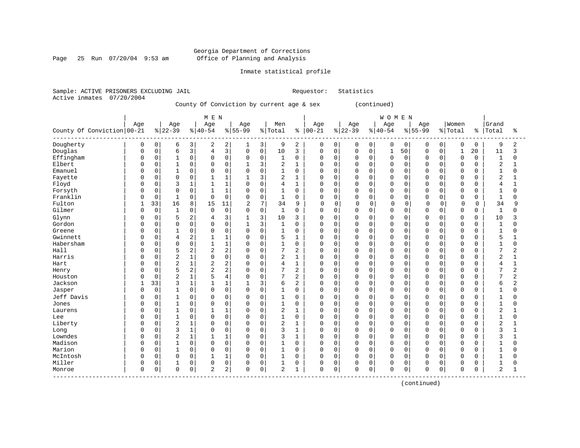Page 25 Run 07/20/04 9:53 am

## Inmate statistical profile

Sample: ACTIVE PRISONERS EXCLUDING JAIL Requestor: Statistics Active inmates 07/20/2004

County Of Conviction by current age & sex (continued)

|                              |          |             |                |                | M E N          |                |                |              |                |                |               |             |             |             | <b>WOMEN</b> |             |             |             |              |             |                |                |
|------------------------------|----------|-------------|----------------|----------------|----------------|----------------|----------------|--------------|----------------|----------------|---------------|-------------|-------------|-------------|--------------|-------------|-------------|-------------|--------------|-------------|----------------|----------------|
|                              | Age      |             | Age            |                | Age            |                | Age            |              | Men            |                | Age           |             | Age         |             | Age          |             | Age         |             | Women        |             | Grand          |                |
| County Of Conviction 00-21   |          |             | $ 22-39 $      |                | $ 40-54$       |                | $8155 - 99$    |              | % Total        |                | $8   00 - 21$ |             | $8 22-39$   |             | $8140 - 54$  |             | $8155 - 99$ | % Total     |              | န္          | Total          | ႜ              |
| Dougherty                    | 0        | $\mathbf 0$ | 6              | 3              | 2              | 2              | 1              | 3            | 9              | 2              | 0             | 0           | 0           | 0           | 0            | $\mathbf 0$ | 0           | 0           | $\mathbf 0$  | 0           | 9              | 2              |
| Douglas                      | $\Omega$ | $\mathbf 0$ | 6              | 3              | $\overline{4}$ | $\overline{3}$ | $\mathbf 0$    | $\mathsf{O}$ | 10             | 3              | 0             | 0           | $\mathbf 0$ | 0           | $\mathbf 1$  | 50          | $\mathbf 0$ | 0           | $\mathbf{1}$ | 20          | 11             | 3              |
| Effingham                    | 0        | $\mathbf 0$ | $\mathbf 1$    | $\mathbf 0$    | 0              | $\mathsf{O}$   | 0              | 0            | 1              | $\mathbf 0$    | $\mathbf 0$   | 0           | 0           | 0           | $\Omega$     | $\mathbf 0$ | $\Omega$    | $\Omega$    | $\mathbf 0$  | 0           | $\mathbf{1}$   | $\mathbf 0$    |
| Elbert                       |          | $\Omega$    | $\mathbf{1}$   | $\Omega$       | $\Omega$       | $\mathbf 0$    | 1              | 3            | $\overline{2}$ | $\mathbf{1}$   | $\Omega$      | 0           | $\Omega$    | $\Omega$    | $\Omega$     | $\mathbf 0$ | $\Omega$    | $\Omega$    | $\mathbf 0$  | $\Omega$    | $\overline{2}$ | $\mathbf{1}$   |
| Emanuel                      | U        | $\mathbf 0$ | $\mathbf 1$    | $\Omega$       | 0              | $\mathbf 0$    | 0              | $\mathbf 0$  | $\mathbf{1}$   | $\mathbf 0$    | $\mathbf 0$   | 0           | $\Omega$    | 0           | $\Omega$     | $\mathbf 0$ | $\cap$      | $\cap$      | $\mathbf 0$  | 0           | $\mathbf{1}$   | $\Omega$       |
| Fayette                      |          | $\mathbf 0$ | $\mathbf 0$    | $\Omega$       |                | 1              |                | 3            | 2              | 1              | $\mathbf 0$   | 0           | $\Omega$    | $\Omega$    | $\Omega$     | $\mathbf 0$ | $\Omega$    | $\cap$      | $\mathbf 0$  | $\Omega$    | $\overline{2}$ |                |
| Floyd                        | Ω        | $\mathbf 0$ | 3              | $\mathbf{1}$   |                | $\mathbf{1}$   | $\Omega$       | $\mathbf 0$  | 4              | $\mathbf{1}$   | $\mathbf 0$   | $\Omega$    | $\Omega$    | $\Omega$    | $\Omega$     | $\mathbf 0$ | $\Omega$    | $\Omega$    | $\Omega$     | $\Omega$    | 4              |                |
| Forsyth                      | U        | $\Omega$    | $\Omega$       | $\Omega$       | $\mathbf{1}$   | $\mathbf{1}$   | 0              | $\Omega$     | $\mathbf{1}$   | $\Omega$       | $\Omega$      | $\Omega$    | $\Omega$    | $\Omega$    | $\Omega$     | $\Omega$    | $\Omega$    | $\cap$      | $\Omega$     | $\Omega$    | $\mathbf{1}$   | $\Omega$       |
| Franklin                     | 0        | $\mathbf 0$ | $\mathbf{1}$   | $\mathbf 0$    | 0              | $\mathbf 0$    | 0              | $\mathbf 0$  | $\mathbf{1}$   | $\mathbf 0$    | $\Omega$      | $\Omega$    | $\Omega$    | $\Omega$    | $\mathbf 0$  | $\mathbf 0$ | $\Omega$    | $\Omega$    | $\mathbf 0$  | 0           | $\mathbf{1}$   | O              |
| Fulton                       | 1        | 33          | 16             | 8              | 15             | 11             | $\overline{c}$ | 7            | 34             | 9              | $\mathbf 0$   | $\mathbf 0$ | $\mathbf 0$ | $\Omega$    | $\circ$      | 0           | O           | 0           | $\mathbf 0$  | 0           | 34             | 9              |
| Gilmer                       | O        | $\mathbf 0$ | $\mathbf{1}$   | 0              | $\mathbf 0$    | $\mathsf 0$    | 0              | $\mathsf{O}$ | $\mathbf{1}$   | $\mathbf 0$    | $\mathbf 0$   | 0           | $\Omega$    | $\mathbf 0$ | $\Omega$     | $\mathbf 0$ | $\Omega$    | 0           | $\mathbf 0$  | 0           | $\mathbf 1$    | $\Omega$       |
| Glynn                        |          | $\mathbf 0$ | 5              | 2              | 4              | 3              |                | 3            | 10             | 3              | 0             | 0           | 0           | 0           | $\Omega$     | $\mathbf 0$ | $\Omega$    | $\mathbf 0$ | $\mathbf 0$  | $\mathbf 0$ | 10             | 3              |
| Gordon                       | U        | $\mathbf 0$ | $\mathbf 0$    | $\Omega$       | $\Omega$       | $\mathbf 0$    | $\mathbf{1}$   | 3            | $\mathbf{1}$   | $\mathbf 0$    | $\mathbf 0$   | 0           | $\Omega$    | $\Omega$    | $\Omega$     | $\mathbf 0$ | $\Omega$    | $\Omega$    | $\mathbf 0$  | $\Omega$    | $\mathbf{1}$   | $\Omega$       |
| Greene                       | Ω        | 0           | $\mathbf{1}$   | $\Omega$       | 0              | 0              | 0              | $\mathbf 0$  | 1              | $\mathbf 0$    | 0             | 0           | $\mathbf 0$ | $\Omega$    | $\Omega$     | 0           | $\Omega$    | $\Omega$    | 0            | $\Omega$    | 1              | O              |
| Gwinnett                     | Ω        | $\mathbf 0$ | 4              | $\overline{2}$ |                | $\mathbf{1}$   | 0              | $\mathbf 0$  | 5              | 1              | $\mathbf 0$   | 0           | $\Omega$    | $\Omega$    | $\Omega$     | $\mathbf 0$ | $\Omega$    | $\Omega$    | $\mathbf 0$  | $\Omega$    | 5              |                |
| Habersham                    | U        | $\mathbf 0$ | $\mathbf 0$    | $\mathbf 0$    | $\mathbf{1}$   | $\mathbf{1}$   | $\Omega$       | $\mathbf 0$  | $\mathbf{1}$   | $\mathbf 0$    | $\Omega$      | 0           | $\mathbf 0$ | $\Omega$    | $\Omega$     | $\Omega$    | $\cap$      | $\cap$      | $\Omega$     | $\Omega$    | $\mathbf{1}$   | $\Omega$       |
| Hall                         | U        | $\mathbf 0$ | 5              | 2              | $\overline{2}$ | 2              | 0              | $\mathbf 0$  | 7              | $\overline{2}$ | $\mathbf 0$   | $\Omega$    | $\Omega$    | $\Omega$    | $\Omega$     | $\Omega$    | $\Omega$    | $\Omega$    | $\Omega$     | $\Omega$    | 7              | $\overline{2}$ |
| Harris                       |          | $\mathbf 0$ | $\overline{2}$ | $\mathbf{1}$   | $\Omega$       | $\mathbf 0$    | 0              | $\mathbf 0$  | 2              | $\mathbf{1}$   | $\mathbf 0$   | $\Omega$    | $\Omega$    | $\Omega$    | $\Omega$     | $\Omega$    | $\Omega$    | $\Omega$    | $\Omega$     | $\Omega$    | $\overline{2}$ | $\mathbf{1}$   |
| Hart                         |          | $\mathbf 0$ | $\overline{2}$ | $\mathbf 1$    | $\overline{2}$ | 2              | 0              | $\mathbf 0$  | 4              | $\mathbf{1}$   | $\Omega$      | 0           | $\Omega$    | $\Omega$    | $\Omega$     | $\mathbf 0$ | $\Omega$    | $\Omega$    | $\Omega$     | $\Omega$    | 4              |                |
| Henry                        |          | $\Omega$    | 5              | $\overline{2}$ | 2              | 2              | 0              | $\mathbf 0$  | 7              | $\overline{2}$ | $\Omega$      | 0           | $\Omega$    | $\Omega$    | $\Omega$     | $\Omega$    | $\Omega$    | $\Omega$    | $\Omega$     | $\Omega$    | 7              | 2              |
| Houston                      |          | $\mathbf 0$ | $\overline{2}$ | $\mathbf{1}$   | 5              | 4              | 0              | $\mathbf 0$  | 7              | $\overline{2}$ | $\mathbf 0$   | 0           | $\mathbf 0$ | 0           | $\Omega$     | $\mathbf 0$ | $\cap$      | $\Omega$    | $\mathbf 0$  | 0           | 7              | $\overline{c}$ |
| Jackson                      |          | 33          | 3              | $\mathbf{1}$   |                | $\mathbf{1}$   |                | 3            | 6              | 2              | $\Omega$      | $\Omega$    | 0           | 0           | $\Omega$     | $\mathbf 0$ |             | $\Omega$    | $\mathbf 0$  | 0           | 6              | $\overline{c}$ |
| Jasper                       | O        | $\mathbf 0$ | $\mathbf{1}$   | $\mathbf 0$    | $\Omega$       | $\mathbf 0$    | $\Omega$       | $\mathbf 0$  | $\mathbf{1}$   | $\mathbf 0$    | $\Omega$      | 0           | $\Omega$    | 0           | $\Omega$     | $\mathbf 0$ | $\Omega$    | $\Omega$    | $\Omega$     | $\Omega$    | $\mathbf{1}$   | $\Omega$       |
| Jeff Davis                   | Ω        | $\mathbf 0$ | 1              | $\Omega$       | $\Omega$       | $\mathbf 0$    | 0              | $\mathbf 0$  | $\mathbf{1}$   | $\Omega$       | $\mathbf 0$   | 0           | $\Omega$    | $\Omega$    | $\Omega$     | $\mathbf 0$ | $\Omega$    | $\Omega$    | $\mathbf 0$  | $\Omega$    | $\mathbf{1}$   | O              |
| Jones                        | O        | $\Omega$    | $\mathbf 1$    | $\Omega$       | $\Omega$       | $\Omega$       | 0              | $\mathbf 0$  | $\mathbf{1}$   | $\mathbf 0$    | $\Omega$      | $\Omega$    | $\Omega$    | $\Omega$    | $\Omega$     | $\Omega$    | $\Omega$    | $\Omega$    | $\Omega$     | $\Omega$    | $\mathbf{1}$   | $\Omega$       |
| Laurens                      |          | $\Omega$    | 1              | $\Omega$       | $\mathbf{1}$   | $\mathbf{1}$   | 0              | $\mathbf 0$  | 2              | $\mathbf{1}$   | $\mathbf 0$   | $\Omega$    | $\Omega$    | $\Omega$    | $\Omega$     | $\Omega$    | $\Omega$    | $\Omega$    | $\Omega$     | $\Omega$    | $\overline{2}$ | $\mathbf{1}$   |
| Lee                          |          | $\mathbf 0$ | $\mathbf{1}$   | $\Omega$       | $\Omega$       | $\mathbf 0$    | $\Omega$       | $\mathsf 0$  | 1              | $\mathbf 0$    | $\Omega$      | 0           | $\Omega$    | $\Omega$    | $\Omega$     | $\mathbf 0$ | $\Omega$    | $\Omega$    | $\mathbf 0$  | $\Omega$    | $\mathbf{1}$   | 0              |
| Liberty                      |          | $\mathbf 0$ | $\overline{2}$ | $\mathbf{1}$   | $\Omega$       | $\mathbf 0$    | $\Omega$       | $\mathbf 0$  | 2              | $\mathbf{1}$   | $\Omega$      | 0           | $\Omega$    | 0           | $\Omega$     | $\mathbf 0$ | $\Omega$    | $\Omega$    | $\mathbf 0$  | $\Omega$    | $\overline{2}$ | $\mathbf{1}$   |
| Long                         | O        | $\mathbf 0$ | 3              | $\mathbf{1}$   | $\Omega$       | $\mathbf 0$    | $\Omega$       | $\mathbf 0$  | 3              | $\mathbf{1}$   | $\mathbf 0$   | 0           | $\mathbf 0$ | $\Omega$    | $\Omega$     | $\mathbf 0$ | $\Omega$    | $\Omega$    | $\mathbf 0$  | $\Omega$    | 3              | $\mathbf{1}$   |
| Lowndes                      |          | $\mathbf 0$ | $\overline{2}$ | $\mathbf{1}$   |                | $\mathbf{1}$   | $\Omega$       | $\mathbf 0$  | 3              | 1              | $\mathbf 0$   | 0           | $\Omega$    | $\Omega$    | $\Omega$     | $\mathbf 0$ | $\Omega$    | $\Omega$    | $\mathbf 0$  | $\Omega$    | 3              |                |
| Madison                      | O        | $\mathbf 0$ | 1              | $\Omega$       | $\Omega$       | $\mathbf 0$    | 0              | $\mathbf 0$  | $\mathbf{1}$   | $\mathbf 0$    | $\Omega$      | 0           | $\mathbf 0$ | $\Omega$    | $\Omega$     | $\Omega$    | $\Omega$    | $\Omega$    | $\Omega$     | $\Omega$    | $\mathbf{1}$   | $\Omega$       |
| Marion                       | U        | $\Omega$    | $\mathbf 1$    | $\Omega$       | 0              | $\mathbf 0$    | 0              | $\mathbf 0$  | $\mathbf{1}$   | $\mathbf 0$    | $\mathbf 0$   | 0           | $\mathbf 0$ | $\Omega$    | $\Omega$     | $\mathbf 0$ | $\cap$      | $\cap$      | $\Omega$     | $\Omega$    | $\mathbf{1}$   | $\cap$         |
| McIntosh                     | $\Omega$ | $\mathbf 0$ | $\mathsf 0$    | $\mathbf 0$    | $\mathbf{1}$   | $\mathbf{1}$   | 0              | $\mathbf 0$  | $\mathbf 1$    | $\mathbf 0$    | $\mathbf 0$   | 0           | $\mathbf 0$ | $\Omega$    | $\Omega$     | $\mathbf 0$ | $\Omega$    | $\Omega$    | $\Omega$     | $\Omega$    | $\mathbf{1}$   | O              |
| Miller                       | 0        | $\mathbf 0$ | 1              | $\mathbf 0$    | 0              | $\mathsf 0$    | 0              | $\mathbf 0$  | 1              | 0              | 0             | 0           | 0           | 0           | $\Omega$     | 0           | $\Omega$    | 0           | $\mathbf 0$  | 0           |                | 0              |
| Monroe<br>------------------ | $\Omega$ | 0           | $\Omega$       | 0              | $\overline{a}$ | 2              | 0              | $\mathsf 0$  | 2              | 1              | $\mathbf 0$   | 0           | $\Omega$    | 0           | $\Omega$     | 0           | $\Omega$    | 0           | $\mathbf 0$  | 0           | $\overline{2}$ | $\mathbf{1}$   |

(continued)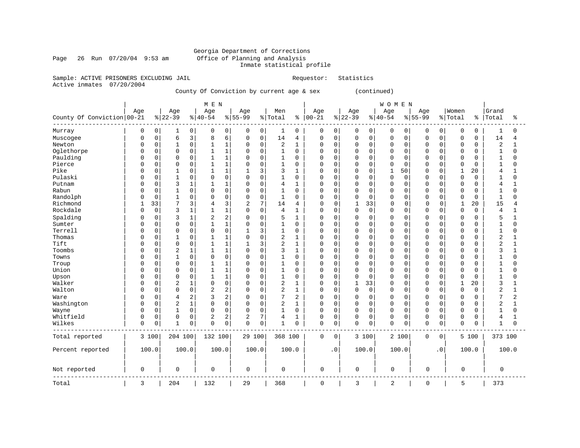## Georgia Department of Corrections<br>Office of Planning and Analysis Inmate statistical profile

Page 26 Run 07/20/04 9:53 am

Sample: ACTIVE PRISONERS EXCLUDING JAIL **Requestor:** Statistics

Active inmates 07/20/2004

County Of Conviction by current age & sex (continued)

|                            |              |             |                 |                | M E N            |                |                    |             |                |              |                  |             |                 |             | WOMEN            |             |                    |             |                    |       |                |              |
|----------------------------|--------------|-------------|-----------------|----------------|------------------|----------------|--------------------|-------------|----------------|--------------|------------------|-------------|-----------------|-------------|------------------|-------------|--------------------|-------------|--------------------|-------|----------------|--------------|
| County Of Conviction 00-21 | Age          |             | Age<br>$ 22-39$ |                | Age<br>$8 40-54$ |                | Age<br>$8155 - 99$ |             | Men<br>% Total | ႜ            | Age<br>$00 - 21$ |             | Age<br>$ 22-39$ |             | Age<br>$8 40-54$ |             | Age<br>$8155 - 99$ |             | Women<br>%   Total | ి     | Grand<br>Total | ႜ            |
| Murray                     | 0            | 0           |                 | 0              | $\mathbf 0$      | 0              | 0                  | 0           | 1              | 0            | 0                | 0           | 0               | 0           | 0                | 0           | 0                  | 0           | 0                  | 0     |                | 0            |
| Muscogee                   | $\Omega$     | $\mathbf 0$ | 6               | 3              | 8                | 6              | $\mathbf 0$        | $\mathbf 0$ | 14             | 4            | $\mathbf 0$      | 0           | $\mathbf 0$     | $\mathbf 0$ | $\mathbf 0$      | 0           | 0                  | 0           | 0                  | 0     | 14             | 4            |
| Newton                     | <sup>0</sup> | $\mathsf 0$ | 1               | $\mathsf 0$    | $\mathbf{1}$     | $\mathbf{1}$   | 0                  | 0           | 2              | $\mathbf{1}$ | 0                | 0           | $\mathbf 0$     | $\mathbf 0$ | $\mathbf 0$      | $\mathbf 0$ | $\Omega$           | $\mathbf 0$ | 0                  | 0     | 2              | $\mathbf{1}$ |
| Oglethorpe                 | $\Omega$     | $\mathbf 0$ | $\Omega$        | $\mathbf 0$    | $\mathbf{1}$     | $\mathbf{1}$   | $\Omega$           | $\mathbf 0$ | $\mathbf{1}$   | $\mathbf 0$  | $\Omega$         | $\Omega$    | $\Omega$        | $\Omega$    | $\Omega$         | $\mathbf 0$ | $\Omega$           | $\Omega$    | $\Omega$           | 0     | $\mathbf{1}$   | $\Omega$     |
| Paulding                   | <sup>0</sup> | 0           | 0               | $\mathsf 0$    |                  | $\mathbf{1}$   | 0                  | 0           | 1              | 0            | $\Omega$         | 0           | $\Omega$        | 0           | 0                | $\mathbf 0$ | O                  | 0           | $\Omega$           | 0     |                | $\Omega$     |
| Pierce                     | <sup>0</sup> | $\mathbf 0$ | $\Omega$        | $\mathbf 0$    | $\mathbf{1}$     | $\mathbf{1}$   | $\Omega$           | $\mathbf 0$ | $\mathbf 1$    | $\Omega$     | $\Omega$         | $\Omega$    | $\Omega$        | $\Omega$    | $\mathbf 0$      | $\Omega$    | $\Omega$           | $\Omega$    | $\Omega$           | 0     | 1              | $\Omega$     |
| Pike                       | 0            | $\mathbf 0$ |                 | $\mathbf 0$    | 1                | $\mathbf{1}$   | 1                  | 3           | 3              | 1            | $\Omega$         | 0           | $\Omega$        | $\Omega$    | $\mathbf 1$      | 50          | 0                  | $\mathbf 0$ | 1                  | 20    | 4              | $\mathbf{1}$ |
| Pulaski                    | n            | 0           | 1               | $\mathbf 0$    | 0                | $\mathbf 0$    | 0                  | $\mathbf 0$ | 1              | $\Omega$     | $\Omega$         | 0           | $\Omega$        | $\mathbf 0$ | $\mathbf 0$      | 0           | O                  | $\mathbf 0$ | 0                  | 0     | 1              | $\Omega$     |
| Putnam                     | n            | $\mathbf 0$ | 3               | $\mathbf{1}$   | 1                | $\mathbf{1}$   | $\Omega$           | $\mathbf 0$ | 4              | $\mathbf{1}$ | $\Omega$         | 0           | $\Omega$        | $\Omega$    | $\mathbf 0$      | $\mathbf 0$ | O                  | $\Omega$    | $\Omega$           | 0     | 4              | 1            |
| Rabun                      | $\Omega$     | $\mathbf 0$ | 1               | $\mathbf 0$    | $\mathbf 0$      | $\Omega$       | 0                  | $\mathbf 0$ | 1              | $\Omega$     | $\Omega$         | $\Omega$    | $\Omega$        | $\Omega$    | $\mathbf 0$      | $\Omega$    | $\Omega$           | $\Omega$    | 0                  | 0     | $\mathbf{1}$   | $\Omega$     |
| Randolph                   |              | 0           | 1               | $\mathbf 0$    | $\Omega$         | $\mathbf 0$    | 0                  | $\mathbf 0$ | $\mathbf{1}$   | 0            | $\mathbf 0$      | 0           | $\Omega$        | $\mathbf 0$ | $\mathbf 0$      | 0           | $\Omega$           | 0           | 0                  | 0     | $\mathbf{1}$   | $\Omega$     |
| Richmond                   |              | 33          | 7               | 3              | 4                | 3              | 2                  | 7           | 14             | 4            | $\mathbf 0$      | 0           | $\mathbf{1}$    | 33          | $\Omega$         | 0           | $\Omega$           | 0           | $\mathbf{1}$       | 20    | 15             | 4            |
| Rockdale                   | <sup>0</sup> | $\mathbf 0$ | 3               | $\mathbf{1}$   | 1                | $\mathbf{1}$   | 0                  | $\mathbf 0$ | 4              | 1            | $\Omega$         | 0           | 0               | $\mathbf 0$ | $\mathbf 0$      | $\mathbf 0$ | 0                  | 0           | 0                  | 0     | 4              | 1            |
| Spalding                   | <sup>0</sup> | $\mathbf 0$ | 3               | $\mathbf{1}$   | $\overline{2}$   | 2              | 0                  | $\mathbf 0$ | 5              | 1            | $\Omega$         | 0           | 0               | $\mathbf 0$ | $\mathbf 0$      | $\mathbf 0$ | 0                  | 0           | $\Omega$           | 0     | 5              | $\mathbf{1}$ |
| Sumter                     |              | $\mathsf 0$ | $\Omega$        | $\mathsf 0$    | $\mathbf{1}$     | $\mathbf{1}$   | 0                  | $\mathbf 0$ | $\mathbf{1}$   | $\Omega$     | $\Omega$         | $\mathbf 0$ | $\Omega$        | $\mathbf 0$ | $\overline{0}$   | 0           | 0                  | $\mathbf 0$ | 0                  | 0     |                | $\Omega$     |
| Terrell                    | $\Omega$     | $\mathbf 0$ | $\mathbf 0$     | $\mathbf 0$    | $\Omega$         | $\mathbf 0$    | $\mathbf{1}$       | 3           | 1              | $\Omega$     | $\mathbf 0$      | 0           | $\Omega$        | $\mathbf 0$ | $\mathbf 0$      | 0           | $\Omega$           | 0           | 0                  | 0     | 1              | $\Omega$     |
| Thomas                     | <sup>0</sup> | 0           |                 | $\mathbf 0$    | 1                | $\mathbf{1}$   | 0                  | $\mathbf 0$ | 2              | 1            | $\Omega$         | 0           | $\Omega$        | 0           | $\mathbf 0$      | 0           | 0                  | $\Omega$    | 0                  | 0     | 2              | $\mathbf{1}$ |
| Tift                       | n            | $\mathbf 0$ | $\mathbf 0$     | $\mathbf 0$    | $\mathbf{1}$     | $\mathbf{1}$   | $\mathbf{1}$       | 3           | 2              | $\mathbf{1}$ | $\Omega$         | 0           | $\Omega$        | $\Omega$    | $\mathbf 0$      | $\mathbf 0$ | $\Omega$           | $\Omega$    | 0                  | 0     | $\overline{2}$ | $\mathbf{1}$ |
| Toombs                     |              | $\mathbf 0$ | 2               | $\mathbf{1}$   | $\mathbf{1}$     | $\mathbf{1}$   | 0                  | $\mathbf 0$ | 3              | $\mathbf{1}$ | $\Omega$         | $\Omega$    | $\Omega$        | $\Omega$    | $\Omega$         | $\Omega$    | 0                  | $\Omega$    | $\Omega$           | 0     | 3              | $\mathbf{1}$ |
| Towns                      | <sup>0</sup> | 0           |                 | $\mathsf 0$    | 0                | $\mathbf 0$    | 0                  | $\mathbf 0$ | 1              | 0            | 0                | 0           | 0               | 0           | $\mathbf 0$      | 0           | 0                  | 0           | $\Omega$           | 0     |                | $\Omega$     |
| Troup                      | <sup>0</sup> | $\Omega$    | $\Omega$        | $\mathbf 0$    | $\mathbf{1}$     | $\mathbf{1}$   | $\Omega$           | $\mathbf 0$ | 1              | $\Omega$     | $\Omega$         | $\Omega$    | $\Omega$        | $\Omega$    | $\mathbf 0$      | $\Omega$    | $\Omega$           | $\Omega$    | $\Omega$           | 0     | 1              | $\Omega$     |
| Union                      | $\Omega$     | $\mathbf 0$ | $\Omega$        | $\mathbf 0$    | 1                | $\mathbf{1}$   | 0                  | $\mathbf 0$ | 1              | $\Omega$     | $\Omega$         | 0           | $\Omega$        | $\Omega$    | $\mathbf 0$      | $\Omega$    | $\Omega$           | $\Omega$    | $\Omega$           | 0     |                | $\Omega$     |
| Upson                      | <sup>0</sup> | 0           | $\Omega$        | $\mathbf 0$    | $\mathbf{1}$     | $\mathbf{1}$   | 0                  | $\mathbf 0$ | $1\,$          | $\Omega$     | $\Omega$         | 0           | $\mathbf 0$     | $\mathbf 0$ | $\overline{0}$   | 0           | $\Omega$           | $\mathbf 0$ | $\Omega$           | 0     | 1              | $\Omega$     |
| Walker                     | <sup>0</sup> | $\mathbf 0$ | $\overline{2}$  | $\mathbf{1}$   | $\Omega$         | $\mathbf 0$    | 0                  | $\mathbf 0$ | 2              | $\mathbf{1}$ | $\Omega$         | $\mathbf 0$ | 1               | 33          | $\mathbf 0$      | 0           | $\Omega$           | $\mathbf 0$ | $\mathbf{1}$       | 20    | 3              | $\mathbf{1}$ |
| Walton                     | <sup>0</sup> | $\mathbf 0$ | $\mathbf 0$     | $\mathbf 0$    | $\overline{2}$   | $\overline{2}$ | 0                  | $\mathbf 0$ | 2              | 1            | $\Omega$         | 0           | 0               | $\mathbf 0$ | $\mathbf 0$      | $\mathbf 0$ | 0                  | $\mathbf 0$ | $\mathbf 0$        | 0     | $\overline{2}$ | $\mathbf{1}$ |
| Ware                       | 0            | $\mathbf 0$ | 4               | $\overline{2}$ | 3                | $\overline{2}$ | 0                  | $\mathbf 0$ | 7              | 2            | 0                | 0           | $\Omega$        | $\mathbf 0$ | $\mathbf 0$      | $\mathbf 0$ | 0                  | $\mathbf 0$ | 0                  | 0     | 7              | 2            |
| Washington                 | $\Omega$     | $\mathbf 0$ | $\overline{c}$  | $1\,$          | $\Omega$         | $\mathbf 0$    | 0                  | $\mathbf 0$ | 2              | $\mathbf{1}$ | $\Omega$         | 0           | $\mathbf 0$     | $\Omega$    | $\mathbf 0$      | 0           | $\Omega$           | $\Omega$    | $\Omega$           | 0     | $\overline{2}$ | $\mathbf{1}$ |
| Wayne                      | $\Omega$     | $\mathbf 0$ |                 | $\mathbf 0$    | $\Omega$         | $\mathbf 0$    | $\Omega$           | $\mathbf 0$ | $\mathbf{1}$   | 0            | $\Omega$         | $\mathbf 0$ | $\Omega$        | $\Omega$    | $\mathbf 0$      | 0           | $\Omega$           | 0           | $\Omega$           | 0     |                | $\Omega$     |
| Whitfield                  | $\Omega$     | 0           | 0               | $\mathbf 0$    | $\overline{c}$   | $\overline{c}$ | 2                  | 7           | 4              | 1            | 0                | 0           | 0               | $\mathbf 0$ | $\mathbf 0$      | 0           | 0                  | 0           | 0                  | 0     | 4              | 1            |
| Wilkes                     | $\Omega$     | $\mathsf 0$ | $\mathbf{1}$    | $\mathsf 0$    | $\overline{0}$   | $\mathbf 0$    | $\Omega$           | $\mathbf 0$ | 1              | $\Omega$     | $\Omega$         | 0           | $\mathbf 0$     | $\mathbf 0$ | $\mathbf 0$      | 0           | $\mathbf 0$        | $\mathbf 0$ | $\Omega$           | 0     | 1              | $\mathbf 0$  |
| Total reported             |              | 3 100       | 204 100         |                | 132 100          |                | 29 100             |             | 368 100        |              | $\mathbf 0$      | $\mathbf 0$ |                 | 3 100       |                  | 2 100       | 0                  | 0           |                    | 5 100 | 373 100        |              |
| Percent reported           |              | 100.0       |                 | 100.0          | 100.0            |                | 100.0              |             | 100.0          |              |                  | $\cdot$ 0   |                 | 100.0       |                  | 100.0       |                    | $\cdot$ 0   |                    | 100.0 |                | 100.0        |
| Not reported               | $\mathbf 0$  |             | 0               |                | 0                |                | 0                  |             | 0              |              | $\mathbf 0$      |             | 0               |             | 0                |             | $\mathbf 0$        |             | 0                  |       | 0              |              |
| Total                      | 3            |             | 204             |                | 132              |                | 29                 |             | 368            |              | $\mathbf 0$      |             | 3               |             | 2                |             | $\mathbf 0$        |             | 5                  |       | 373            |              |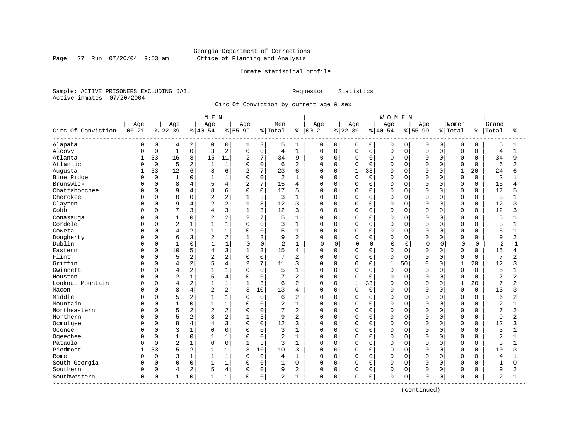Page 27 Run 07/20/04 9:53 am

## Inmate statistical profile

Sample: ACTIVE PRISONERS EXCLUDING JAIL Requestor: Statistics Active inmates 07/20/2004

Circ Of Conviction by current age & sex

| Age<br>Age<br>Women<br>Grand<br>Age<br>Age<br>Age<br>Men<br>Age<br>Age<br>Age<br>Circ Of Conviction<br>$00 - 21$<br>$ 22-39$<br>$8 40-54$<br>$8 55-99$<br>% Total<br>$ 00 - 21$<br>$ 22-39$<br>$ 40-54$<br>$8 55-99$<br>% Total<br>Total<br>ႜ<br>နွ<br>ႜ<br>Alapaha<br>$\mathbf 0$<br>2<br>0<br>3<br>$\mathbf 0$<br>0<br>0<br>$\overline{0}$<br>5<br>0<br>0<br>5<br>1<br>0<br>0<br>0<br>0<br>0<br>0<br>4<br>1<br>1<br>$\mathbf{1}$<br>0<br>2<br>$\mathsf 0$<br>$\mathbf 1$<br>Alcovy<br>$\mathbf 0$<br>3<br>$\mathbf 0$<br>0<br>$\mathbf 0$<br>$\mathsf 0$<br>$\mathbf 0$<br>$\mathbf 0$<br>$\overline{0}$<br>$\overline{4}$<br>$\overline{4}$<br>0<br>$\mathbf 0$<br>0<br>$\mathbf 0$<br>$\mathbf{1}$<br>C<br>7<br>33<br>8<br>9<br>Atlanta<br>16<br>15<br>11<br>2<br>34<br>$\Omega$<br>$\mathbf 0$<br>0<br>$\mathbf 0$<br>$\mathbf 0$<br>$\Omega$<br>$\mathbf 0$<br>34<br>9<br>0<br>$\Omega$<br>0<br>Atlantic<br>$\mathbf 0$<br>5<br>2<br>$\mathbf{1}$<br>$\mathbf 0$<br>$\mathbf{1}$<br>6<br>2<br>$\mathbf 0$<br>$\Omega$<br>$\Omega$<br>$\Omega$<br>$\Omega$<br>$\Omega$<br>$\Omega$<br>6<br>2<br>$\Omega$<br>O<br>$\Omega$<br>$\Omega$<br>6<br>7<br>33<br>12<br>33<br>Augusta<br>6<br>2<br>23<br>$\mathbf 0$<br>$\mathbf{1}$<br>$\mathbf{1}$<br>20<br>24<br>8<br>6<br>U<br>U<br>$\Omega$<br>U<br>U<br>б<br>$\mathbf 0$<br>$\mathbf 0$<br>0<br>$\overline{2}$<br>Blue Ridge<br>$\mathbf{1}$<br>1<br>$\mathbf 0$<br>2<br>$\mathbf 0$<br>0<br>$\mathbf 0$<br>0<br>$\mathbf 0$<br>$\Omega$<br>1<br>0<br>$\Omega$<br>$\Omega$<br>0<br>1<br>C<br>Brunswick<br>$\overline{2}$<br>7<br>15<br>15<br>$\mathbf 0$<br>8<br>4<br>4<br>$\mathbf 0$<br>$\mathbf 0$<br>0<br>0<br>$\mathbf 0$<br>4<br>0<br>0<br>$\Omega$<br>0<br>0<br>4<br>C<br>Chattahoochee<br>$\mathbf 0$<br>17<br>17<br>0<br>9<br>4<br>8<br>6<br>$\Omega$<br>5<br>0<br>$\mathbf 0$<br>$\mathbf 0$<br>O<br>$\Omega$<br>$\Omega$<br>$\Omega$<br>0<br>0<br>0<br>C<br>3<br>Cherokee<br>$\overline{2}$<br>0<br>3<br>$\mathbf 0$<br>0<br>3<br>0<br>$\Omega$<br>2<br>1<br>0<br>0<br>0<br>$\Omega$<br>$\Omega$<br>O<br>$\Omega$<br>0<br>C<br>2<br>3<br>Clayton<br>9<br>4<br>2<br>12<br>$\mathbf 0$<br>$\mathbf 0$<br>$\Omega$<br>12<br>0<br>$\mathbf{1}$<br>3<br>0<br>$\Omega$<br>$\Omega$<br>$\Omega$<br>$\Omega$<br>$\Omega$<br>$\Omega$<br>ς<br>3<br>3<br>7<br>3<br>Cobb<br>$\Omega$<br>12<br>3<br>$\mathbf 0$<br>$\Omega$<br>$\Omega$<br>12<br>$\mathbf{1}$<br>0<br>$\Omega$<br>$\Omega$<br>$\Omega$<br>$\Omega$<br>$\Omega$<br>$\Omega$<br>3<br>4<br>C<br>7<br>2<br>0<br>5<br>0<br>$\overline{2}$<br>2<br>5<br>$\mathbf{1}$<br>$\mathbf 0$<br>$\Omega$<br>0<br>0<br>Conasauga<br>$\mathbf{1}$<br>0<br>0<br>$\Omega$<br>$\Omega$<br>$\Omega$<br>$\Omega$<br>C<br>$\mathbf 1$<br>Cordele<br>$\overline{2}$<br>1<br>$\mathsf 0$<br>$\mathbf 0$<br>$\Omega$<br>0<br>$\Omega$<br>3<br>1<br>0<br>0<br>0<br>0<br>$\mathbf 0$<br>3<br>0<br>$\Omega$<br>$\Omega$<br>2<br>1<br>$\mathbf 0$<br>5<br>Coweta<br>$\Omega$<br>$\overline{4}$<br>$\mathbf{1}$<br>5<br>1<br>0<br>$\mathbf 0$<br>$\Omega$<br>0<br>$\mathbf 0$<br>$\Omega$<br>0<br>$\Omega$<br>$\Omega$<br>O<br>$\Omega$<br>$\mathbf{1}$<br>3<br>Dougherty<br>3<br>$\overline{2}$<br>0<br>$\overline{2}$<br>9<br>2<br>$\mathbf 0$<br>0<br>9<br>$\overline{2}$<br>6<br>0<br>0<br>$\Omega$<br>$\Omega$<br>0<br>0<br>C<br>$\Omega$<br>0<br>Dublin<br>$\mathbf 0$<br>$\mathbf{1}$<br>0<br>1<br>2<br>$\mathbf{1}$<br>$\mathbf 0$<br>$\overline{2}$<br>0<br>$\Omega$<br>0<br>0<br>$\Omega$<br>0<br>1<br>0<br>$\Omega$<br>$\sqrt{ }$<br>0<br>0<br>3<br>10<br>5<br>3<br>$\Omega$<br>15<br>O<br>15<br>Eastern<br>$\mathbf{1}$<br>0<br>$\Omega$<br>$\Omega$<br>$\Omega$<br>$\Omega$<br>0<br>$\Omega$<br>$\Omega$<br>4<br>4<br>$\Omega$<br>4<br>C<br>2<br>2<br>$\mathbf 0$<br>Flint<br>5<br>7<br>2<br>7<br>$\Omega$<br>$\Omega$<br>0<br>$\mathbf 0$<br>$\Omega$<br>$\Omega$<br>0<br>$\Omega$<br>$\Omega$<br>$\Omega$<br>$\Omega$<br>$\Omega$<br>2<br>C<br>7<br>Griffin<br>2<br>$\overline{4}$<br>$\overline{c}$<br>$\mathbf 0$<br>$\mathbf{1}$<br>$\mathbf{1}$<br>12<br>$\Omega$<br>11<br>3<br>O<br>$\Omega$<br>$\mathbf 0$<br>50<br>$\Omega$<br>$\Omega$<br>20<br>4<br>3<br>C<br>2<br>$\mathbf 0$<br>5<br>$\mathbf 0$<br>$\Omega$<br>$\overline{5}$<br>Gwinnett<br>$\Omega$<br>$\mathbf{1}$<br>$\mathbf{1}$<br>$\Omega$<br>1<br>O<br>$\mathbf 0$<br>$\Omega$<br>$\Omega$<br>$\Omega$<br>$\Omega$<br>$\Omega$<br>C<br>4<br>0<br>$\mathbf{1}$<br>$\overline{1}$<br>Houston<br>2<br>4<br>$\mathsf 0$<br>2<br>$\Omega$<br>7<br>$\overline{2}$<br>0<br>5<br>0<br>$\mathbf 0$<br>$\mathbf 0$<br>$\Omega$<br>$\Omega$<br>$\Omega$<br>0<br>$\Omega$<br>O<br>$\Omega$<br>2<br>3<br>$\mathbf 0$<br>$\mathbf{1}$<br>33<br>20<br>7<br>$\overline{a}$<br>Lookout Mountain<br>$\Omega$<br>4<br>$\mathbf{1}$<br>1<br>$\mathbf{1}$<br>6<br>2<br>O<br>$\Omega$<br>$\Omega$<br>$\cap$<br>1<br>$\Omega$<br>C<br>2<br>4<br>10<br>$\Omega$<br>8<br>$\overline{2}$<br>3<br>13<br>$\mathbf 0$<br>$\Omega$<br>$\mathbf 0$<br>$\mathbf 0$<br>$\Omega$<br>$\mathbf 0$<br>$\Omega$<br>13<br>3<br>Macon<br>0<br>$\Omega$<br>0<br>C<br>4<br>Middle<br>2<br>5<br>1<br>$\mathbf 0$<br>$\mathbf 0$<br>2<br>0<br>6<br>$\overline{a}$<br>0<br>$\Omega$<br>$\Omega$<br>0<br>$\Omega$<br>0<br>$\Omega$<br>6<br>$\Omega$<br>$\Omega$<br>$\Omega$<br>C<br>0<br>Mountain<br>$\Omega$<br>$\overline{1}$<br>1<br>$\mathsf 0$<br>$\overline{2}$<br>$\mathbf{1}$<br>$\mathbf 0$<br>$\Omega$<br>$\Omega$<br>$\overline{2}$<br>$\mathbf{1}$<br>$\Omega$<br>0<br>$\Omega$<br>0<br>0<br>$\Omega$<br>0<br>$\Omega$<br>C<br>5<br>2<br>2<br>7<br>Northeastern<br>$\overline{a}$<br>$\Omega$<br>7<br>2<br>$\mathbf 0$<br>$\Omega$<br>2<br>$\Omega$<br>$\Omega$<br>O<br>$\Omega$<br>$\Omega$<br>$\Omega$<br>$\Omega$<br>$\Omega$<br>$\Omega$<br>0<br>2<br>2<br>3<br>Northern<br>$\Omega$<br>5<br>9<br>2<br>$\mathbf 0$<br>0<br>$\Omega$<br>9<br>0<br>0<br>$\Omega$<br>$\Omega$<br>$\Omega$<br>O<br>$\Omega$<br>C<br>Ocmulgee<br>4<br>3<br>$\mathbf 0$<br>12<br>12<br>$\Omega$<br>8<br>3<br>O<br>$\mathbf 0$<br>$\Omega$<br>$\Omega$<br>$\mathbf 0$<br>$\Omega$<br>ς<br>$\Omega$<br>$\Omega$<br><sup>0</sup><br>U<br>$\Omega$<br>C<br>4<br>$\mathbf{1}$<br>$\Omega$<br>$\mathbf 0$<br>Oconee<br>$\Omega$<br>3<br>$\Omega$<br>3<br>$\mathbf{1}$<br>$\mathbf 0$<br>$\Omega$<br>$\Omega$<br>0<br>$\Omega$<br>$\Omega$<br>3<br>0<br>$\Omega$<br>$\Omega$<br>$\Omega$<br>U<br>C<br>Ogeechee<br>0<br>$\mathsf 0$<br>$\overline{2}$<br>0<br>$\mathbf{1}$<br>1<br>2<br>1<br>$\mathbf 0$<br>$\Omega$<br>0<br>0<br>$\mathbf 0$<br>$\Omega$<br>0<br>0<br>$\Omega$<br>0<br>$\Omega$<br>C<br>$\overline{2}$<br>3<br>Pataula<br>$1\,$<br>0<br>$\mathbf 0$<br>3<br>0<br>$\mathbf{1}$<br>3<br>1<br>0<br>$\Omega$<br>0<br>$\Omega$<br>$\mathbf 0$<br>$\Omega$<br>0<br>0<br>$\Omega$<br>0<br>Piedmont<br>2<br>10<br>33<br>5<br>10<br>$\mathbf 0$<br>$\mathbf 0$<br>10<br>1<br>1<br>3<br>3<br>0<br>$\Omega$<br>0<br>0<br>$\Omega$<br>0<br>0<br>3<br>0<br>$\mathbf{1}$<br>$\mathbf 0$<br>3<br>1<br>$\mathbf 0$<br>$\mathbf 0$<br>0<br>$\mathbf 0$<br>4<br>1<br>0<br>0<br>$\Omega$<br>$\Omega$<br>O<br>$\Omega$<br>4<br>Rome<br>$\Omega$<br>$\Omega$<br>C<br>South Georgia<br>$\Omega$<br>0<br>1<br>$\mathbf 0$<br>$\Omega$<br>$\Omega$<br>$\mathbf{1}$<br>$\Omega$<br>$\mathbf{1}$<br>$\Omega$<br>0<br>$\mathbf 0$<br>$\Omega$<br>$\Omega$<br>$\Omega$<br>$\Omega$<br>0<br>$\Omega$<br>$\mathbf{1}$<br>$\Omega$<br>$\Omega$<br>C<br>Southern<br>2<br>4<br>$\mathbf 0$<br>0<br>9<br>$\overline{2}$<br>$\mathbf 0$<br>0<br>$\mathbf 0$<br>$\mathbf 0$<br>9<br>2<br>5<br>$\Omega$<br>0<br>0<br>$\Omega$<br>$\Omega$<br>$\Omega$<br>C<br>4<br>O<br>0<br>$\mathsf 0$<br>Southwestern<br>0<br>1<br>$\overline{2}$<br>0<br>$\mathbf 0$<br>0<br>$\mathbf 0$<br>0<br>2<br>0<br>$\mathbf{1}$<br>1<br>$\Omega$<br>1<br>0<br>0<br>$\Omega$<br>0<br>O |  |  | MEN |  |  |  |  | <b>WOMEN</b> |  |  |  |  |
|--------------------------------------------------------------------------------------------------------------------------------------------------------------------------------------------------------------------------------------------------------------------------------------------------------------------------------------------------------------------------------------------------------------------------------------------------------------------------------------------------------------------------------------------------------------------------------------------------------------------------------------------------------------------------------------------------------------------------------------------------------------------------------------------------------------------------------------------------------------------------------------------------------------------------------------------------------------------------------------------------------------------------------------------------------------------------------------------------------------------------------------------------------------------------------------------------------------------------------------------------------------------------------------------------------------------------------------------------------------------------------------------------------------------------------------------------------------------------------------------------------------------------------------------------------------------------------------------------------------------------------------------------------------------------------------------------------------------------------------------------------------------------------------------------------------------------------------------------------------------------------------------------------------------------------------------------------------------------------------------------------------------------------------------------------------------------------------------------------------------------------------------------------------------------------------------------------------------------------------------------------------------------------------------------------------------------------------------------------------------------------------------------------------------------------------------------------------------------------------------------------------------------------------------------------------------------------------------------------------------------------------------------------------------------------------------------------------------------------------------------------------------------------------------------------------------------------------------------------------------------------------------------------------------------------------------------------------------------------------------------------------------------------------------------------------------------------------------------------------------------------------------------------------------------------------------------------------------------------------------------------------------------------------------------------------------------------------------------------------------------------------------------------------------------------------------------------------------------------------------------------------------------------------------------------------------------------------------------------------------------------------------------------------------------------------------------------------------------------------------------------------------------------------------------------------------------------------------------------------------------------------------------------------------------------------------------------------------------------------------------------------------------------------------------------------------------------------------------------------------------------------------------------------------------------------------------------------------------------------------------------------------------------------------------------------------------------------------------------------------------------------------------------------------------------------------------------------------------------------------------------------------------------------------------------------------------------------------------------------------------------------------------------------------------------------------------------------------------------------------------------------------------------------------------------------------------------------------------------------------------------------------------------------------------------------------------------------------------------------------------------------------------------------------------------------------------------------------------------------------------------------------------------------------------------------------------------------------------------------------------------------------------------------------------------------------------------------------------------------------------------------------------------------------------------------------------------------------------------------------------------------------------------------------------------------------------------------------------------------------------------------------------------------------------------------------------------------------------------------------------------------------------------------------------------------------------------------------------------------------------------------------------------------------------------------------------------------------------------------------------------------------------------------------------------------------------------------------------------------------------------------------------------------------------------------------------------------------------------------------------------------------------------------------------------------------------------------------------------------------------------------------------------------------------------------------------------------------------------------------------------------------------------------------------------------------------------------------------------------------------------------------------------------------------------------------------------------------------------------------------------------------------------------------------------------------------------------------------------------------------------------------------------------------------------------------------------------------------------------------------------------------------------------------------------------------------------------------------------------------------------------------------------------------------------------------------------------------------------------------------------------------------------------------------------------------------------------------------------------------------------------------------------------------------------------------------------------------------------------------------------------------------------------------------------------------------------------------------------------------------------------------------------------------------------------------------------------------------------------------------------------------------------------------------------------------------------------------------------|--|--|-----|--|--|--|--|--------------|--|--|--|--|
|                                                                                                                                                                                                                                                                                                                                                                                                                                                                                                                                                                                                                                                                                                                                                                                                                                                                                                                                                                                                                                                                                                                                                                                                                                                                                                                                                                                                                                                                                                                                                                                                                                                                                                                                                                                                                                                                                                                                                                                                                                                                                                                                                                                                                                                                                                                                                                                                                                                                                                                                                                                                                                                                                                                                                                                                                                                                                                                                                                                                                                                                                                                                                                                                                                                                                                                                                                                                                                                                                                                                                                                                                                                                                                                                                                                                                                                                                                                                                                                                                                                                                                                                                                                                                                                                                                                                                                                                                                                                                                                                                                                                                                                                                                                                                                                                                                                                                                                                                                                                                                                                                                                                                                                                                                                                                                                                                                                                                                                                                                                                                                                                                                                                                                                                                                                                                                                                                                                                                                                                                                                                                                                                                                                                                                                                                                                                                                                                                                                                                                                                                                                                                                                                                                                                                                                                                                                                                                                                                                                                                                                                                                                                                                                                                                                                                                                                                                                                                                                                                                                                                                                                                                                                                                                                                                                                                                                        |  |  |     |  |  |  |  |              |  |  |  |  |
|                                                                                                                                                                                                                                                                                                                                                                                                                                                                                                                                                                                                                                                                                                                                                                                                                                                                                                                                                                                                                                                                                                                                                                                                                                                                                                                                                                                                                                                                                                                                                                                                                                                                                                                                                                                                                                                                                                                                                                                                                                                                                                                                                                                                                                                                                                                                                                                                                                                                                                                                                                                                                                                                                                                                                                                                                                                                                                                                                                                                                                                                                                                                                                                                                                                                                                                                                                                                                                                                                                                                                                                                                                                                                                                                                                                                                                                                                                                                                                                                                                                                                                                                                                                                                                                                                                                                                                                                                                                                                                                                                                                                                                                                                                                                                                                                                                                                                                                                                                                                                                                                                                                                                                                                                                                                                                                                                                                                                                                                                                                                                                                                                                                                                                                                                                                                                                                                                                                                                                                                                                                                                                                                                                                                                                                                                                                                                                                                                                                                                                                                                                                                                                                                                                                                                                                                                                                                                                                                                                                                                                                                                                                                                                                                                                                                                                                                                                                                                                                                                                                                                                                                                                                                                                                                                                                                                                                        |  |  |     |  |  |  |  |              |  |  |  |  |
|                                                                                                                                                                                                                                                                                                                                                                                                                                                                                                                                                                                                                                                                                                                                                                                                                                                                                                                                                                                                                                                                                                                                                                                                                                                                                                                                                                                                                                                                                                                                                                                                                                                                                                                                                                                                                                                                                                                                                                                                                                                                                                                                                                                                                                                                                                                                                                                                                                                                                                                                                                                                                                                                                                                                                                                                                                                                                                                                                                                                                                                                                                                                                                                                                                                                                                                                                                                                                                                                                                                                                                                                                                                                                                                                                                                                                                                                                                                                                                                                                                                                                                                                                                                                                                                                                                                                                                                                                                                                                                                                                                                                                                                                                                                                                                                                                                                                                                                                                                                                                                                                                                                                                                                                                                                                                                                                                                                                                                                                                                                                                                                                                                                                                                                                                                                                                                                                                                                                                                                                                                                                                                                                                                                                                                                                                                                                                                                                                                                                                                                                                                                                                                                                                                                                                                                                                                                                                                                                                                                                                                                                                                                                                                                                                                                                                                                                                                                                                                                                                                                                                                                                                                                                                                                                                                                                                                                        |  |  |     |  |  |  |  |              |  |  |  |  |
|                                                                                                                                                                                                                                                                                                                                                                                                                                                                                                                                                                                                                                                                                                                                                                                                                                                                                                                                                                                                                                                                                                                                                                                                                                                                                                                                                                                                                                                                                                                                                                                                                                                                                                                                                                                                                                                                                                                                                                                                                                                                                                                                                                                                                                                                                                                                                                                                                                                                                                                                                                                                                                                                                                                                                                                                                                                                                                                                                                                                                                                                                                                                                                                                                                                                                                                                                                                                                                                                                                                                                                                                                                                                                                                                                                                                                                                                                                                                                                                                                                                                                                                                                                                                                                                                                                                                                                                                                                                                                                                                                                                                                                                                                                                                                                                                                                                                                                                                                                                                                                                                                                                                                                                                                                                                                                                                                                                                                                                                                                                                                                                                                                                                                                                                                                                                                                                                                                                                                                                                                                                                                                                                                                                                                                                                                                                                                                                                                                                                                                                                                                                                                                                                                                                                                                                                                                                                                                                                                                                                                                                                                                                                                                                                                                                                                                                                                                                                                                                                                                                                                                                                                                                                                                                                                                                                                                                        |  |  |     |  |  |  |  |              |  |  |  |  |
|                                                                                                                                                                                                                                                                                                                                                                                                                                                                                                                                                                                                                                                                                                                                                                                                                                                                                                                                                                                                                                                                                                                                                                                                                                                                                                                                                                                                                                                                                                                                                                                                                                                                                                                                                                                                                                                                                                                                                                                                                                                                                                                                                                                                                                                                                                                                                                                                                                                                                                                                                                                                                                                                                                                                                                                                                                                                                                                                                                                                                                                                                                                                                                                                                                                                                                                                                                                                                                                                                                                                                                                                                                                                                                                                                                                                                                                                                                                                                                                                                                                                                                                                                                                                                                                                                                                                                                                                                                                                                                                                                                                                                                                                                                                                                                                                                                                                                                                                                                                                                                                                                                                                                                                                                                                                                                                                                                                                                                                                                                                                                                                                                                                                                                                                                                                                                                                                                                                                                                                                                                                                                                                                                                                                                                                                                                                                                                                                                                                                                                                                                                                                                                                                                                                                                                                                                                                                                                                                                                                                                                                                                                                                                                                                                                                                                                                                                                                                                                                                                                                                                                                                                                                                                                                                                                                                                                                        |  |  |     |  |  |  |  |              |  |  |  |  |
|                                                                                                                                                                                                                                                                                                                                                                                                                                                                                                                                                                                                                                                                                                                                                                                                                                                                                                                                                                                                                                                                                                                                                                                                                                                                                                                                                                                                                                                                                                                                                                                                                                                                                                                                                                                                                                                                                                                                                                                                                                                                                                                                                                                                                                                                                                                                                                                                                                                                                                                                                                                                                                                                                                                                                                                                                                                                                                                                                                                                                                                                                                                                                                                                                                                                                                                                                                                                                                                                                                                                                                                                                                                                                                                                                                                                                                                                                                                                                                                                                                                                                                                                                                                                                                                                                                                                                                                                                                                                                                                                                                                                                                                                                                                                                                                                                                                                                                                                                                                                                                                                                                                                                                                                                                                                                                                                                                                                                                                                                                                                                                                                                                                                                                                                                                                                                                                                                                                                                                                                                                                                                                                                                                                                                                                                                                                                                                                                                                                                                                                                                                                                                                                                                                                                                                                                                                                                                                                                                                                                                                                                                                                                                                                                                                                                                                                                                                                                                                                                                                                                                                                                                                                                                                                                                                                                                                                        |  |  |     |  |  |  |  |              |  |  |  |  |
|                                                                                                                                                                                                                                                                                                                                                                                                                                                                                                                                                                                                                                                                                                                                                                                                                                                                                                                                                                                                                                                                                                                                                                                                                                                                                                                                                                                                                                                                                                                                                                                                                                                                                                                                                                                                                                                                                                                                                                                                                                                                                                                                                                                                                                                                                                                                                                                                                                                                                                                                                                                                                                                                                                                                                                                                                                                                                                                                                                                                                                                                                                                                                                                                                                                                                                                                                                                                                                                                                                                                                                                                                                                                                                                                                                                                                                                                                                                                                                                                                                                                                                                                                                                                                                                                                                                                                                                                                                                                                                                                                                                                                                                                                                                                                                                                                                                                                                                                                                                                                                                                                                                                                                                                                                                                                                                                                                                                                                                                                                                                                                                                                                                                                                                                                                                                                                                                                                                                                                                                                                                                                                                                                                                                                                                                                                                                                                                                                                                                                                                                                                                                                                                                                                                                                                                                                                                                                                                                                                                                                                                                                                                                                                                                                                                                                                                                                                                                                                                                                                                                                                                                                                                                                                                                                                                                                                                        |  |  |     |  |  |  |  |              |  |  |  |  |
|                                                                                                                                                                                                                                                                                                                                                                                                                                                                                                                                                                                                                                                                                                                                                                                                                                                                                                                                                                                                                                                                                                                                                                                                                                                                                                                                                                                                                                                                                                                                                                                                                                                                                                                                                                                                                                                                                                                                                                                                                                                                                                                                                                                                                                                                                                                                                                                                                                                                                                                                                                                                                                                                                                                                                                                                                                                                                                                                                                                                                                                                                                                                                                                                                                                                                                                                                                                                                                                                                                                                                                                                                                                                                                                                                                                                                                                                                                                                                                                                                                                                                                                                                                                                                                                                                                                                                                                                                                                                                                                                                                                                                                                                                                                                                                                                                                                                                                                                                                                                                                                                                                                                                                                                                                                                                                                                                                                                                                                                                                                                                                                                                                                                                                                                                                                                                                                                                                                                                                                                                                                                                                                                                                                                                                                                                                                                                                                                                                                                                                                                                                                                                                                                                                                                                                                                                                                                                                                                                                                                                                                                                                                                                                                                                                                                                                                                                                                                                                                                                                                                                                                                                                                                                                                                                                                                                                                        |  |  |     |  |  |  |  |              |  |  |  |  |
|                                                                                                                                                                                                                                                                                                                                                                                                                                                                                                                                                                                                                                                                                                                                                                                                                                                                                                                                                                                                                                                                                                                                                                                                                                                                                                                                                                                                                                                                                                                                                                                                                                                                                                                                                                                                                                                                                                                                                                                                                                                                                                                                                                                                                                                                                                                                                                                                                                                                                                                                                                                                                                                                                                                                                                                                                                                                                                                                                                                                                                                                                                                                                                                                                                                                                                                                                                                                                                                                                                                                                                                                                                                                                                                                                                                                                                                                                                                                                                                                                                                                                                                                                                                                                                                                                                                                                                                                                                                                                                                                                                                                                                                                                                                                                                                                                                                                                                                                                                                                                                                                                                                                                                                                                                                                                                                                                                                                                                                                                                                                                                                                                                                                                                                                                                                                                                                                                                                                                                                                                                                                                                                                                                                                                                                                                                                                                                                                                                                                                                                                                                                                                                                                                                                                                                                                                                                                                                                                                                                                                                                                                                                                                                                                                                                                                                                                                                                                                                                                                                                                                                                                                                                                                                                                                                                                                                                        |  |  |     |  |  |  |  |              |  |  |  |  |
|                                                                                                                                                                                                                                                                                                                                                                                                                                                                                                                                                                                                                                                                                                                                                                                                                                                                                                                                                                                                                                                                                                                                                                                                                                                                                                                                                                                                                                                                                                                                                                                                                                                                                                                                                                                                                                                                                                                                                                                                                                                                                                                                                                                                                                                                                                                                                                                                                                                                                                                                                                                                                                                                                                                                                                                                                                                                                                                                                                                                                                                                                                                                                                                                                                                                                                                                                                                                                                                                                                                                                                                                                                                                                                                                                                                                                                                                                                                                                                                                                                                                                                                                                                                                                                                                                                                                                                                                                                                                                                                                                                                                                                                                                                                                                                                                                                                                                                                                                                                                                                                                                                                                                                                                                                                                                                                                                                                                                                                                                                                                                                                                                                                                                                                                                                                                                                                                                                                                                                                                                                                                                                                                                                                                                                                                                                                                                                                                                                                                                                                                                                                                                                                                                                                                                                                                                                                                                                                                                                                                                                                                                                                                                                                                                                                                                                                                                                                                                                                                                                                                                                                                                                                                                                                                                                                                                                                        |  |  |     |  |  |  |  |              |  |  |  |  |
|                                                                                                                                                                                                                                                                                                                                                                                                                                                                                                                                                                                                                                                                                                                                                                                                                                                                                                                                                                                                                                                                                                                                                                                                                                                                                                                                                                                                                                                                                                                                                                                                                                                                                                                                                                                                                                                                                                                                                                                                                                                                                                                                                                                                                                                                                                                                                                                                                                                                                                                                                                                                                                                                                                                                                                                                                                                                                                                                                                                                                                                                                                                                                                                                                                                                                                                                                                                                                                                                                                                                                                                                                                                                                                                                                                                                                                                                                                                                                                                                                                                                                                                                                                                                                                                                                                                                                                                                                                                                                                                                                                                                                                                                                                                                                                                                                                                                                                                                                                                                                                                                                                                                                                                                                                                                                                                                                                                                                                                                                                                                                                                                                                                                                                                                                                                                                                                                                                                                                                                                                                                                                                                                                                                                                                                                                                                                                                                                                                                                                                                                                                                                                                                                                                                                                                                                                                                                                                                                                                                                                                                                                                                                                                                                                                                                                                                                                                                                                                                                                                                                                                                                                                                                                                                                                                                                                                                        |  |  |     |  |  |  |  |              |  |  |  |  |
|                                                                                                                                                                                                                                                                                                                                                                                                                                                                                                                                                                                                                                                                                                                                                                                                                                                                                                                                                                                                                                                                                                                                                                                                                                                                                                                                                                                                                                                                                                                                                                                                                                                                                                                                                                                                                                                                                                                                                                                                                                                                                                                                                                                                                                                                                                                                                                                                                                                                                                                                                                                                                                                                                                                                                                                                                                                                                                                                                                                                                                                                                                                                                                                                                                                                                                                                                                                                                                                                                                                                                                                                                                                                                                                                                                                                                                                                                                                                                                                                                                                                                                                                                                                                                                                                                                                                                                                                                                                                                                                                                                                                                                                                                                                                                                                                                                                                                                                                                                                                                                                                                                                                                                                                                                                                                                                                                                                                                                                                                                                                                                                                                                                                                                                                                                                                                                                                                                                                                                                                                                                                                                                                                                                                                                                                                                                                                                                                                                                                                                                                                                                                                                                                                                                                                                                                                                                                                                                                                                                                                                                                                                                                                                                                                                                                                                                                                                                                                                                                                                                                                                                                                                                                                                                                                                                                                                                        |  |  |     |  |  |  |  |              |  |  |  |  |
|                                                                                                                                                                                                                                                                                                                                                                                                                                                                                                                                                                                                                                                                                                                                                                                                                                                                                                                                                                                                                                                                                                                                                                                                                                                                                                                                                                                                                                                                                                                                                                                                                                                                                                                                                                                                                                                                                                                                                                                                                                                                                                                                                                                                                                                                                                                                                                                                                                                                                                                                                                                                                                                                                                                                                                                                                                                                                                                                                                                                                                                                                                                                                                                                                                                                                                                                                                                                                                                                                                                                                                                                                                                                                                                                                                                                                                                                                                                                                                                                                                                                                                                                                                                                                                                                                                                                                                                                                                                                                                                                                                                                                                                                                                                                                                                                                                                                                                                                                                                                                                                                                                                                                                                                                                                                                                                                                                                                                                                                                                                                                                                                                                                                                                                                                                                                                                                                                                                                                                                                                                                                                                                                                                                                                                                                                                                                                                                                                                                                                                                                                                                                                                                                                                                                                                                                                                                                                                                                                                                                                                                                                                                                                                                                                                                                                                                                                                                                                                                                                                                                                                                                                                                                                                                                                                                                                                                        |  |  |     |  |  |  |  |              |  |  |  |  |
|                                                                                                                                                                                                                                                                                                                                                                                                                                                                                                                                                                                                                                                                                                                                                                                                                                                                                                                                                                                                                                                                                                                                                                                                                                                                                                                                                                                                                                                                                                                                                                                                                                                                                                                                                                                                                                                                                                                                                                                                                                                                                                                                                                                                                                                                                                                                                                                                                                                                                                                                                                                                                                                                                                                                                                                                                                                                                                                                                                                                                                                                                                                                                                                                                                                                                                                                                                                                                                                                                                                                                                                                                                                                                                                                                                                                                                                                                                                                                                                                                                                                                                                                                                                                                                                                                                                                                                                                                                                                                                                                                                                                                                                                                                                                                                                                                                                                                                                                                                                                                                                                                                                                                                                                                                                                                                                                                                                                                                                                                                                                                                                                                                                                                                                                                                                                                                                                                                                                                                                                                                                                                                                                                                                                                                                                                                                                                                                                                                                                                                                                                                                                                                                                                                                                                                                                                                                                                                                                                                                                                                                                                                                                                                                                                                                                                                                                                                                                                                                                                                                                                                                                                                                                                                                                                                                                                                                        |  |  |     |  |  |  |  |              |  |  |  |  |
|                                                                                                                                                                                                                                                                                                                                                                                                                                                                                                                                                                                                                                                                                                                                                                                                                                                                                                                                                                                                                                                                                                                                                                                                                                                                                                                                                                                                                                                                                                                                                                                                                                                                                                                                                                                                                                                                                                                                                                                                                                                                                                                                                                                                                                                                                                                                                                                                                                                                                                                                                                                                                                                                                                                                                                                                                                                                                                                                                                                                                                                                                                                                                                                                                                                                                                                                                                                                                                                                                                                                                                                                                                                                                                                                                                                                                                                                                                                                                                                                                                                                                                                                                                                                                                                                                                                                                                                                                                                                                                                                                                                                                                                                                                                                                                                                                                                                                                                                                                                                                                                                                                                                                                                                                                                                                                                                                                                                                                                                                                                                                                                                                                                                                                                                                                                                                                                                                                                                                                                                                                                                                                                                                                                                                                                                                                                                                                                                                                                                                                                                                                                                                                                                                                                                                                                                                                                                                                                                                                                                                                                                                                                                                                                                                                                                                                                                                                                                                                                                                                                                                                                                                                                                                                                                                                                                                                                        |  |  |     |  |  |  |  |              |  |  |  |  |
|                                                                                                                                                                                                                                                                                                                                                                                                                                                                                                                                                                                                                                                                                                                                                                                                                                                                                                                                                                                                                                                                                                                                                                                                                                                                                                                                                                                                                                                                                                                                                                                                                                                                                                                                                                                                                                                                                                                                                                                                                                                                                                                                                                                                                                                                                                                                                                                                                                                                                                                                                                                                                                                                                                                                                                                                                                                                                                                                                                                                                                                                                                                                                                                                                                                                                                                                                                                                                                                                                                                                                                                                                                                                                                                                                                                                                                                                                                                                                                                                                                                                                                                                                                                                                                                                                                                                                                                                                                                                                                                                                                                                                                                                                                                                                                                                                                                                                                                                                                                                                                                                                                                                                                                                                                                                                                                                                                                                                                                                                                                                                                                                                                                                                                                                                                                                                                                                                                                                                                                                                                                                                                                                                                                                                                                                                                                                                                                                                                                                                                                                                                                                                                                                                                                                                                                                                                                                                                                                                                                                                                                                                                                                                                                                                                                                                                                                                                                                                                                                                                                                                                                                                                                                                                                                                                                                                                                        |  |  |     |  |  |  |  |              |  |  |  |  |
|                                                                                                                                                                                                                                                                                                                                                                                                                                                                                                                                                                                                                                                                                                                                                                                                                                                                                                                                                                                                                                                                                                                                                                                                                                                                                                                                                                                                                                                                                                                                                                                                                                                                                                                                                                                                                                                                                                                                                                                                                                                                                                                                                                                                                                                                                                                                                                                                                                                                                                                                                                                                                                                                                                                                                                                                                                                                                                                                                                                                                                                                                                                                                                                                                                                                                                                                                                                                                                                                                                                                                                                                                                                                                                                                                                                                                                                                                                                                                                                                                                                                                                                                                                                                                                                                                                                                                                                                                                                                                                                                                                                                                                                                                                                                                                                                                                                                                                                                                                                                                                                                                                                                                                                                                                                                                                                                                                                                                                                                                                                                                                                                                                                                                                                                                                                                                                                                                                                                                                                                                                                                                                                                                                                                                                                                                                                                                                                                                                                                                                                                                                                                                                                                                                                                                                                                                                                                                                                                                                                                                                                                                                                                                                                                                                                                                                                                                                                                                                                                                                                                                                                                                                                                                                                                                                                                                                                        |  |  |     |  |  |  |  |              |  |  |  |  |
|                                                                                                                                                                                                                                                                                                                                                                                                                                                                                                                                                                                                                                                                                                                                                                                                                                                                                                                                                                                                                                                                                                                                                                                                                                                                                                                                                                                                                                                                                                                                                                                                                                                                                                                                                                                                                                                                                                                                                                                                                                                                                                                                                                                                                                                                                                                                                                                                                                                                                                                                                                                                                                                                                                                                                                                                                                                                                                                                                                                                                                                                                                                                                                                                                                                                                                                                                                                                                                                                                                                                                                                                                                                                                                                                                                                                                                                                                                                                                                                                                                                                                                                                                                                                                                                                                                                                                                                                                                                                                                                                                                                                                                                                                                                                                                                                                                                                                                                                                                                                                                                                                                                                                                                                                                                                                                                                                                                                                                                                                                                                                                                                                                                                                                                                                                                                                                                                                                                                                                                                                                                                                                                                                                                                                                                                                                                                                                                                                                                                                                                                                                                                                                                                                                                                                                                                                                                                                                                                                                                                                                                                                                                                                                                                                                                                                                                                                                                                                                                                                                                                                                                                                                                                                                                                                                                                                                                        |  |  |     |  |  |  |  |              |  |  |  |  |
|                                                                                                                                                                                                                                                                                                                                                                                                                                                                                                                                                                                                                                                                                                                                                                                                                                                                                                                                                                                                                                                                                                                                                                                                                                                                                                                                                                                                                                                                                                                                                                                                                                                                                                                                                                                                                                                                                                                                                                                                                                                                                                                                                                                                                                                                                                                                                                                                                                                                                                                                                                                                                                                                                                                                                                                                                                                                                                                                                                                                                                                                                                                                                                                                                                                                                                                                                                                                                                                                                                                                                                                                                                                                                                                                                                                                                                                                                                                                                                                                                                                                                                                                                                                                                                                                                                                                                                                                                                                                                                                                                                                                                                                                                                                                                                                                                                                                                                                                                                                                                                                                                                                                                                                                                                                                                                                                                                                                                                                                                                                                                                                                                                                                                                                                                                                                                                                                                                                                                                                                                                                                                                                                                                                                                                                                                                                                                                                                                                                                                                                                                                                                                                                                                                                                                                                                                                                                                                                                                                                                                                                                                                                                                                                                                                                                                                                                                                                                                                                                                                                                                                                                                                                                                                                                                                                                                                                        |  |  |     |  |  |  |  |              |  |  |  |  |
|                                                                                                                                                                                                                                                                                                                                                                                                                                                                                                                                                                                                                                                                                                                                                                                                                                                                                                                                                                                                                                                                                                                                                                                                                                                                                                                                                                                                                                                                                                                                                                                                                                                                                                                                                                                                                                                                                                                                                                                                                                                                                                                                                                                                                                                                                                                                                                                                                                                                                                                                                                                                                                                                                                                                                                                                                                                                                                                                                                                                                                                                                                                                                                                                                                                                                                                                                                                                                                                                                                                                                                                                                                                                                                                                                                                                                                                                                                                                                                                                                                                                                                                                                                                                                                                                                                                                                                                                                                                                                                                                                                                                                                                                                                                                                                                                                                                                                                                                                                                                                                                                                                                                                                                                                                                                                                                                                                                                                                                                                                                                                                                                                                                                                                                                                                                                                                                                                                                                                                                                                                                                                                                                                                                                                                                                                                                                                                                                                                                                                                                                                                                                                                                                                                                                                                                                                                                                                                                                                                                                                                                                                                                                                                                                                                                                                                                                                                                                                                                                                                                                                                                                                                                                                                                                                                                                                                                        |  |  |     |  |  |  |  |              |  |  |  |  |
|                                                                                                                                                                                                                                                                                                                                                                                                                                                                                                                                                                                                                                                                                                                                                                                                                                                                                                                                                                                                                                                                                                                                                                                                                                                                                                                                                                                                                                                                                                                                                                                                                                                                                                                                                                                                                                                                                                                                                                                                                                                                                                                                                                                                                                                                                                                                                                                                                                                                                                                                                                                                                                                                                                                                                                                                                                                                                                                                                                                                                                                                                                                                                                                                                                                                                                                                                                                                                                                                                                                                                                                                                                                                                                                                                                                                                                                                                                                                                                                                                                                                                                                                                                                                                                                                                                                                                                                                                                                                                                                                                                                                                                                                                                                                                                                                                                                                                                                                                                                                                                                                                                                                                                                                                                                                                                                                                                                                                                                                                                                                                                                                                                                                                                                                                                                                                                                                                                                                                                                                                                                                                                                                                                                                                                                                                                                                                                                                                                                                                                                                                                                                                                                                                                                                                                                                                                                                                                                                                                                                                                                                                                                                                                                                                                                                                                                                                                                                                                                                                                                                                                                                                                                                                                                                                                                                                                                        |  |  |     |  |  |  |  |              |  |  |  |  |
|                                                                                                                                                                                                                                                                                                                                                                                                                                                                                                                                                                                                                                                                                                                                                                                                                                                                                                                                                                                                                                                                                                                                                                                                                                                                                                                                                                                                                                                                                                                                                                                                                                                                                                                                                                                                                                                                                                                                                                                                                                                                                                                                                                                                                                                                                                                                                                                                                                                                                                                                                                                                                                                                                                                                                                                                                                                                                                                                                                                                                                                                                                                                                                                                                                                                                                                                                                                                                                                                                                                                                                                                                                                                                                                                                                                                                                                                                                                                                                                                                                                                                                                                                                                                                                                                                                                                                                                                                                                                                                                                                                                                                                                                                                                                                                                                                                                                                                                                                                                                                                                                                                                                                                                                                                                                                                                                                                                                                                                                                                                                                                                                                                                                                                                                                                                                                                                                                                                                                                                                                                                                                                                                                                                                                                                                                                                                                                                                                                                                                                                                                                                                                                                                                                                                                                                                                                                                                                                                                                                                                                                                                                                                                                                                                                                                                                                                                                                                                                                                                                                                                                                                                                                                                                                                                                                                                                                        |  |  |     |  |  |  |  |              |  |  |  |  |
|                                                                                                                                                                                                                                                                                                                                                                                                                                                                                                                                                                                                                                                                                                                                                                                                                                                                                                                                                                                                                                                                                                                                                                                                                                                                                                                                                                                                                                                                                                                                                                                                                                                                                                                                                                                                                                                                                                                                                                                                                                                                                                                                                                                                                                                                                                                                                                                                                                                                                                                                                                                                                                                                                                                                                                                                                                                                                                                                                                                                                                                                                                                                                                                                                                                                                                                                                                                                                                                                                                                                                                                                                                                                                                                                                                                                                                                                                                                                                                                                                                                                                                                                                                                                                                                                                                                                                                                                                                                                                                                                                                                                                                                                                                                                                                                                                                                                                                                                                                                                                                                                                                                                                                                                                                                                                                                                                                                                                                                                                                                                                                                                                                                                                                                                                                                                                                                                                                                                                                                                                                                                                                                                                                                                                                                                                                                                                                                                                                                                                                                                                                                                                                                                                                                                                                                                                                                                                                                                                                                                                                                                                                                                                                                                                                                                                                                                                                                                                                                                                                                                                                                                                                                                                                                                                                                                                                                        |  |  |     |  |  |  |  |              |  |  |  |  |
|                                                                                                                                                                                                                                                                                                                                                                                                                                                                                                                                                                                                                                                                                                                                                                                                                                                                                                                                                                                                                                                                                                                                                                                                                                                                                                                                                                                                                                                                                                                                                                                                                                                                                                                                                                                                                                                                                                                                                                                                                                                                                                                                                                                                                                                                                                                                                                                                                                                                                                                                                                                                                                                                                                                                                                                                                                                                                                                                                                                                                                                                                                                                                                                                                                                                                                                                                                                                                                                                                                                                                                                                                                                                                                                                                                                                                                                                                                                                                                                                                                                                                                                                                                                                                                                                                                                                                                                                                                                                                                                                                                                                                                                                                                                                                                                                                                                                                                                                                                                                                                                                                                                                                                                                                                                                                                                                                                                                                                                                                                                                                                                                                                                                                                                                                                                                                                                                                                                                                                                                                                                                                                                                                                                                                                                                                                                                                                                                                                                                                                                                                                                                                                                                                                                                                                                                                                                                                                                                                                                                                                                                                                                                                                                                                                                                                                                                                                                                                                                                                                                                                                                                                                                                                                                                                                                                                                                        |  |  |     |  |  |  |  |              |  |  |  |  |
|                                                                                                                                                                                                                                                                                                                                                                                                                                                                                                                                                                                                                                                                                                                                                                                                                                                                                                                                                                                                                                                                                                                                                                                                                                                                                                                                                                                                                                                                                                                                                                                                                                                                                                                                                                                                                                                                                                                                                                                                                                                                                                                                                                                                                                                                                                                                                                                                                                                                                                                                                                                                                                                                                                                                                                                                                                                                                                                                                                                                                                                                                                                                                                                                                                                                                                                                                                                                                                                                                                                                                                                                                                                                                                                                                                                                                                                                                                                                                                                                                                                                                                                                                                                                                                                                                                                                                                                                                                                                                                                                                                                                                                                                                                                                                                                                                                                                                                                                                                                                                                                                                                                                                                                                                                                                                                                                                                                                                                                                                                                                                                                                                                                                                                                                                                                                                                                                                                                                                                                                                                                                                                                                                                                                                                                                                                                                                                                                                                                                                                                                                                                                                                                                                                                                                                                                                                                                                                                                                                                                                                                                                                                                                                                                                                                                                                                                                                                                                                                                                                                                                                                                                                                                                                                                                                                                                                                        |  |  |     |  |  |  |  |              |  |  |  |  |
|                                                                                                                                                                                                                                                                                                                                                                                                                                                                                                                                                                                                                                                                                                                                                                                                                                                                                                                                                                                                                                                                                                                                                                                                                                                                                                                                                                                                                                                                                                                                                                                                                                                                                                                                                                                                                                                                                                                                                                                                                                                                                                                                                                                                                                                                                                                                                                                                                                                                                                                                                                                                                                                                                                                                                                                                                                                                                                                                                                                                                                                                                                                                                                                                                                                                                                                                                                                                                                                                                                                                                                                                                                                                                                                                                                                                                                                                                                                                                                                                                                                                                                                                                                                                                                                                                                                                                                                                                                                                                                                                                                                                                                                                                                                                                                                                                                                                                                                                                                                                                                                                                                                                                                                                                                                                                                                                                                                                                                                                                                                                                                                                                                                                                                                                                                                                                                                                                                                                                                                                                                                                                                                                                                                                                                                                                                                                                                                                                                                                                                                                                                                                                                                                                                                                                                                                                                                                                                                                                                                                                                                                                                                                                                                                                                                                                                                                                                                                                                                                                                                                                                                                                                                                                                                                                                                                                                                        |  |  |     |  |  |  |  |              |  |  |  |  |
|                                                                                                                                                                                                                                                                                                                                                                                                                                                                                                                                                                                                                                                                                                                                                                                                                                                                                                                                                                                                                                                                                                                                                                                                                                                                                                                                                                                                                                                                                                                                                                                                                                                                                                                                                                                                                                                                                                                                                                                                                                                                                                                                                                                                                                                                                                                                                                                                                                                                                                                                                                                                                                                                                                                                                                                                                                                                                                                                                                                                                                                                                                                                                                                                                                                                                                                                                                                                                                                                                                                                                                                                                                                                                                                                                                                                                                                                                                                                                                                                                                                                                                                                                                                                                                                                                                                                                                                                                                                                                                                                                                                                                                                                                                                                                                                                                                                                                                                                                                                                                                                                                                                                                                                                                                                                                                                                                                                                                                                                                                                                                                                                                                                                                                                                                                                                                                                                                                                                                                                                                                                                                                                                                                                                                                                                                                                                                                                                                                                                                                                                                                                                                                                                                                                                                                                                                                                                                                                                                                                                                                                                                                                                                                                                                                                                                                                                                                                                                                                                                                                                                                                                                                                                                                                                                                                                                                                        |  |  |     |  |  |  |  |              |  |  |  |  |
|                                                                                                                                                                                                                                                                                                                                                                                                                                                                                                                                                                                                                                                                                                                                                                                                                                                                                                                                                                                                                                                                                                                                                                                                                                                                                                                                                                                                                                                                                                                                                                                                                                                                                                                                                                                                                                                                                                                                                                                                                                                                                                                                                                                                                                                                                                                                                                                                                                                                                                                                                                                                                                                                                                                                                                                                                                                                                                                                                                                                                                                                                                                                                                                                                                                                                                                                                                                                                                                                                                                                                                                                                                                                                                                                                                                                                                                                                                                                                                                                                                                                                                                                                                                                                                                                                                                                                                                                                                                                                                                                                                                                                                                                                                                                                                                                                                                                                                                                                                                                                                                                                                                                                                                                                                                                                                                                                                                                                                                                                                                                                                                                                                                                                                                                                                                                                                                                                                                                                                                                                                                                                                                                                                                                                                                                                                                                                                                                                                                                                                                                                                                                                                                                                                                                                                                                                                                                                                                                                                                                                                                                                                                                                                                                                                                                                                                                                                                                                                                                                                                                                                                                                                                                                                                                                                                                                                                        |  |  |     |  |  |  |  |              |  |  |  |  |
|                                                                                                                                                                                                                                                                                                                                                                                                                                                                                                                                                                                                                                                                                                                                                                                                                                                                                                                                                                                                                                                                                                                                                                                                                                                                                                                                                                                                                                                                                                                                                                                                                                                                                                                                                                                                                                                                                                                                                                                                                                                                                                                                                                                                                                                                                                                                                                                                                                                                                                                                                                                                                                                                                                                                                                                                                                                                                                                                                                                                                                                                                                                                                                                                                                                                                                                                                                                                                                                                                                                                                                                                                                                                                                                                                                                                                                                                                                                                                                                                                                                                                                                                                                                                                                                                                                                                                                                                                                                                                                                                                                                                                                                                                                                                                                                                                                                                                                                                                                                                                                                                                                                                                                                                                                                                                                                                                                                                                                                                                                                                                                                                                                                                                                                                                                                                                                                                                                                                                                                                                                                                                                                                                                                                                                                                                                                                                                                                                                                                                                                                                                                                                                                                                                                                                                                                                                                                                                                                                                                                                                                                                                                                                                                                                                                                                                                                                                                                                                                                                                                                                                                                                                                                                                                                                                                                                                                        |  |  |     |  |  |  |  |              |  |  |  |  |
|                                                                                                                                                                                                                                                                                                                                                                                                                                                                                                                                                                                                                                                                                                                                                                                                                                                                                                                                                                                                                                                                                                                                                                                                                                                                                                                                                                                                                                                                                                                                                                                                                                                                                                                                                                                                                                                                                                                                                                                                                                                                                                                                                                                                                                                                                                                                                                                                                                                                                                                                                                                                                                                                                                                                                                                                                                                                                                                                                                                                                                                                                                                                                                                                                                                                                                                                                                                                                                                                                                                                                                                                                                                                                                                                                                                                                                                                                                                                                                                                                                                                                                                                                                                                                                                                                                                                                                                                                                                                                                                                                                                                                                                                                                                                                                                                                                                                                                                                                                                                                                                                                                                                                                                                                                                                                                                                                                                                                                                                                                                                                                                                                                                                                                                                                                                                                                                                                                                                                                                                                                                                                                                                                                                                                                                                                                                                                                                                                                                                                                                                                                                                                                                                                                                                                                                                                                                                                                                                                                                                                                                                                                                                                                                                                                                                                                                                                                                                                                                                                                                                                                                                                                                                                                                                                                                                                                                        |  |  |     |  |  |  |  |              |  |  |  |  |
|                                                                                                                                                                                                                                                                                                                                                                                                                                                                                                                                                                                                                                                                                                                                                                                                                                                                                                                                                                                                                                                                                                                                                                                                                                                                                                                                                                                                                                                                                                                                                                                                                                                                                                                                                                                                                                                                                                                                                                                                                                                                                                                                                                                                                                                                                                                                                                                                                                                                                                                                                                                                                                                                                                                                                                                                                                                                                                                                                                                                                                                                                                                                                                                                                                                                                                                                                                                                                                                                                                                                                                                                                                                                                                                                                                                                                                                                                                                                                                                                                                                                                                                                                                                                                                                                                                                                                                                                                                                                                                                                                                                                                                                                                                                                                                                                                                                                                                                                                                                                                                                                                                                                                                                                                                                                                                                                                                                                                                                                                                                                                                                                                                                                                                                                                                                                                                                                                                                                                                                                                                                                                                                                                                                                                                                                                                                                                                                                                                                                                                                                                                                                                                                                                                                                                                                                                                                                                                                                                                                                                                                                                                                                                                                                                                                                                                                                                                                                                                                                                                                                                                                                                                                                                                                                                                                                                                                        |  |  |     |  |  |  |  |              |  |  |  |  |
|                                                                                                                                                                                                                                                                                                                                                                                                                                                                                                                                                                                                                                                                                                                                                                                                                                                                                                                                                                                                                                                                                                                                                                                                                                                                                                                                                                                                                                                                                                                                                                                                                                                                                                                                                                                                                                                                                                                                                                                                                                                                                                                                                                                                                                                                                                                                                                                                                                                                                                                                                                                                                                                                                                                                                                                                                                                                                                                                                                                                                                                                                                                                                                                                                                                                                                                                                                                                                                                                                                                                                                                                                                                                                                                                                                                                                                                                                                                                                                                                                                                                                                                                                                                                                                                                                                                                                                                                                                                                                                                                                                                                                                                                                                                                                                                                                                                                                                                                                                                                                                                                                                                                                                                                                                                                                                                                                                                                                                                                                                                                                                                                                                                                                                                                                                                                                                                                                                                                                                                                                                                                                                                                                                                                                                                                                                                                                                                                                                                                                                                                                                                                                                                                                                                                                                                                                                                                                                                                                                                                                                                                                                                                                                                                                                                                                                                                                                                                                                                                                                                                                                                                                                                                                                                                                                                                                                                        |  |  |     |  |  |  |  |              |  |  |  |  |
|                                                                                                                                                                                                                                                                                                                                                                                                                                                                                                                                                                                                                                                                                                                                                                                                                                                                                                                                                                                                                                                                                                                                                                                                                                                                                                                                                                                                                                                                                                                                                                                                                                                                                                                                                                                                                                                                                                                                                                                                                                                                                                                                                                                                                                                                                                                                                                                                                                                                                                                                                                                                                                                                                                                                                                                                                                                                                                                                                                                                                                                                                                                                                                                                                                                                                                                                                                                                                                                                                                                                                                                                                                                                                                                                                                                                                                                                                                                                                                                                                                                                                                                                                                                                                                                                                                                                                                                                                                                                                                                                                                                                                                                                                                                                                                                                                                                                                                                                                                                                                                                                                                                                                                                                                                                                                                                                                                                                                                                                                                                                                                                                                                                                                                                                                                                                                                                                                                                                                                                                                                                                                                                                                                                                                                                                                                                                                                                                                                                                                                                                                                                                                                                                                                                                                                                                                                                                                                                                                                                                                                                                                                                                                                                                                                                                                                                                                                                                                                                                                                                                                                                                                                                                                                                                                                                                                                                        |  |  |     |  |  |  |  |              |  |  |  |  |
|                                                                                                                                                                                                                                                                                                                                                                                                                                                                                                                                                                                                                                                                                                                                                                                                                                                                                                                                                                                                                                                                                                                                                                                                                                                                                                                                                                                                                                                                                                                                                                                                                                                                                                                                                                                                                                                                                                                                                                                                                                                                                                                                                                                                                                                                                                                                                                                                                                                                                                                                                                                                                                                                                                                                                                                                                                                                                                                                                                                                                                                                                                                                                                                                                                                                                                                                                                                                                                                                                                                                                                                                                                                                                                                                                                                                                                                                                                                                                                                                                                                                                                                                                                                                                                                                                                                                                                                                                                                                                                                                                                                                                                                                                                                                                                                                                                                                                                                                                                                                                                                                                                                                                                                                                                                                                                                                                                                                                                                                                                                                                                                                                                                                                                                                                                                                                                                                                                                                                                                                                                                                                                                                                                                                                                                                                                                                                                                                                                                                                                                                                                                                                                                                                                                                                                                                                                                                                                                                                                                                                                                                                                                                                                                                                                                                                                                                                                                                                                                                                                                                                                                                                                                                                                                                                                                                                                                        |  |  |     |  |  |  |  |              |  |  |  |  |
|                                                                                                                                                                                                                                                                                                                                                                                                                                                                                                                                                                                                                                                                                                                                                                                                                                                                                                                                                                                                                                                                                                                                                                                                                                                                                                                                                                                                                                                                                                                                                                                                                                                                                                                                                                                                                                                                                                                                                                                                                                                                                                                                                                                                                                                                                                                                                                                                                                                                                                                                                                                                                                                                                                                                                                                                                                                                                                                                                                                                                                                                                                                                                                                                                                                                                                                                                                                                                                                                                                                                                                                                                                                                                                                                                                                                                                                                                                                                                                                                                                                                                                                                                                                                                                                                                                                                                                                                                                                                                                                                                                                                                                                                                                                                                                                                                                                                                                                                                                                                                                                                                                                                                                                                                                                                                                                                                                                                                                                                                                                                                                                                                                                                                                                                                                                                                                                                                                                                                                                                                                                                                                                                                                                                                                                                                                                                                                                                                                                                                                                                                                                                                                                                                                                                                                                                                                                                                                                                                                                                                                                                                                                                                                                                                                                                                                                                                                                                                                                                                                                                                                                                                                                                                                                                                                                                                                                        |  |  |     |  |  |  |  |              |  |  |  |  |
|                                                                                                                                                                                                                                                                                                                                                                                                                                                                                                                                                                                                                                                                                                                                                                                                                                                                                                                                                                                                                                                                                                                                                                                                                                                                                                                                                                                                                                                                                                                                                                                                                                                                                                                                                                                                                                                                                                                                                                                                                                                                                                                                                                                                                                                                                                                                                                                                                                                                                                                                                                                                                                                                                                                                                                                                                                                                                                                                                                                                                                                                                                                                                                                                                                                                                                                                                                                                                                                                                                                                                                                                                                                                                                                                                                                                                                                                                                                                                                                                                                                                                                                                                                                                                                                                                                                                                                                                                                                                                                                                                                                                                                                                                                                                                                                                                                                                                                                                                                                                                                                                                                                                                                                                                                                                                                                                                                                                                                                                                                                                                                                                                                                                                                                                                                                                                                                                                                                                                                                                                                                                                                                                                                                                                                                                                                                                                                                                                                                                                                                                                                                                                                                                                                                                                                                                                                                                                                                                                                                                                                                                                                                                                                                                                                                                                                                                                                                                                                                                                                                                                                                                                                                                                                                                                                                                                                                        |  |  |     |  |  |  |  |              |  |  |  |  |
|                                                                                                                                                                                                                                                                                                                                                                                                                                                                                                                                                                                                                                                                                                                                                                                                                                                                                                                                                                                                                                                                                                                                                                                                                                                                                                                                                                                                                                                                                                                                                                                                                                                                                                                                                                                                                                                                                                                                                                                                                                                                                                                                                                                                                                                                                                                                                                                                                                                                                                                                                                                                                                                                                                                                                                                                                                                                                                                                                                                                                                                                                                                                                                                                                                                                                                                                                                                                                                                                                                                                                                                                                                                                                                                                                                                                                                                                                                                                                                                                                                                                                                                                                                                                                                                                                                                                                                                                                                                                                                                                                                                                                                                                                                                                                                                                                                                                                                                                                                                                                                                                                                                                                                                                                                                                                                                                                                                                                                                                                                                                                                                                                                                                                                                                                                                                                                                                                                                                                                                                                                                                                                                                                                                                                                                                                                                                                                                                                                                                                                                                                                                                                                                                                                                                                                                                                                                                                                                                                                                                                                                                                                                                                                                                                                                                                                                                                                                                                                                                                                                                                                                                                                                                                                                                                                                                                                                        |  |  |     |  |  |  |  |              |  |  |  |  |
|                                                                                                                                                                                                                                                                                                                                                                                                                                                                                                                                                                                                                                                                                                                                                                                                                                                                                                                                                                                                                                                                                                                                                                                                                                                                                                                                                                                                                                                                                                                                                                                                                                                                                                                                                                                                                                                                                                                                                                                                                                                                                                                                                                                                                                                                                                                                                                                                                                                                                                                                                                                                                                                                                                                                                                                                                                                                                                                                                                                                                                                                                                                                                                                                                                                                                                                                                                                                                                                                                                                                                                                                                                                                                                                                                                                                                                                                                                                                                                                                                                                                                                                                                                                                                                                                                                                                                                                                                                                                                                                                                                                                                                                                                                                                                                                                                                                                                                                                                                                                                                                                                                                                                                                                                                                                                                                                                                                                                                                                                                                                                                                                                                                                                                                                                                                                                                                                                                                                                                                                                                                                                                                                                                                                                                                                                                                                                                                                                                                                                                                                                                                                                                                                                                                                                                                                                                                                                                                                                                                                                                                                                                                                                                                                                                                                                                                                                                                                                                                                                                                                                                                                                                                                                                                                                                                                                                                        |  |  |     |  |  |  |  |              |  |  |  |  |

(continued)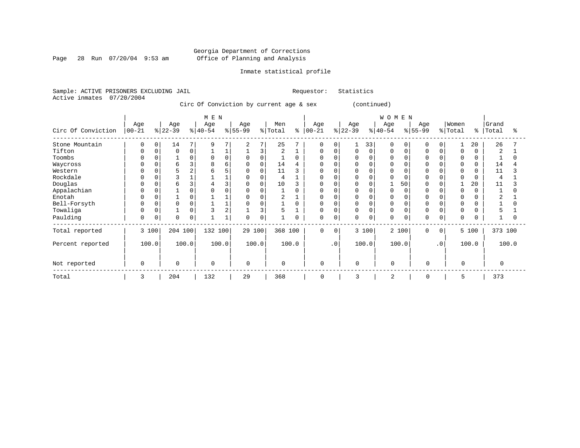Page 28 Run 07/20/04 9:53 am

## Inmate statistical profile

Sample: ACTIVE PRISONERS EXCLUDING JAIL Requestor: Statistics Active inmates 07/20/2004

Circ Of Conviction by current age & sex (continued)

|                    |                  |       |                  |          | M E N            |                |                  |       |                |          |                   |           |                  |             | <b>WOMEN</b>    |             |                 |           |                  |          |                |       |
|--------------------|------------------|-------|------------------|----------|------------------|----------------|------------------|-------|----------------|----------|-------------------|-----------|------------------|-------------|-----------------|-------------|-----------------|-----------|------------------|----------|----------------|-------|
| Circ Of Conviction | Age<br>$00 - 21$ |       | Age<br>$ 22-39 $ |          | Age<br>$ 40-54 $ |                | Age<br>$8 55-99$ |       | Men<br>% Total | နွ       | Age<br>$ 00 - 21$ |           | Age<br>$ 22-39 $ |             | Age<br>$ 40-54$ |             | Age<br>$ 55-99$ |           | Women<br>% Total | °        | Grand<br>Total | °     |
| Stone Mountain     | 0                | 0     | 14               | 7        | 9                |                | 2                | 7     | 25             |          | 0                 | $\Omega$  |                  | 33          | 0               | 0           | 0               | 0         |                  | 20       | 26             |       |
| Tifton             | $\Omega$         |       | 0                | 0        |                  |                |                  | 3     | 2              |          | 0                 | $\Omega$  | 0                | $\mathbf 0$ | 0               | 0           | $\Omega$        |           | 0                |          | $\overline{2}$ |       |
| Toombs             | $\Omega$         |       |                  | 0        | 0                | 0              | 0                | 0     |                | $\Omega$ | 0                 |           | Ω                | $\Omega$    |                 |             | $\Omega$        |           | 0                | 0        |                |       |
| Waycross           | 0                |       | 6                | 3        | 8                | б              | 0                | 0     | 14             | 4        | O                 |           | U                |             |                 |             |                 |           | $\Omega$         |          | 14             |       |
| Western            | 0                |       |                  | 2        |                  |                | 0                | 0     | 11             | 3        | O                 |           |                  |             |                 |             |                 |           | $\Omega$         |          | 11             |       |
| Rockdale           |                  |       |                  |          |                  |                | $\Omega$         |       | 4              |          | O                 |           |                  | C           |                 |             |                 |           | $\cap$           |          | $\overline{4}$ |       |
| Douglas            | $\Omega$         |       | 6                | 3        |                  |                | $\Omega$         | 0     | 10             |          | 0                 |           |                  |             |                 | 50          | <sup>0</sup>    |           |                  | 20       | 11             |       |
| Appalachian        | 0                |       |                  | $\Omega$ |                  |                | $\Omega$         |       |                | $\Omega$ | <sup>0</sup>      |           | N                | $\Omega$    |                 |             |                 |           | $\Omega$         | $\Omega$ |                |       |
| Enotah             | $\Omega$         |       |                  | $\Omega$ |                  |                | $\Omega$         |       | 2              |          | O                 |           | O                | $\Omega$    |                 |             |                 |           | $\Omega$         |          | 2              |       |
| Bell-Forsyth       | 0                |       |                  | 0        |                  |                | $\Omega$         |       |                | $\Omega$ | 0                 |           | <sup>0</sup>     | $\Omega$    | O               |             |                 |           | $\Omega$         |          |                |       |
| Towaliga           | $\Omega$         |       |                  | 0        |                  | $\overline{2}$ |                  | 3     | 5              |          | $\Omega$          |           | 0                | $\Omega$    | $\Omega$        |             | $\Omega$        |           | $\Omega$         |          | 5              |       |
| Paulding           | 0                | 0     | $\Omega$         | 0        |                  |                | $\Omega$         | 0     |                | 0        | $\mathbf 0$       | 0         | 0                | $\mathbf 0$ | 0               | $\mathbf 0$ | $\Omega$        | 0         | $\Omega$         | $\Omega$ |                |       |
| Total reported     |                  | 3 100 | 204 100          |          | 132 100          |                | 29 100           |       | 368 100        |          | $\Omega$          | $\Omega$  |                  | 3 100       |                 | 2 100       | $\Omega$        | $\Omega$  |                  | 5 100    | 373 100        |       |
| Percent reported   |                  | 100.0 |                  | 100.0    |                  | 100.0          |                  | 100.0 |                | 100.0    |                   | $\cdot$ 0 |                  | 100.0       |                 | 100.0       |                 | $\cdot$ 0 |                  | 100.0    |                | 100.0 |
| Not reported       | $\mathbf 0$      |       | $\Omega$         |          | $\mathbf 0$      |                | $\Omega$         |       | $\mathbf 0$    |          | 0                 |           | $\mathbf 0$      |             | $\Omega$        |             | $\mathbf 0$     |           | $\Omega$         |          | $\Omega$       |       |
| Total              | 3                |       | 204              |          | 132              |                | 29               |       | 368            |          | $\mathbf 0$       |           | 3                |             | $\overline{c}$  |             | 0               |           | 5                |          | 373            |       |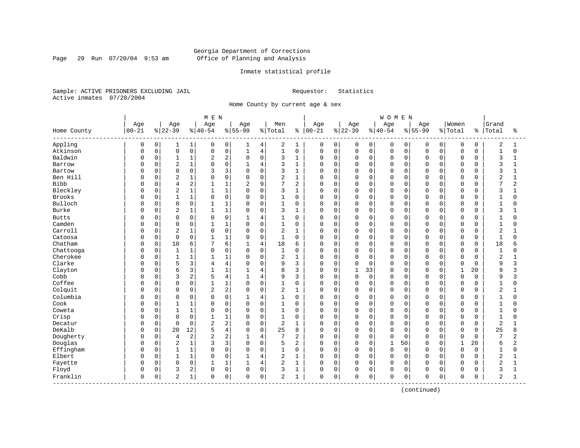## Georgia Department of Corrections Page 29 Run 07/20/04 9:53 am Office of Planning and Analysis

## Inmate statistical profile

Sample: ACTIVE PRISONERS EXCLUDING JAIL Requestor: Statistics Active inmates 07/20/2004

Home County by current age & sex

|                     |           |             |                |              | M E N          |                |              |                |                |              |            |             |             |              | <b>WOMEN</b> |             |             |          |              |             |                         |                |
|---------------------|-----------|-------------|----------------|--------------|----------------|----------------|--------------|----------------|----------------|--------------|------------|-------------|-------------|--------------|--------------|-------------|-------------|----------|--------------|-------------|-------------------------|----------------|
|                     | Age       |             | Age            |              | Age            |                | Age          |                | Men            |              | Age        |             | Age         |              | Age          |             | Age         |          | Women        |             | Grand                   |                |
| Home County         | $00 - 21$ |             | $ 22-39$       |              | $ 40-54$       |                | $8155 - 99$  |                | % Total        | ႜ            | $ 00 - 21$ |             | $ 22-39$    |              | $8 40-54$    |             | $8155 - 99$ |          | % Total      | နွ          | Total                   | ႜ              |
| Appling             | 0         | 0           | 1              | 1            | 0              | 0              | 1            | 4              | 2              | 1            | 0          | $\mathbf 0$ | 0           | 0            | 0            | 0           | 0           | 0        | 0            | 0           | $\overline{c}$          | 1              |
| Atkinson            | 0         | $\mathbf 0$ | $\mathsf 0$    | 0            | $\mathbf 0$    | 0              | $\mathbf{1}$ | $\,4$          | $\mathbf{1}$   | $\mathsf 0$  | 0          | $\mathbf 0$ | 0           | $\mathsf{O}$ | $\mathsf 0$  | 0           | $\mathbf 0$ | 0        | $\mathsf 0$  | $\mathbf 0$ | $\mathbf{1}$            | $\mathbf 0$    |
| Baldwin             | C         | 0           | $\mathbf{1}$   | 1            | 2              | 2              | $\Omega$     | $\mathbf 0$    | 3              | 1            | 0          | $\mathbf 0$ | 0           | $\mathbf 0$  | 0            | 0           | $\Omega$    | $\Omega$ | $\Omega$     | 0           | 3                       | $\mathbf{1}$   |
| Barrow              | U         | $\Omega$    | $\overline{2}$ | $1\,$        | $\Omega$       | 0              |              | $\overline{4}$ | 3              | $\mathbf{1}$ | 0          | $\mathbf 0$ | 0           | $\mathbf 0$  | $\mathbf 0$  | 0           | $\Omega$    | 0        | $\mathbf 0$  | $\Omega$    | 3                       | -1             |
| Bartow              | C         | $\Omega$    | $\mathbf 0$    | $\mathbf 0$  |                | 3              | $\Omega$     | $\mathbf 0$    | 3              | $\mathbf{1}$ | 0          | $\mathbf 0$ | $\Omega$    | $\Omega$     | $\mathbf 0$  | $\Omega$    | $\cap$      | O        | $\Omega$     | $\Omega$    | 3                       |                |
| Ben Hill            | C         | $\Omega$    | $\overline{2}$ | 1            | $\cap$         | $\Omega$       | $\Omega$     | $\mathbf 0$    | $\overline{2}$ | $\mathbf{1}$ | 0          | $\mathbf 0$ | 0           | $\Omega$     | $\mathbf 0$  | $\Omega$    | $\Omega$    | $\Omega$ | $\Omega$     | U           | $\overline{c}$          | $\mathbf{1}$   |
| <b>Bibb</b>         | C         | $\Omega$    | $\overline{4}$ | 2            |                | 1              | 2            | 9              | 7              | 2            | 0          | $\mathbf 0$ | 0           | $\mathbf 0$  | $\Omega$     | $\mathbf 0$ | $\Omega$    | $\Omega$ | $\Omega$     | $\Omega$    | 7                       | $\overline{2}$ |
| Bleckley            | C         | $\Omega$    | $\sqrt{2}$     | $\mathbf 1$  | $\mathbf{1}$   | 1              | $\Omega$     | 0              | 3              | 1            | 0          | $\mathbf 0$ | 0           | $\Omega$     | 0            | $\Omega$    | $\Omega$    | $\Omega$ | $\mathbf 0$  | $\Omega$    | 3                       |                |
| Brooks              | C         | 0           | $\mathbf{1}$   | $\mathbf 1$  | $\Omega$       | 0              | $\mathbf 0$  | 0              | 1              | $\mathbf 0$  | 0          | $\mathbf 0$ | 0           | 0            | $\mathbf 0$  | 0           | $\Omega$    | $\Omega$ | $\mathbf 0$  | $\Omega$    | 1                       | O              |
| Bulloch             | C         | 0           | $\mathbf 0$    | 0            |                | $\mathbf 1$    | $\Omega$     | $\mathsf 0$    | 1              | 0            | 0          | $\mathbf 0$ | 0           | $\mathbf 0$  | $\mathbf 0$  | $\Omega$    | $\Omega$    | O        | $\Omega$     | $\Omega$    | $\mathbf{1}$            |                |
| Burke               | C         | $\Omega$    | $\overline{2}$ | 1            | 1              | 1              | $\Omega$     | $\mathbf 0$    | 3              | 1            | 0          | $\mathbf 0$ | 0           | $\mathbf 0$  | $\mathbf 0$  | $\Omega$    | $\Omega$    | O        | $\Omega$     | $\cap$      | 3                       |                |
| <b>Butts</b>        | C         | 0           | $\Omega$       | 0            | $\Omega$       | $\Omega$       | $\mathbf{1}$ | $\overline{4}$ | 1              | $\Omega$     | 0          | $\mathbf 0$ | 0           | $\Omega$     | $\Omega$     | $\Omega$    | $\Omega$    | 0        | $\Omega$     | $\Omega$    | 1                       | O              |
| Camden              | C         | $\Omega$    | $\mathbf 0$    | 0            | 1              | 1              | $\Omega$     | $\mathbf 0$    | $\mathbf{1}$   | $\mathbf 0$  | 0          | $\mathbf 0$ | 0           | $\Omega$     | $\mathbf 0$  | $\Omega$    | $\Omega$    | $\Omega$ | $\Omega$     | $\Omega$    | $\mathbf{1}$            | O              |
| Carroll             | C         | 0           | $\sqrt{2}$     | 1            | $\Omega$       | 0              | $\Omega$     | $\mathsf 0$    | $\overline{2}$ | 1            | 0          | $\mathbf 0$ | $\Omega$    | $\Omega$     | $\Omega$     | $\Omega$    | $\Omega$    | 0        | $\Omega$     | $\Omega$    | $\overline{\mathbf{c}}$ |                |
| Catoosa             | C         | 0           | $\Omega$       | $\mathbf 0$  | $\mathbf{1}$   | 1              | $\Omega$     | $\mathbf 0$    | $\mathbf{1}$   | $\mathbf 0$  | 0          | $\mathbf 0$ | $\Omega$    | $\Omega$     | $\mathbf 0$  | $\Omega$    | $\Omega$    | 0        | $\Omega$     | $\Omega$    | $\mathbf{1}$            | $\Omega$       |
| Chatham             | C         | 0           | 10             | 6            |                | 6              |              | $\,4$          | 18             | 6            | 0          | $\mathbf 0$ | 0           | 0            | 0            | $\Omega$    | $\Omega$    | O        | $\Omega$     | $\Omega$    | 18                      |                |
| Chattooga           | C         | $\Omega$    | $\mathbf{1}$   | $1\,$        | $\Omega$       | $\Omega$       | $\Omega$     | $\mathbf 0$    | 1              | $\Omega$     | O          | $\mathbf 0$ | $\Omega$    | $\Omega$     | $\Omega$     | $\Omega$    | $\Omega$    | $\Omega$ | $\Omega$     | $\Omega$    | $\mathbf{1}$            | U              |
| Cherokee            | C         | $\Omega$    | $\mathbf{1}$   | $\mathbf{1}$ | 1              | 1              | $\Omega$     | $\mathbf 0$    | $\overline{2}$ | $\mathbf{1}$ | 0          | $\mathbf 0$ | 0           | $\Omega$     | $\mathbf 0$  | $\Omega$    | $\Omega$    | $\Omega$ | $\Omega$     | $\Omega$    | $\overline{2}$          |                |
| Clarke              | C         | $\Omega$    | 5              | 3            | 4              | 4              | $\Omega$     | $\mathsf 0$    | 9              | 3            | 0          | $\mathbf 0$ | $\Omega$    | $\mathbf 0$  | $\Omega$     | 0           | $\Omega$    | $\Omega$ | $\Omega$     | $\Omega$    | 9                       | 3              |
| Clayton             | C         | $\Omega$    | 6              | 3            | $\mathbf{1}$   | 1              | $\mathbf{1}$ | $\overline{4}$ | 8              | 3            | O          | $\mathbf 0$ | $\mathbf 1$ | 33           | 0            | $\mathbf 0$ | $\Omega$    | 0        | $\mathbf{1}$ | 20          | 9                       | κ              |
| Cobb                | C         | 0           | 3              | 2            | 5              | 4              |              | $\overline{4}$ | 9              | 3            | 0          | $\mathbf 0$ | 0           | $\mathbf 0$  | 0            | $\Omega$    | $\Omega$    | O        | $\mathbf 0$  | $\Omega$    | 9                       | ζ              |
| Coffee              | C         | $\Omega$    | $\mathbf 0$    | 0            | $\mathbf{1}$   | 1              | $\Omega$     | 0              | $\mathbf{1}$   | 0            | 0          | $\mathbf 0$ | $\Omega$    | $\mathbf 0$  | $\mathbf 0$  | $\Omega$    | $\Omega$    | $\Omega$ | $\Omega$     | $\Omega$    | $\mathbf{1}$            |                |
| Colquit             | C         | 0           | $\mathbf 0$    | 0            | $\overline{2}$ | 2              | $\Omega$     | $\mathbf 0$    | $\overline{2}$ | $\mathbf{1}$ | 0          | $\mathbf 0$ | 0           | $\mathbf 0$  | $\mathbf 0$  | $\Omega$    | $\Omega$    | $\Omega$ | $\Omega$     | $\Omega$    | 2                       |                |
| Columbia            | C         | 0           | $\Omega$       | 0            | $\Omega$       | 0              | $\mathbf{1}$ | $\overline{4}$ | 1              | $\mathbf 0$  | 0          | $\mathbf 0$ | 0           | 0            | $\mathbf 0$  | 0           | $\Omega$    | $\Omega$ | $\Omega$     | $\Omega$    | 1                       | O              |
| Cook                | C         | 0           | $\mathbf{1}$   | 1            | $\Omega$       | 0              | $\Omega$     | $\mathsf 0$    | 1              | 0            | 0          | $\mathbf 0$ | 0           | $\mathbf 0$  | 0            | 0           | $\Omega$    | 0        | $\mathbf 0$  | 0           | $\mathbf{1}$            | O              |
| Coweta              |           | 0           | $\mathbf{1}$   | $\mathbf 1$  | $\Omega$       | 0              | $\Omega$     | $\mathbf 0$    | 1              | $\mathbf 0$  | 0          | $\mathbf 0$ | 0           | $\Omega$     | 0            | $\mathbf 0$ | $\Omega$    | 0        | $\mathbf 0$  | $\Omega$    | $\mathbf 1$             | O              |
| Crisp               | C         | 0           | $\mathbf 0$    | $\mathbf 0$  |                | 1              | $\Omega$     | $\mathbf 0$    | 1              | 0            | 0          | $\mathbf 0$ | 0           | 0            | $\mathbf 0$  | 0           | $\Omega$    | 0        | $\mathbf 0$  | 0           | $\mathbf{1}$            | O              |
| Decatur             | C         | $\Omega$    | $\Omega$       | $\mathbf 0$  | $\overline{c}$ | $\overline{2}$ | $\Omega$     | $\mathbf 0$    | $\overline{2}$ | $\mathbf{1}$ | 0          | $\mathbf 0$ | $\Omega$    | $\Omega$     | $\mathbf 0$  | $\Omega$    | $\Omega$    | $\Omega$ | $\Omega$     | $\Omega$    | $\overline{2}$          |                |
| DeKalb              | C         | $\Omega$    | 20             | 12           | 5              | 4              | $\Omega$     | $\Omega$       | 25             | 8            | 0          | $\mathbf 0$ | 0           | $\Omega$     | $\Omega$     | $\Omega$    | $\Omega$    | $\Omega$ | $\Omega$     | $\Omega$    | 25                      | 8              |
| Dougherty           | 0         | $\Omega$    | 4              | 2            |                | 2              |              | 4              | 7              | 2            | 0          | $\mathbf 0$ | $\Omega$    | $\Omega$     | $\mathbf 0$  | $\Omega$    | $\Omega$    | $\Omega$ | $\mathbf 0$  | $\Omega$    | 7                       | 2              |
| Douglas             | C         | $\Omega$    | 2              | $\mathbf{1}$ |                | 3              | $\Omega$     | $\mathbf 0$    | 5              | 2            | 0          | 0           | $\Omega$    | $\mathbf 0$  | $\mathbf{1}$ | 50          | $\Omega$    | 0        | $\mathbf{1}$ | 20          | 6                       | 2              |
| Effingham           | C         | 0           | $\mathbf{1}$   | 1            | $\Omega$       | $\Omega$       | $\Omega$     | $\mathbf 0$    | $\mathbf{1}$   | $\mathbf 0$  | 0          | $\mathbf 0$ | $\Omega$    | $\mathbf 0$  | $\mathbf 0$  | $\Omega$    | $\Omega$    | $\Omega$ | $\mathbf 0$  | $\Omega$    | $\mathbf 1$             | $\Omega$       |
| Elbert              | C         | 0           | $\mathbf{1}$   | 1            | $\Omega$       | 0              |              | $\overline{4}$ | $\overline{a}$ | 1            | 0          | $\mathbf 0$ | 0           | $\mathbf 0$  | $\mathbf 0$  | $\Omega$    | $\Omega$    | 0        | $\Omega$     | $\Omega$    | $\overline{2}$          |                |
| Fayette             | 0         | 0           | $\mathbf 0$    | $\mathbf 0$  | $\mathbf{1}$   | 1              | $\mathbf{1}$ | $\overline{4}$ | $\overline{2}$ | 1            | 0          | $\mathbf 0$ | $\Omega$    | $\Omega$     | $\mathbf 0$  | $\mathbf 0$ | $\Omega$    | $\Omega$ | $\Omega$     | $\Omega$    | $\overline{2}$          | $\mathbf{1}$   |
| Floyd               | C         | 0           | 3              | 2            | $\Omega$       | 0              | $\mathbf 0$  | 0              | 3              | 1            | 0          | $\mathbf 0$ | 0           | 0            | $\mathbf 0$  | $\mathbf 0$ | $\Omega$    | 0        | $\Omega$     | O           | 3                       | -1             |
| Franklin<br>------- | 0         | 0           | 2              | 1            | 0              | 0              | $\Omega$     | $\mathsf 0$    | $\overline{2}$ | 1            | 0          | $\mathbf 0$ | 0           | 0            | 0            | 0           | $\Omega$    | 0        | $\mathbf 0$  | $\Omega$    | 2                       | 1              |

(continued)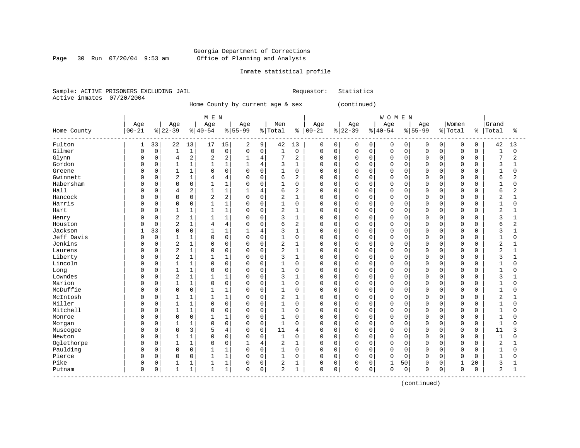Page 30 Run 07/20/04 9:53 am

## Inmate statistical profile

Sample: ACTIVE PRISONERS EXCLUDING JAIL Requestor: Statistics Active inmates 07/20/2004

Home County by current age & sex (continued)

|             |              |          |                |              | M E N          |                |              |                |                |                |              |             |             |             | <b>WOMEN</b> |          |           |          |              |          |                |              |
|-------------|--------------|----------|----------------|--------------|----------------|----------------|--------------|----------------|----------------|----------------|--------------|-------------|-------------|-------------|--------------|----------|-----------|----------|--------------|----------|----------------|--------------|
|             | Age          |          | Age            |              | Age            |                | Age          |                | Men            |                | Age          |             | Age         |             | Age          |          | Age       |          | Women        |          | Grand          |              |
| Home County | $00 - 21$    |          | $ 22-39$       |              | $ 40-54 $      |                | $8 55-99$    |                | % Total        | နွ             | $00 - 21$    |             | $ 22-39$    |             | $ 40-54$     |          | $8 55-99$ |          | % Total      | ి        | Total          | ႜ            |
| Fulton      | 1            | 33       | 22             | 13           | 17             | 15             | 2            | 9              | 42             | 13             | 0            | 0           | 0           | 0           | 0            | 0        | $\Omega$  | 0        | 0            | 0        | 42             | 13           |
| Gilmer      | $\Omega$     | 0        | $\mathbf{1}$   | $1\,$        | $\Omega$       | $\mathbf 0$    | $\Omega$     | $\mathbf 0$    | 1              | $\mathbf 0$    | 0            | $\mathbf 0$ | 0           | $\mathbf 0$ | $\mathbf 0$  | $\Omega$ | $\Omega$  | $\Omega$ | $\mathbf 0$  | $\Omega$ | $\mathbf{1}$   | $\Omega$     |
| Glynn       | 0            | 0        | 4              | $\sqrt{2}$   | 2              | 2              |              | 4              | 7              | 2              | 0            | 0           | 0           | 0           | $\mathbf 0$  | 0        | $\Omega$  | $\Omega$ | 0            | $\Omega$ | 7              | 2            |
| Gordon      | U            | 0        | $\mathbf{1}$   | $\mathbf{1}$ |                | $\mathbf{1}$   |              | $\overline{4}$ | 3              | $\mathbf{1}$   | $\Omega$     | $\mathbf 0$ | 0           | $\Omega$    | $\mathbf 0$  | 0        | $\Omega$  | $\Omega$ | $\Omega$     | $\Omega$ | 3              |              |
| Greene      | U            | $\Omega$ | $\mathbf{1}$   | $\mathbf{1}$ | $\Omega$       | $\mathbf 0$    | $\Omega$     | $\Omega$       | 1              | $\Omega$       | 0            | $\Omega$    | 0           | $\Omega$    | $\Omega$     | $\Omega$ | $\Omega$  | O        | $\Omega$     | $\cap$   | 1              | $\Omega$     |
| Gwinnett    | U            | $\Omega$ | 2              | $\mathbf 1$  | 4              | 4              | $\Omega$     | $\mathbf 0$    | 6              | 2              | $\Omega$     | $\mathbf 0$ | 0           | $\Omega$    | $\mathbf 0$  | $\Omega$ | $\Omega$  | $\Omega$ | $\Omega$     | 0        | 6              | 2            |
| Habersham   | U            | $\Omega$ | $\Omega$       | $\mathsf 0$  |                | $\mathbf{1}$   | $\Omega$     | $\mathbf 0$    | 1              | $\mathbf 0$    | 0            | $\mathbf 0$ | 0           | $\mathbf 0$ | $\Omega$     | 0        | $\Omega$  | 0        | $\Omega$     | $\Omega$ | 1              | $\Omega$     |
| Hall        | O            | 0        | 4              | $\sqrt{2}$   |                | $\mathbf{1}$   |              | 4              | 6              | $\overline{2}$ | 0            | $\Omega$    | 0           | $\Omega$    | $\Omega$     | 0        | $\Omega$  | $\Omega$ | $\Omega$     | $\Omega$ | 6              | 2            |
| Hancock     | <sup>0</sup> | $\Omega$ | $\Omega$       | $\mathbf 0$  | $\overline{a}$ | 2              | $\Omega$     | $\Omega$       | $\overline{2}$ | $\mathbf{1}$   | $\Omega$     | $\mathbf 0$ | $\mathbf 0$ | $\Omega$    | $\Omega$     | $\Omega$ | $\Omega$  | $\Omega$ | $\Omega$     | $\Omega$ | $\overline{2}$ | 1            |
| Harris      | 0            | 0        | 0              | $\mathbf 0$  |                | 1              | 0            | $\mathbf 0$    |                | $\mathbf 0$    | 0            | $\mathbf 0$ | 0           | 0           | $\mathbf 0$  | 0        | $\Omega$  | $\Omega$ | 0            | 0        | 1              | $\Omega$     |
| Hart        | U            | 0        | $\mathbf{1}$   | $1\,$        | 1              | $\mathbf{1}$   | $\Omega$     | $\mathbf 0$    | $\overline{2}$ | $\mathbf{1}$   | $\Omega$     | $\mathbf 0$ | 0           | $\Omega$    | $\mathbf 0$  | 0        | $\Omega$  | 0        | $\Omega$     | $\Omega$ | $\overline{2}$ |              |
| Henry       | 0            | 0        | $\overline{2}$ | $1\,$        |                | 1              | 0            | $\mathbf 0$    | 3              | 1              | 0            | 0           | 0           | $\Omega$    | $\mathbf 0$  | 0        | $\Omega$  | O        | $\Omega$     | O        | 3              |              |
| Houston     | O            | 0        | $\overline{2}$ | $\mathbf{1}$ | 4              | $\overline{4}$ | $\Omega$     | $\mathbf 0$    | 6              | $\overline{2}$ | 0            | $\Omega$    | 0           | $\Omega$    | $\mathbf 0$  | 0        | $\Omega$  | O        | $\Omega$     | $\Omega$ | 6              | 2            |
| Jackson     | 1            | 33       | $\Omega$       | $\mathbf 0$  | $\mathbf{1}$   | 1              | 1            | $\overline{4}$ | 3              | $\mathbf{1}$   | $\Omega$     | $\Omega$    | 0           | $\Omega$    | $\Omega$     | $\Omega$ | $\Omega$  | $\Omega$ | $\Omega$     | $\Omega$ | 3              | $\mathbf{1}$ |
| Jeff Davis  | O            | $\Omega$ |                | $1\,$        | $\Omega$       | $\mathbf 0$    | $\Omega$     | $\mathbf 0$    |                | $\mathbf 0$    | 0            | $\mathbf 0$ | 0           | $\Omega$    | $\Omega$     | $\Omega$ | $\Omega$  | $\Omega$ | $\Omega$     | $\Omega$ | $\mathbf{1}$   | $\Omega$     |
| Jenkins     |              | 0        | 2              | $1\,$        | 0              | $\mathbf 0$    | $\Omega$     | $\mathbf 0$    | $\overline{c}$ | $\mathbf{1}$   | 0            | 0           | 0           | $\Omega$    | $\Omega$     | 0        | $\Omega$  | 0        | $\Omega$     | $\Omega$ | $\overline{c}$ |              |
| Laurens     | U            | $\Omega$ | $\overline{2}$ | $\mathbf{1}$ | $\Omega$       | $\mathbf 0$    | $\Omega$     | $\Omega$       | 2              | $\mathbf{1}$   | 0            | $\Omega$    | 0           | $\Omega$    | $\Omega$     | 0        | $\Omega$  | $\Omega$ | $\Omega$     | $\Omega$ | $\overline{2}$ | $\mathbf{1}$ |
| Liberty     | O            | 0        | $\overline{2}$ | $\mathbf 1$  |                | 1              | $\Omega$     | $\mathbf 0$    | 3              | $\mathbf{1}$   | 0            | $\mathbf 0$ | 0           | $\mathbf 0$ | $\mathbf 0$  | 0        | $\Omega$  | $\Omega$ | $\mathbf 0$  | $\Omega$ | 3              |              |
| Lincoln     | U            | 0        |                | $1\,$        |                | $\mathbf 0$    | 0            | $\mathsf 0$    |                | $\mathbf 0$    | $\Omega$     | $\mathbf 0$ | 0           | $\Omega$    | $\mathbf 0$  | 0        | $\Omega$  | $\Omega$ | $\Omega$     | $\Omega$ |                | O            |
| Long        | U            | 0        |                | 1            | $\Omega$       | $\mathbf 0$    | $\Omega$     | $\mathbf 0$    | $\mathbf{1}$   | $\Omega$       | 0            | $\Omega$    | 0           | $\Omega$    | $\mathbf 0$  | 0        | $\Omega$  | $\Omega$ | $\Omega$     | $\Omega$ | $\mathbf{1}$   |              |
| Lowndes     |              | $\Omega$ | $\overline{2}$ | $\mathbf 1$  | $\mathbf{1}$   | $\mathbf{1}$   | $\Omega$     | $\Omega$       | 3              | $\mathbf{1}$   | 0            | $\Omega$    | O           | $\Omega$    | $\Omega$     | $\Omega$ | $\Omega$  | $\Omega$ | $\Omega$     | $\Omega$ | 3              |              |
| Marion      | 0            | $\Omega$ | $\mathbf{1}$   | $\mathbf 1$  | $\Omega$       | $\Omega$       | $\Omega$     | $\mathbf 0$    | $\mathbf{1}$   | $\Omega$       | 0            | $\mathbf 0$ | 0           | $\Omega$    | $\mathbf 0$  | $\Omega$ | $\Omega$  | $\Omega$ | $\Omega$     | 0        |                | 0            |
| McDuffie    | 0            | 0        | $\Omega$       | $\mathsf 0$  |                | $\mathbf{1}$   | $\Omega$     | $\mathbf 0$    | 1              | $\mathbf 0$    | $\Omega$     | $\mathbf 0$ | 0           | $\mathbf 0$ | $\mathbf 0$  | 0        | $\Omega$  | 0        | $\Omega$     | $\Omega$ | $\mathbf{1}$   | 0            |
| McIntosh    | 0            | 0        |                | 1            |                | 1              | 0            | $\mathbf 0$    | 2              | $\mathbf{1}$   | 0            | $\mathbf 0$ | 0           | 0           | $\Omega$     | 0        | $\Omega$  | $\Omega$ | $\Omega$     | $\Omega$ | $\overline{2}$ | 1            |
| Miller      | 0            | 0        | $\mathbf{1}$   | $\mathbf 1$  | $\Omega$       | $\mathbf 0$    | $\Omega$     | $\mathbf 0$    | $\mathbf{1}$   | $\Omega$       | 0            | $\mathbf 0$ | 0           | $\Omega$    | $\mathbf 0$  | 0        | $\Omega$  | $\Omega$ | $\Omega$     | $\Omega$ | $\mathbf{1}$   | 0            |
| Mitchell    | U            | 0        | 1              | $1\,$        | $\Omega$       | $\mathbf 0$    | $\Omega$     | $\mathbf 0$    | 1              | 0              | 0            | $\mathbf 0$ | 0           | $\mathbf 0$ | $\mathbf 0$  | 0        | $\Omega$  | $\Omega$ | $\Omega$     | $\Omega$ | $\mathbf{1}$   | U            |
| Monroe      | <sup>0</sup> | 0        | $\Omega$       | $\mathsf 0$  |                | 1              | $\Omega$     | $\Omega$       | 1              | $\mathbf 0$    | 0            | $\mathbf 0$ | 0           | 0           | $\mathbf 0$  | 0        | $\Omega$  | $\Omega$ | $\Omega$     | $\Omega$ | $\mathbf{1}$   | U            |
| Morgan      | U            | $\Omega$ |                | 1            | $\Omega$       | $\mathbf 0$    | $\Omega$     | $\mathbf 0$    | $\mathbf{1}$   | $\mathbf 0$    | $\Omega$     | $\Omega$    | 0           | $\Omega$    | $\mathbf 0$  | 0        | $\Omega$  | $\Omega$ | $\Omega$     | $\Omega$ | $\mathbf{1}$   |              |
| Muscogee    | O            | $\Omega$ | 6              | 3            | 5              | 4              | $\Omega$     | $\Omega$       | 11             | 4              | 0            | $\Omega$    | O           | $\Omega$    | $\Omega$     | $\Omega$ | $\Omega$  | $\Omega$ | $\Omega$     | $\Omega$ | 11             |              |
| Newton      | U            | $\Omega$ | $\mathbf{1}$   | $\mathbf{1}$ | $\Omega$       | $\Omega$       | $\Omega$     | $\Omega$       | 1              | $\Omega$       | 0            | $\Omega$    | 0           | $\Omega$    | $\Omega$     | $\Omega$ | $\Omega$  | $\Omega$ | $\Omega$     | $\Omega$ | $\mathbf{1}$   | O            |
| Oglethorpe  | U            | 0        |                | $\mathbf 1$  | $\Omega$       | $\mathbf 0$    |              | $\overline{4}$ | $\overline{2}$ | $\mathbf{1}$   | 0            | $\mathbf 0$ | 0           | $\mathbf 0$ | $\mathbf 0$  | 0        | $\Omega$  | 0        | $\Omega$     | 0        | $\overline{2}$ |              |
| Paulding    | 0            | 0        | $\Omega$       | $\mathsf 0$  |                | $\mathbf{1}$   | $\Omega$     | $\mathbf 0$    | $\mathbf{1}$   | $\mathbf 0$    | 0            | $\mathbf 0$ | 0           | $\mathbf 0$ | $\mathbf 0$  | 0        | $\Omega$  | 0        | $\Omega$     | $\Omega$ | $\mathbf{1}$   | $\Omega$     |
| Pierce      | O            | 0        | $\Omega$       | 0            |                | $\mathbf 1$    | $\Omega$     | $\mathbf 0$    | $\mathbf{1}$   | $\Omega$       | <sup>0</sup> | $\Omega$    | 0           | $\Omega$    | $\Omega$     | 0        | $\Omega$  | $\Omega$ | $\Omega$     | $\Omega$ | $\mathbf{1}$   | U            |
| Pike        | 0            | 0        |                | 1            |                | $\mathbf 1$    | <sup>0</sup> | 0              | 2              | 1              | 0            | 0           | 0           | 0           | $\mathbf{1}$ | 50       | $\Omega$  | 0        | $\mathbf{1}$ | 20       | 3              |              |
| Putnam      | $\Omega$     | 0        | 1              | $1\,$        | 1              | $\mathbf 1$    | $\Omega$     | $\mathbf 0$    | $\overline{a}$ | 1              | 0            | 0           | 0           | 0           | $\Omega$     | 0        | $\Omega$  | 0        | $\Omega$     | 0        | 2              |              |

(continued)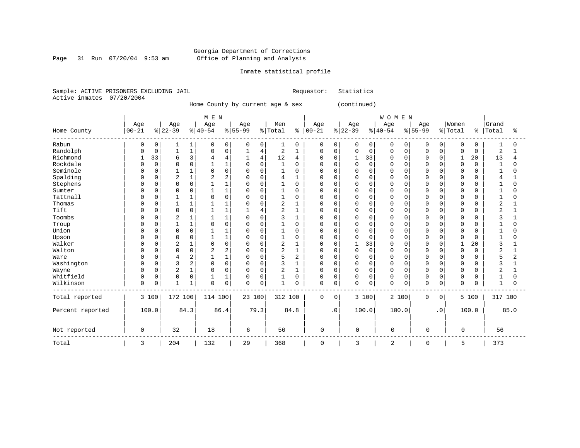Page 31 Run 07/20/04 9:53 am

## Inmate statistical profile

Sample: ACTIVE PRISONERS EXCLUDING JAIL Requestor: Statistics Active inmates 07/20/2004

Home County by current age & sex (continued)

|                  |           |             |                |              | M E N    |                |           |                |              |             |              |           |              |             | WOMEN       |          |             |             |             |               |         |      |
|------------------|-----------|-------------|----------------|--------------|----------|----------------|-----------|----------------|--------------|-------------|--------------|-----------|--------------|-------------|-------------|----------|-------------|-------------|-------------|---------------|---------|------|
|                  | Age       |             | Age            |              | Age      |                | Age       |                | Men          |             | Age          |           | Age          |             | Age         |          | Age         |             | Women       |               | Grand   |      |
| Home County      | $00 - 21$ |             | $8 22-39$      |              | $ 40-54$ |                | $8 55-99$ |                | % Total      | နွ          | $ 00 - 21$   |           | $ 22-39$     |             | $ 40-54$    |          | $8 55-99$   |             | % Total     | $\frac{8}{6}$ | Total   | ిక   |
| Rabun            | 0         | 0           |                | 1            | 0        | 0              | $\Omega$  | 0              | 1            | 0           | 0            | 0         | 0            | 0           | 0           | 0        | 0           | 0           | 0           | O             |         | U    |
| Randolph         | O         | 0           |                | $\mathbf 1$  | 0        | $\mathbf 0$    |           | 4              | 2            | 1           | $\mathbf 0$  | 0         | $\Omega$     | $\mathbf 0$ | $\Omega$    | 0        | $\Omega$    | $\mathbf 0$ | $\mathbf 0$ | 0             | 2       |      |
| Richmond         | 1         | 33          | 6              | 3            |          | $\overline{4}$ |           | $\overline{4}$ | 12           | 4           | $\Omega$     | 0         | 1            | 33          | $\Omega$    | $\Omega$ | $\Omega$    | $\Omega$    | 1           | 20            | 13      | 4    |
| Rockdale         |           | 0           |                | $\mathbf 0$  |          | $\mathbf{1}$   | 0         | $\Omega$       |              | $\mathbf 0$ | 0            | 0         | $\Omega$     | $\mathbf 0$ | $\Omega$    | O        | n           | $\Omega$    | $\mathbf 0$ | $\Omega$      | 1       | U    |
| Seminole         |           | $\mathbf 0$ |                | 1            |          | $\mathbf 0$    | 0         | $\Omega$       |              | $\Omega$    | 0            | $\Omega$  | $\Omega$     | $\Omega$    | 0           | O        |             | $\Omega$    | $\Omega$    | U             |         | N    |
| Spalding         |           | $\mathbf 0$ | $\overline{2}$ | $\mathbf{1}$ | 2        | $\overline{c}$ | 0         | $\Omega$       | 4            |             | 0            | 0         | $\Omega$     | $\Omega$    | 0           | $\Omega$ | n           | $\Omega$    | $\Omega$    | N             | 4       |      |
| Stephens         |           | 0           | $\Omega$       | $\mathbf 0$  |          |                | 0         | ∩              |              | $\Omega$    | 0            | $\Omega$  | $\Omega$     | $\Omega$    | $\Omega$    | U        | n           | $\Omega$    | $\Omega$    | ∩             |         | U    |
| Sumter           |           | $\Omega$    | $\Omega$       | $\Omega$     |          |                | $\Omega$  | $\cap$         |              | 0           | <sup>0</sup> | 0         | $\Omega$     | $\Omega$    | $\cap$      | $\cap$   | $\Omega$    | $\Omega$    | $\Omega$    |               | -1      | O    |
| Tattnall         |           | 0           |                | 1            |          | $\Omega$       | 0         | $\cap$         |              | $\Omega$    | <sup>0</sup> | 0         | $\Omega$     | $\Omega$    | $\Omega$    | O        |             | $\Omega$    | $\Omega$    |               |         | O    |
| Thomas           | U         | 0           |                | $\mathbf{1}$ |          |                | 0         | $\Omega$       | 2            |             | 0            | U         | $\Omega$     | 0           | $\Omega$    | O        | n           |             | $\Omega$    |               | 2       |      |
| Tift             | O         | 0           | $\Omega$       | $\mathbf 0$  |          |                |           |                | 2            | 1           | 0            | $\Omega$  | $\Omega$     | 0           | $\Omega$    | O        | $\Omega$    | $\Omega$    | 0           | U             | 2       |      |
| Toombs           |           | 0           | 2              |              |          |                | 0         | $\Omega$       | 3            |             | 0            |           | 0            | 0           |             | $\Omega$ |             | $\Omega$    | $\Omega$    |               |         |      |
| Troup            |           | O           |                | 1            |          | $\Omega$       | $\Omega$  | $\cap$         |              | $\Omega$    | <sup>0</sup> | U         | $\Omega$     | $\Omega$    | $\Omega$    | $\cap$   |             | $\Omega$    | $\Omega$    | n             |         | U    |
| Union            |           | 0           | $\Omega$       | $\mathbf 0$  |          |                | $\Omega$  | ∩              |              | $\Omega$    | <sup>0</sup> | 0         | $\Omega$     | $\Omega$    | $\cap$      | $\cap$   | n           | $\Omega$    | $\Omega$    | ∩             |         | O    |
| Upson            |           | 0           | $\Omega$       | $\mathbf 0$  |          |                | 0         | $\cap$         |              | $\Omega$    | 0            | U         | $\Omega$     | $\mathbf 0$ | $\Omega$    | O        | $\cap$      | $\Omega$    | $\Omega$    | U             |         | N    |
| Walker           | U         | 0           | $\overline{c}$ | $\mathbf{1}$ |          | $\mathbf 0$    | 0         | $\Omega$       | 2            |             | 0            |           | $\mathbf{1}$ | 33          | $\Omega$    | U        |             |             |             | 20            | ς       |      |
| Walton           | U         | 0           | $\Omega$       | $\mathbf 0$  |          | $\overline{c}$ | 0         | $\cap$         | 2            | 1           | $\Omega$     | 0         | $\Omega$     | $\mathbf 0$ | $\Omega$    | O        | n           | $\Omega$    | $\mathbf 0$ | 0             | 2       |      |
| Ware             |           | 0           |                | 2            |          | $\mathbf{1}$   | $\Omega$  | $\Omega$       | 5            | 2           | $\Omega$     | 0         | $\Omega$     | $\Omega$    | $\Omega$    | O        | $\Omega$    | $\Omega$    | $\mathbf 0$ | O             | 5       | 2    |
| Washington       |           | $\mathbf 0$ | 3              | 2            | 0        | $\mathbf 0$    | $\Omega$  | $\Omega$       | 3            | 1           | $\Omega$     | 0         | $\Omega$     | $\mathbf 0$ | $\Omega$    | $\Omega$ | $\Omega$    | $\Omega$    | $\Omega$    | N             |         |      |
| Wayne            |           | $\mathbf 0$ | $\overline{2}$ | $\mathbf{1}$ |          | $\mathbf 0$    | 0         | $\Omega$       | 2            | 1           | 0            | $\Omega$  | $\Omega$     | $\Omega$    | $\Omega$    | $\Omega$ | 0           | $\Omega$    | 0           | U             | 2       |      |
| Whitfield        | O         | $\mathbf 0$ | $\Omega$       | $\mathbf 0$  |          |                | $\Omega$  | $\Omega$       |              | 0           | 0            | $\Omega$  | $\Omega$     | $\Omega$    | $\Omega$    | $\Omega$ | 0           | $\Omega$    | $\Omega$    | በ             |         | N    |
| Wilkinson        | 0         | $\mathsf 0$ |                | $\mathbf 1$  | $\Omega$ | $\mathsf 0$    | $\Omega$  | $\mathbf 0$    | $\mathbf{1}$ | 0           | $\mathbf 0$  | 0         | $\mathbf 0$  | 0           | $\Omega$    | 0        | $\Omega$    | 0           | $\Omega$    | $\Omega$      | 1       | O    |
| Total reported   |           | 3 100       | 172 100        |              | 114 100  |                | 23 100    |                | 312 100      |             | $\Omega$     | $\Omega$  |              | 3 100       |             | 2 100    | $\mathbf 0$ | $\mathbf 0$ |             | 5 100         | 317 100 |      |
| Percent reported |           | 100.0       |                | 84.3         |          | 86.4           |           | 79.3           |              | 84.8        |              | $\cdot$ 0 |              | 100.0       |             | 100.0    |             | $\cdot$ 0   |             | 100.0         |         | 85.0 |
| Not reported     | 0         |             | 32             |              | 18       |                | 6         |                | 56           |             | 0            |           | 0            |             | $\mathbf 0$ |          | 0           |             | $\mathbf 0$ |               | 56      |      |
| Total            | 3         |             | 204            |              | 132      |                | 29        |                | 368          |             | 0            |           | 3            |             | 2           |          | 0           |             | 5           |               | 373     |      |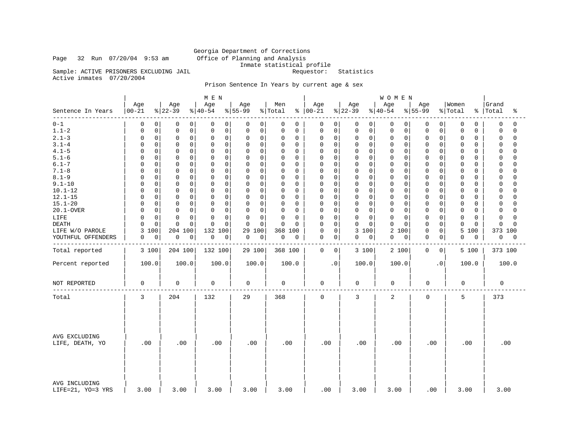## Georgia Department of Corrections Page 32 Run 07/20/04 9:53 am Office of Planning and Analysis Inmate statistical profile Sample: ACTIVE PRISONERS EXCLUDING JAIL Requestor: Statistics

Active inmates 07/20/2004

## Prison Sentence In Years by current age & sex

|                                    |                  |                 | M E N           |                    |                |                      |                  | <b>WOMEN</b>    |                  |                  |                         |
|------------------------------------|------------------|-----------------|-----------------|--------------------|----------------|----------------------|------------------|-----------------|------------------|------------------|-------------------------|
| Sentence In Years                  | Age<br>$00 - 21$ | Age<br>$ 22-39$ | Age<br>$ 40-54$ | Age<br>$8155 - 99$ | Men<br>% Total | Age<br>$8   00 - 21$ | Age<br>$ 22-39 $ | Age<br>$ 40-54$ | Age<br>$ 55-99$  | Women<br>% Total | Grand<br>%   Total<br>ႜ |
| $0 - 1$                            | 0                | 0               | 0               | 0                  | 0              | 0                    | 0                | $\overline{0}$  | 0                | 0                | 0                       |
|                                    | 0                | 0               | 0               | 0                  | 0              | 0                    | 0                | 0               | 0                | 0                | $\Omega$                |
| $1.1 - 2$                          | $\mathsf 0$      | $\mathsf 0$     | $\mathsf 0$     | 0                  | 0              | 0                    | $\mathbf 0$      | 0               | 0                | 0                | $\Omega$                |
|                                    | $\Omega$         | $\mathbf 0$     | $\mathbf 0$     | 0                  | 0              | 0                    | 0                | $\mathbf 0$     | 0                | 0                | 0                       |
| $2.1 - 3$                          | $\mathsf 0$      | $\mathbf 0$     | 0               | $\mathbf 0$        | 0              | 0                    | 0                | 0               | $\mathbf 0$      | 0                | $\mathbf 0$             |
|                                    | 0                | 0               | $\mathbf 0$     | 0                  | 0              | 0                    | $\mathbf 0$      | 0               | $\Omega$         | 0                | $\Omega$                |
| $3.1 - 4$                          | $\mathbf 0$      | $\mathbf 0$     | $\mathbf 0$     | $\mathbf 0$        | 0              | $\Omega$             | $\mathbf 0$      | $\mathbf 0$     | 0                | $\Omega$         | $\Omega$                |
|                                    | <sup>0</sup>     | $\Omega$        | $\mathbf 0$     | 0                  | $\Omega$       | 0                    | $\Omega$         | $\mathbf 0$     | O                | 0                | $\Omega$                |
| $4.1 - 5$                          | 0                | $\mathbf 0$     | 0               | 0                  | 0              | 0                    | $\mathbf 0$      | $\mathbf 0$     | $\mathbf 0$      | 0                | 0                       |
|                                    | <sup>0</sup>     | $\mathbf 0$     | $\mathbf 0$     | 0                  | 0              | 0                    | $\mathbf 0$      | $\mathbf 0$     | $\Omega$         | 0                | $\Omega$                |
| $5.1 - 6$                          | $\mathbf 0$      | $\mathbf 0$     | $\mathbf 0$     | $\mathbf 0$        | 0              | $\mathbf 0$          | $\mathbf 0$      | $\mathbf 0$     | $\mathbf 0$      | 0                | $\Omega$                |
|                                    | <sup>0</sup>     | $\Omega$        | 0               | 0                  | $\Omega$       | $\Omega$             | $\Omega$         | 0               | $\Omega$         | 0                | $\Omega$                |
| $6.1 - 7$                          | $\mathbf 0$      | $\mathbf 0$     | $\mathbf 0$     | $\mathbf 0$        | 0              | $\Omega$             | $\mathbf 0$      | $\mathbf 0$     | $\mathbf 0$      | 0                | $\Omega$                |
|                                    | $\Omega$         | $\Omega$        | $\mathbf 0$     | 0                  | $\Omega$       | $\Omega$             | $\Omega$         | $\mathbf 0$     | $\Omega$         | 0                | $\Omega$                |
| $7.1 - 8$                          | $\mathbf 0$      | $\mathbf 0$     | $\mathbf 0$     | $\mathbf 0$        | 0              | 0                    | $\mathbf 0$      | $\mathbf 0$     | $\mathsf{0}$ .   | 0                | $\Omega$                |
|                                    | $\Omega$         | $\mathbf 0$     | 0               | 0                  | $\Omega$       | $\Omega$             | $\Omega$         | $\mathbf 0$     | $\Omega$         | 0                | $\Omega$                |
| $8.1 - 9$                          | 0                | $\mathbf 0$     | 0               | $\mathbf 0$        | 0              | 0                    | $\mathbf 0$      | $\mathbf 0$     | $\Omega$         | 0                | $\Omega$                |
|                                    | $\Omega$         | $\mathbf 0$     | $\mathbf 0$     | 0                  | $\Omega$       | $\mathbf 0$          | $\mathbf 0$      | 0               | $\mathbf 0$      | 0                | $\Omega$                |
| $9.1 - 10$                         | $\mathbf 0$      | $\mathbf 0$     | $\mathbf 0$     | $\mathbf 0$        | 0              | $\mathbf 0$          | $\mathbf 0$      | $\mathbf 0$     | $\Omega$         | 0                | $\Omega$                |
|                                    | 0                | $\mathbf 0$     | $\mathbf 0$     | 0                  | 0              | 0                    | 0                | $\mathbf 0$     | 0                | 0                | $\cap$                  |
| $10.1 - 12$                        | $\mathsf 0$      | $\mathbf 0$     | $\mathbf 0$     | $\mathbf 0$        | 0              | 0                    | $\mathbf 0$      | $\mathbf 0$     | $\mathbf 0$      | 0                | $\cap$                  |
|                                    | $\Omega$         | 0               | 0               | 0                  | $\Omega$       | 0                    | 0                | 0               | $\Omega$         | 0                | 0                       |
| $12.1 - 15$                        | 0                | $\mathbf 0$     | 0               | $\mathbf 0$        | 0              | 0                    | 0                | $\mathbf 0$     | $\mathbf 0$      | 0                | $\mathbf 0$             |
|                                    | $\Omega$         | $\mathbf 0$     | $\mathbf 0$     | 0                  | 0              | 0                    | $\mathbf 0$      | 0               | $\Omega$         | 0                | $\cap$                  |
| $15.1 - 20$                        | $\mathbf 0$      | $\mathbf 0$     | $\mathbf 0$     | 0                  | 0              | $\Omega$             | $\mathbf 0$      | $\mathbf 0$     | 0                | 0                | $\Omega$                |
|                                    | <sup>0</sup>     | $\Omega$        | 0               | 0                  | 0              | $\Omega$             | $\Omega$         | 0               | 0                | O                | $\cap$                  |
| 20.1-OVER                          | $\mathsf 0$      | $\mathsf 0$     | $\mathbf 0$     | $\mathbf 0$        | 0              | 0                    | $\mathbf 0$      | $\mathbf 0$     | $\mathsf 0$      | 0                | 0                       |
|                                    | $\Omega$         | $\mathbf 0$     | $\mathbf 0$     | 0                  | $\Omega$       | 0                    | $\mathsf 0$      | $\mathsf{O}$    | $\Omega$         | 0                | $\cap$                  |
| LIFE                               | $\mathbf 0$      | $\Omega$        | $\Omega$        | $\mathbf 0$        | 0              | $\mathbf 0$          | $\mathbf 0$      | $\mathbf 0$     | $\Omega$         | 0                | $\Omega$                |
|                                    | $\Omega$         | $\Omega$        | 0               | 0                  | 0              | 0                    | $\mathbf 0$      | 0               | 0                | 0                | $\cap$                  |
| <b>DEATH</b>                       | $\mathsf 0$      | $\mathbf 0$     | $\mathbf 0$     | $\mathbf 0$        | 0              | $\Omega$             | 0                | $\mathbf 0$     | $\Omega$         | 0                | $\Omega$                |
|                                    | $\Omega$         | $\cap$          | $\Omega$        | $\mathbf 0$        | $\Omega$       | 0                    | $\mathbf 0$      | $\Omega$        | 0                | 0                | $\Omega$                |
| LIFE W/O PAROLE                    | 100<br>3         | 100<br>204      | 132<br>100      | 29<br>100          | 368<br>100     | 0<br>0               | 3<br>100         | 2<br>100        | 0<br>0           | 5<br>100         | 373 100                 |
| YOUTHFUL OFFENDERS                 | 0                | $\mathbf 0$     | 0               | 0<br>$\mathbf 0$   | 0              | 0<br>0               | $\mathsf 0$      | 0               | 0<br>$\mathbf 0$ | 0                | 0<br>0                  |
|                                    | 0                | 0               | 0               |                    | 0              |                      | 0                | 0               |                  | 0                |                         |
| Total reported                     | 3 100            | 204 100         | 132 100         | 29 100             | 368 100        | $\mathbf 0$<br>0     | 3 100            | 2 100           | $\mathbf 0$<br>0 | 5 100            | 373 100                 |
| Percent reported                   | 100.0            | 100.0           | 100.0           | 100.0              | 100.0          | $\cdot$ 0            | 100.0            | 100.0           | $\cdot$ 0        | 100.0            | 100.0                   |
| NOT REPORTED                       | 0                | 0               | 0               | 0                  | 0              | $\mathbf 0$          | 0                | 0               | 0                | 0                | 0                       |
| Total                              | 3                | 204             | 132             | 29                 | 368            | $\mathbf 0$          | 3                | $\overline{a}$  | $\mathbf 0$      | 5                | 373                     |
| AVG EXCLUDING<br>LIFE, DEATH, YO   | .00              | .00             | .00             | .00                | .00            | .00                  | .00              | .00             | .00              | .00              | .00                     |
| AVG INCLUDING<br>LIFE=21, YO=3 YRS | 3.00             | 3.00            | 3.00            | 3.00               | 3.00           | .00.                 | 3.00             | 3.00            | .00              | 3.00             | 3.00                    |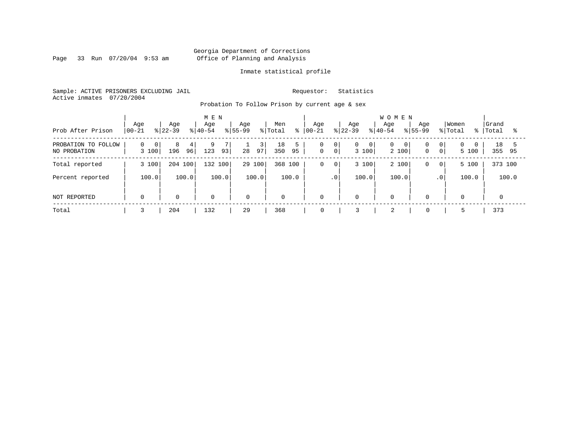Page 33 Run 07/20/04 9:53 am

## Inmate statistical profile

Sample: ACTIVE PRISONERS EXCLUDING JAIL Requestor: Statistics Active inmates 07/20/2004

Probation To Follow Prison by current age & sex

| Prob After Prison                   | Age<br>$ 00 - 21$                   | Age<br>$ 22-39 $    | M E N<br>Age<br>$ 40-54 $ | Age<br>$8155 - 99$<br>% Total | Men<br>ွေ            | Aqe<br>$ 00-21$                         | Age<br>Age<br>$8 22-39$<br>$8 40-54$         | <b>WOMEN</b><br>Age<br>$8155 - 99$                                         | Women<br>% Total<br>៖         | Grand<br>Total<br>$\sim$ $\approx$ |
|-------------------------------------|-------------------------------------|---------------------|---------------------------|-------------------------------|----------------------|-----------------------------------------|----------------------------------------------|----------------------------------------------------------------------------|-------------------------------|------------------------------------|
| PROBATION TO FOLLOW<br>NO PROBATION | $\overline{0}$<br>$\Omega$<br>3 100 | 8<br>4<br>96<br>196 | 9<br>93<br>123            | 3 I<br>28<br>97               | 5<br>18<br>350<br>95 | 0<br>0<br>$\mathbf 0$<br>0 <sup>1</sup> | $\mathbf{0}$<br>$\overline{0}$<br>0<br>3 100 | 0 <sup>1</sup><br>$\overline{0}$<br>$\mathbf 0$<br>0 <sup>1</sup><br>2 100 | $\Omega$<br>$\Omega$<br>5 100 | 18<br>355<br>95                    |
| Total reported                      | 3 100                               | 204 100             | 132 100                   | 29 100                        | 368 100              | 0<br>$\overline{0}$                     | 3 100                                        | 2 100<br>0<br>$\circ$                                                      | 5 100                         | 373 100                            |
| Percent reported                    | 100.0                               | 100.0               | 100.0                     | 100.0                         | 100.0                | $\cdot$ 0                               | 100.0                                        | 100.0<br>.0 <sup>1</sup>                                                   | 100.0                         | 100.0                              |
| NOT REPORTED                        | $\mathbf 0$                         | $\mathbf 0$         | $\mathbf 0$               | $\mathbf 0$                   | $\mathbf 0$          | 0                                       | 0<br>$\mathbf 0$                             | $\mathbf 0$                                                                | $\overline{0}$                | $\Omega$                           |
| Total                               |                                     | 204                 | 132                       | 29                            | 368                  | 0                                       | 2                                            | 0                                                                          |                               | 373                                |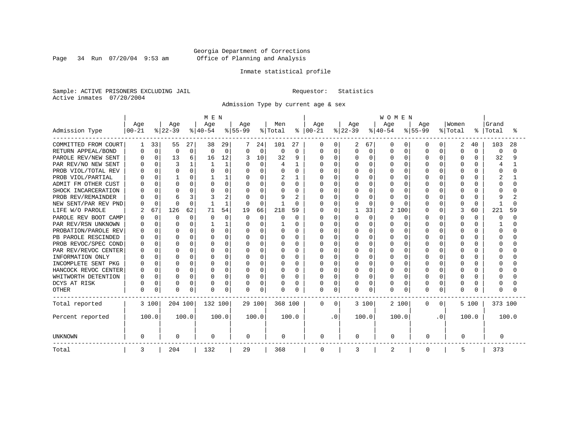Page 34 Run 07/20/04 9:53 am

## Inmate statistical profile

Sample: ACTIVE PRISONERS EXCLUDING JAIL Requestor: Statistics Active inmates 07/20/2004

Admission Type by current age & sex

|                      |                  |             |                  |          | M E N           |              |                  |          |                |                |                   |             |                  |             | <b>WOMEN</b>          |              |                  |          |                  |              |                |        |  |
|----------------------|------------------|-------------|------------------|----------|-----------------|--------------|------------------|----------|----------------|----------------|-------------------|-------------|------------------|-------------|-----------------------|--------------|------------------|----------|------------------|--------------|----------------|--------|--|
| Admission Type       | Age<br>$00 - 21$ |             | Age<br>$ 22-39 $ |          | Age<br>$ 40-54$ |              | Age<br>$8 55-99$ |          | Men<br>% Total | ွေ             | Age<br>$ 00 - 21$ |             | Age<br>$ 22-39 $ |             | Age<br>$ 40-54$       |              | Age<br>$8 55-99$ |          | Women<br>% Total | ៖            | Grand<br>Total | °      |  |
|                      |                  |             |                  |          |                 |              |                  |          |                |                |                   |             |                  |             |                       |              |                  |          |                  |              |                |        |  |
| COMMITTED FROM COURT |                  | 33          | 55               | 27       | 38              | 29           |                  | 24       | 101            | 27             | 0                 | 0           | 2                | 67          | O                     | 0            | O                | O        | 2                | 40           | 103            | 28     |  |
| RETURN APPEAL/BOND   |                  | $\mathbf 0$ | $\mathbf 0$      | 0        | $\Omega$        | $\Omega$     | $\Omega$         | $\Omega$ | $\Omega$       | $\Omega$       | <sup>0</sup>      | $\mathbf 0$ | <sup>0</sup>     | $\mathbf 0$ | O                     | $\Omega$     | $\Omega$         | O        | $\Omega$         | $\Omega$     | $\Omega$       | $\cap$ |  |
| PAROLE REV/NEW SENT  |                  | $\Omega$    | 13               | б.       | 16              | 12           |                  | 10       | 32             | 9              | $\Omega$          | 0           | N                | $\Omega$    | O                     | $\Omega$     | $\Omega$         | $\Omega$ | $\Omega$         | 0            | 32             | 9      |  |
| PAR REV/NO NEW SENT  |                  |             |                  |          |                 |              |                  | $\Omega$ | 4              |                |                   | $\Omega$    |                  | $\Omega$    | $\Omega$              | $\Omega$     | U                | O        |                  |              |                |        |  |
| PROB VIOL/TOTAL REV  |                  |             | $\Omega$         | $\Omega$ |                 | $\Omega$     | $\Omega$         | U        | O              | 0              | U                 | $\Omega$    | ი                | $\Omega$    | $\Omega$              | O            |                  | U        |                  |              |                |        |  |
| PROB VIOL/PARTIAL    |                  |             |                  | 0        |                 |              | O                | U        |                |                | U                 | $\Omega$    | Ω                | $\Omega$    | O                     | O            | U                | U        | ∩                | 0            |                |        |  |
| ADMIT FM OTHER CUST  |                  | U           | $\Omega$         | $\Omega$ |                 | $\Omega$     | $\Omega$         | $\Omega$ | O              | $\Omega$       | U                 | $\Omega$    | O                | $\Omega$    | O                     | O            | ∩                | U        | ∩                | 0            | Ω              |        |  |
| SHOCK INCARCERATION  |                  | U           | $\Omega$         | $\Omega$ |                 | O            | $\Omega$         | $\Omega$ | U              | $\Omega$       | U                 | $\Omega$    | U                | $\Omega$    | O                     | O            | U                | O        | ∩                | 0            |                |        |  |
| PROB REV/REMAINDER   |                  | $\Omega$    | 6                | 3        |                 | 2            |                  | $\Omega$ | 9              | $\overline{2}$ | በ                 | $\Omega$    | ი                | $\Omega$    | U                     | <sup>0</sup> | U                | 0        | ∩                | 0            | q              |        |  |
| NEW SENT/PAR REV PND |                  | $\Omega$    | $\Omega$         | $\Omega$ |                 | $\mathbf{1}$ | $\Omega$         | $\Omega$ |                | $\Omega$       | በ                 | $\Omega$    | ი                | $\Omega$    | U                     | ∩            | $\cap$           | 0        | $\cap$           | $\Omega$     |                |        |  |
| LIFE W/O PAROLE      |                  | 67          | 126              | 62       | 71              | 54           | 19               | 66       | 218            | 59             |                   | $\Omega$    |                  | 33          | $\overline{2}$<br>100 |              | $\Omega$         | 0        | 3                | 60           | 221            | 59     |  |
| PAROLE REV BOOT CAMP |                  | $\Omega$    | $\Omega$         | $\Omega$ | n               | $\Omega$     | $\Omega$         | $\Omega$ | O              | $\Omega$       | Ω                 | $\Omega$    | U                | $\Omega$    | U                     | $\Omega$     | U                | 0        | $\Omega$         | 0            | n              | U      |  |
| PAR REV/RSN UNKNOWN  |                  | $\Omega$    | $\Omega$         | $\Omega$ |                 |              | $\Omega$         | $\Omega$ |                | O              | በ                 | $\Omega$    | U                | $\Omega$    | U                     | $\Omega$     | U                | $\Omega$ | $\cap$           | 0            |                |        |  |
| PROBATION/PAROLE REV |                  | $\cap$      | $\Omega$         | $\Omega$ |                 | $\Omega$     | $\cap$           | U        | U              | U              | በ                 | $\Omega$    | O                | $\cap$      | U                     | $\cap$       | U                | U        | $\cap$           | <sup>n</sup> | n              |        |  |
| PB PAROLE RESCINDED  |                  | U           | $\Omega$         | $\Omega$ |                 | $\cap$       | O                | U        | U              | $\Omega$       | U                 | $\Omega$    | U                | $\Omega$    | U                     | $\cap$       | U                | U        | $\cap$           | U            | Λ              |        |  |
| PROB REVOC/SPEC COND |                  | U           | $\Omega$         | 0        |                 | U            | O                | U        | U              | U              | በ                 | $\Omega$    | ი                | $\Omega$    | U                     | $\cap$       | $\cap$           | U        | $\cap$           | U            |                |        |  |
| PAR REV/REVOC CENTER |                  | $\Omega$    | $\Omega$         | 0        |                 | O            | O                | U        | O              | O              | በ                 | $\Omega$    |                  | $\Omega$    | O                     | $\Omega$     | $\cap$           | U        |                  |              |                |        |  |
| INFORMATION ONLY     |                  |             | $\Omega$         | O        |                 | O            |                  | U        | O              | O              |                   | $\Omega$    |                  | $\Omega$    | O                     | O            |                  | U        |                  |              |                |        |  |
| INCOMPLETE SENT PKG  |                  |             | $\Omega$         | 0        |                 | O            | 0                | U        | O              | 0              | U                 | $\Omega$    | ი                | $\Omega$    | O                     | O            | $\cap$           | U        |                  | U            |                |        |  |
| HANCOCK REVOC CENTER | n                | $\Omega$    | $\Omega$         | 0        | O               | O            | $\Omega$         | $\Omega$ | O              | $\Omega$       | O                 | $\Omega$    | U                | $\Omega$    | O                     | $\Omega$     | $\cap$           | U        | $\cap$           | 0            |                |        |  |
| WHITWORTH DETENTION  |                  | $\Omega$    | $\Omega$         | 0        |                 | 0            | $\Omega$         | $\Omega$ | O              | $\Omega$       | U                 | $\Omega$    | U                | $\Omega$    | O                     | $\Omega$     | $\cap$           | $\Omega$ | $\cap$           | 0            |                |        |  |
| DCYS AT RISK         |                  | $\Omega$    | $\Omega$         | 0        |                 | 0            | O                | 0        | O              | O              | <sup>0</sup>      | 0           | 0                | $\Omega$    | O                     | $\Omega$     | U                | 0        | ∩                | 0            |                |        |  |
| <b>OTHER</b>         | <sup>0</sup>     | 0           | $\Omega$         | 0        | $\cap$          | 0            | 0                | 0        | $\Omega$       | O              | 0                 | 0           | <sup>0</sup>     | 0           | O                     | 0            | $\cap$           | 0        | $\Omega$         | 0            | Ω              |        |  |
| Total reported       |                  | 3 100       | 204 100          |          | 132 100         |              |                  | 29 100   | 368 100        |                | 0                 | $\Omega$    |                  | 3 100       | 2 100                 |              | 0                | 0        |                  | 5 100        | 373 100        |        |  |
| Percent reported     |                  | 100.0       |                  | 100.0    |                 | 100.0        |                  | 100.0    |                | 100.0          |                   | . 0         |                  | 100.0       | 100.0                 |              |                  | . 0      |                  | 100.0        |                | 100.0  |  |
| <b>UNKNOWN</b>       | 0                |             | 0                |          | 0               |              | $\mathbf 0$      |          | 0              |                | 0                 |             | 0                |             | 0                     |              | 0                |          | 0                |              | 0              |        |  |
| Total                | 3                |             | 204              |          | 132             |              | 29               |          | 368            |                | 0                 |             | 3                |             | $\overline{2}$        |              | 0                |          | 5                |              | 373            |        |  |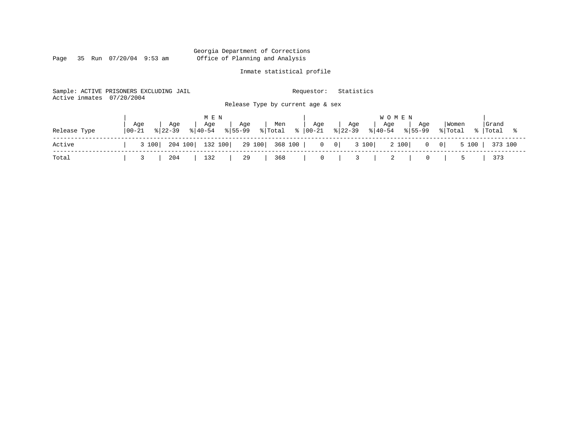Page 35 Run 07/20/04 9:53 am

## Inmate statistical profile

Sample: ACTIVE PRISONERS EXCLUDING JAIL Requestor: Statistics Active inmates 07/20/2004 Release Type by current age & sex

|              |                   |                    | MEN |                |                                                            |                    |         | <b>WOMEN</b>                                                                                                                                                           |                          |       |
|--------------|-------------------|--------------------|-----|----------------|------------------------------------------------------------|--------------------|---------|------------------------------------------------------------------------------------------------------------------------------------------------------------------------|--------------------------|-------|
| Release Type | Age<br>$100 - 21$ | Age<br>$8122 - 39$ | Age | Age            | , Men                                                      | $\overline{a}$ Age | Age     | Age<br>Aqe<br>$\frac{1}{2}$ (40-54 $\frac{1}{2}$   55-99 $\frac{1}{2}$   Total $\frac{1}{2}$   00-21 $\frac{1}{2}$   22-39 $\frac{1}{2}$   40-54 $\frac{1}{2}$   55-99 | Women<br>% Total % Total | Grand |
| Active       | 3 100             |                    |     |                |                                                            |                    |         | 204 100   132 100   29 100   368 100   0 0   0 3 100   2 100   0 0   5 100   373 100                                                                                   |                          |       |
| Total        | $\frac{3}{2}$     |                    |     | 204   132   29 | $\begin{array}{ c c c c c } \hline \text{368} \end{array}$ |                    | 0 3 2 1 |                                                                                                                                                                        | 0   5   373              |       |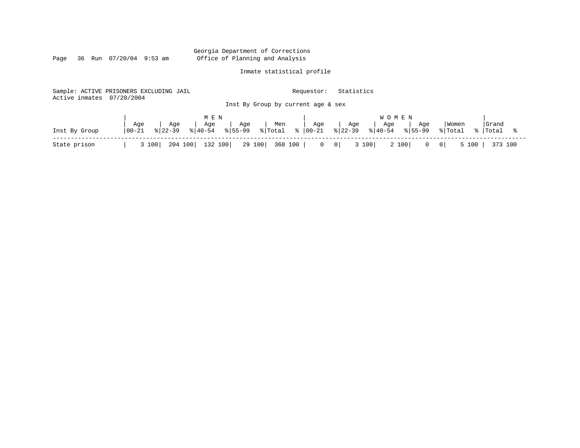Page 36 Run 07/20/04 9:53 am

## Inmate statistical profile

|                           | Sample: ACTIVE PRISONERS EXCLUDING JAIL |                                       | Requestor:               | Statistics                            |                                        |
|---------------------------|-----------------------------------------|---------------------------------------|--------------------------|---------------------------------------|----------------------------------------|
| Active inmates 07/20/2004 |                                         |                                       |                          |                                       |                                        |
|                           |                                         | Inst By Group by current age & sex    |                          |                                       |                                        |
|                           |                                         | MEN                                   |                          | <b>WOMEN</b>                          |                                        |
|                           | Age<br>Age                              | Age<br>Age<br>Men                     | Age                      | Age<br>Age<br>Age                     | Grand<br>Women                         |
| Inst By Group             | 00-21<br>$8122 - 39$                    | % Total<br>$8155 - 99$<br>$8140 - 54$ | $\frac{1}{6}$   00-21    | $ 22-39 $<br>$8 40-54$<br>$8155 - 99$ | % Total<br>%   Total                   |
| State prison              | 204 100<br>3 100                        | 132 100<br>29 100                     | 368 100  <br>$0 \quad 0$ | 2 100<br>3 100<br>$\mathbf{0}$        | $5 100$  <br>373 100<br>$\overline{0}$ |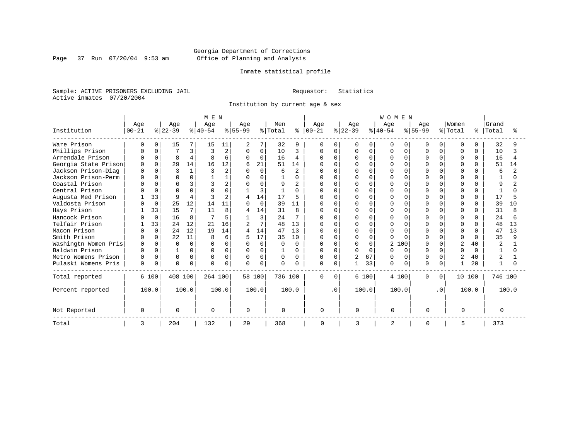Page 37 Run 07/20/04 9:53 am

## Inmate statistical profile

Sample: ACTIVE PRISONERS EXCLUDING JAIL Requestor: Statistics Active inmates 07/20/2004

Institution by current age & sex

|                      |              |          |              |          | M E N    |                |           |          |              |                |               |              |           |          | <b>WOMEN</b>   |          |              |           |               |              |                |       |
|----------------------|--------------|----------|--------------|----------|----------|----------------|-----------|----------|--------------|----------------|---------------|--------------|-----------|----------|----------------|----------|--------------|-----------|---------------|--------------|----------------|-------|
|                      | Age          |          | Age          |          | Age      |                | Age       |          | Men          |                | Age           |              | Age       |          | Age            |          | Age          |           | Women         |              | Grand          |       |
| Institution          | $ 00 - 21$   |          | $ 22-39 $    |          | $ 40-54$ |                | $ 55-99 $ |          | % Total      |                | $8   00 - 21$ |              | $ 22-39 $ |          | $ 40-54$       |          | $8155 - 99$  |           | % Total       | ႜ            | Total          |       |
| Ware Prison          | n            | $\Omega$ | 15           |          | 15       | 11             | 2         | 7        | 32           | 9              | $\Omega$      | O            | O         | $\Omega$ | O              | O        | U            | 0         | $\Omega$      | 0            | 32             |       |
| Phillips Prison      |              |          |              | 3        |          | 2              | 0         | $\Omega$ | 10           | 3              | 0             | $\cap$       | በ         | $\Omega$ | U              | $\Omega$ |              |           | $\Omega$      | $\Omega$     | 10             |       |
| Arrendale Prison     |              | $\cap$   | $\mathsf{R}$ | 4        | Я        | 6              | $\Omega$  | $\Omega$ | 16           | 4              | $\Omega$      | <sup>n</sup> | O         | $\Omega$ | U              | $\Omega$ | U            | $\cap$    | $\Omega$      | $\Omega$     | 16             |       |
| Georgia State Prison | <sup>0</sup> |          | 29           | 14       | 16       | 12             | б         | 21       | 51           | 14             |               |              |           | $\Omega$ |                | $\cap$   | $\cap$       |           | $\Omega$      | 0            | 51             | 14    |
| Jackson Prison-Diag  |              |          | 3            | 1        |          | $\overline{2}$ | $\Omega$  | $\Omega$ | 6            | $\overline{2}$ |               |              |           | $\Omega$ |                | $\Omega$ |              |           | $\Omega$      |              | 6              |       |
| Jackson Prison-Perm  |              | $\cap$   | O            | 0        |          |                | O         | U        |              | $\Omega$       | N             | $\cap$       |           | $\Omega$ |                | $\Omega$ | $\cap$       |           | $\Omega$      |              |                |       |
| Coastal Prison       |              |          | 6            | 3        |          |                | U         | U        | q            |                | U             |              |           | $\Omega$ |                | U        | $\cap$       |           | $\Omega$      |              | q              |       |
| Central Prison       |              | $\cap$   | $\cap$       | $\Omega$ |          |                |           | 3        |              | U              |               |              |           | $\Omega$ |                | ∩        |              |           | $\Omega$      | <sup>n</sup> |                |       |
| Augusta Med Prison   |              | 33       | q            | 4        |          | $\overline{2}$ |           | 14       | 17           | 5              |               |              |           | $\Omega$ |                | $\Omega$ |              |           | $\Omega$      | $\cap$       | 17             |       |
| Valdosta Prison      |              | $\Omega$ | 25           | 12       | 14       | 11             | U         | $\Omega$ | 39           | 11             | $\cap$        | $\cap$       | U         | $\Omega$ |                | $\Omega$ |              |           | $\Omega$      | <sup>n</sup> | 39             | 10    |
| Hays Prison          |              | 33       | 15           | 7        | 11       | 8              |           | 14       | 31           | 8              | Ω             | $\Omega$     | N         | $\Omega$ |                | $\Omega$ | $\cap$       |           | $\Omega$      | 0            | 31             |       |
| Hancock Prison       |              | $\Omega$ | 16           | 8        |          | 5              |           | 3        | 24           | 7              | <sup>0</sup>  | $\Omega$     | ი         | $\Omega$ |                | $\Omega$ | <sup>0</sup> |           | $\Omega$      | $\Omega$     | 24             |       |
| Telfair Prison       |              | 33       | 24           | 12       | 21       | 16             |           | 7        | 48           | 13             | O             | $\Omega$     |           | $\Omega$ |                | n        | U            |           | $\Omega$      | <sup>n</sup> | 48             | 13    |
| Macon Prison         |              | $\Omega$ | 24           | 12       | 19       | 14             | 4         | 14       | 47           | 13             | U             | $\Omega$     |           | $\Omega$ |                | ∩        |              |           | $\Omega$      | $\Omega$     | 47             | 13    |
| Smith Prison         |              | $\Omega$ | 22           | 11       | 8        | б.             |           | 17       | 35           | 10             |               | $\Omega$     | N         | $\Omega$ |                | $\cap$   |              |           | $\cap$        | $\Omega$     | 35             |       |
| Washingtn Women Pris | $\Omega$     | $\Omega$ | $\cap$       | $\Omega$ | U        | $\Omega$       | $\Omega$  | $\Omega$ | $\Omega$     | $\Omega$       | U             | $\Omega$     | O         | $\Omega$ | $\overline{a}$ | 100      | $\cap$       | $\cap$    |               | 40           | $\overline{a}$ |       |
| Baldwin Prison       |              |          |              | 0        | $\cap$   | 0              | $\Omega$  | $\Omega$ |              | 0              | $\Omega$      | <sup>n</sup> | O         | $\Omega$ |                | $\Omega$ |              |           | $\cap$        | $\cap$       |                |       |
| Metro Womens Prison  |              | $\Omega$ | $\Omega$     | 0        |          | 0              | $\Omega$  | $\Omega$ | <sup>0</sup> | 0              | 0             | $\Omega$     | 2         | 67       |                | $\Omega$ | <sup>0</sup> | O.        | $\mathcal{D}$ | 40           | $\overline{a}$ |       |
| Pulaski Womens Pris  | $\Omega$     | $\Omega$ | $\Omega$     | $\Omega$ | $\Omega$ | 0              | $\Omega$  | $\Omega$ | $\Omega$     | O              | $\Omega$      | $\Omega$     |           | 33       | 0              | $\Omega$ | U            | $\Omega$  |               | 20           | $\mathbf{1}$   |       |
| Total reported       |              | 6 100    | 408 100      |          | 264 100  |                |           | 58 100   | 736 100      |                | $\mathbf 0$   | $\Omega$     |           | 6 100    | 4 100          |          | $\Omega$     | 0         | 10 100        |              | 746 100        |       |
| Percent reported     |              | 100.0    |              | 100.0    |          | 100.0          |           | 100.0    |              | 100.0          |               | $\cdot$ 0    |           | 100.0    | 100.0          |          |              | $\cdot$ 0 |               | 100.0        |                | 100.0 |
| Not Reported         | $\Omega$     |          | ∩            |          | $\Omega$ |                | $\cap$    |          | $\Omega$     |                | 0             |              | U         |          | $\Omega$       |          | $\cap$       |           | $\cap$        |              | $\Omega$       |       |
| Total                | 3            |          | 204          |          | 132      |                | 29        |          | 368          |                | 0             |              | 3         |          | 2              |          | 0            |           | 5             |              | 373            |       |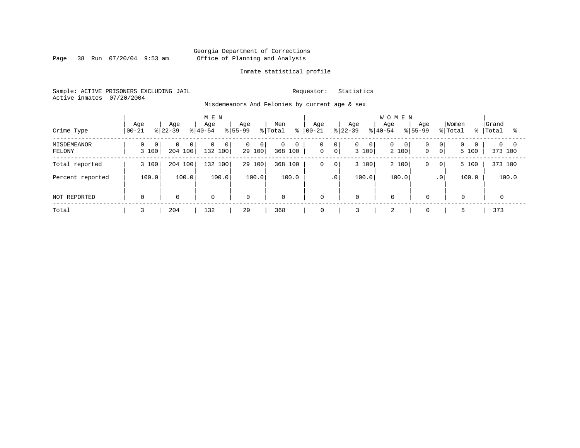Page 38 Run 07/20/04 9:53 am

## Inmate statistical profile

Sample: ACTIVE PRISONERS EXCLUDING JAIL Requestor: Statistics Active inmates 07/20/2004

Misdemeanors And Felonies by current age & sex

| Crime Type            | Age<br>$ 00-21$ | Age<br>$8122 - 39$                    | M E N<br>Age<br>$8 40-54$ | Age<br>$ 55-99 $              | Men<br>% Total               | Age<br>$8   00 - 21$                                 | Age<br>$ 22-39 $                      | <b>WOMEN</b><br>Age<br>Age<br>$8 40-54$<br>$8155 - 99$ | Women<br>% Total                                      | Grand<br>%   Total     |
|-----------------------|-----------------|---------------------------------------|---------------------------|-------------------------------|------------------------------|------------------------------------------------------|---------------------------------------|--------------------------------------------------------|-------------------------------------------------------|------------------------|
| MISDEMEANOR<br>FELONY | 0 <br>3 100     | $\Omega$<br>0 <sup>1</sup><br>204 100 | 0<br>0<br>132 100         | 0<br>$\overline{0}$<br>29 100 | $\mathbf{0}$<br>0<br>368 100 | 0<br>0 <sup>1</sup><br>$\mathbf 0$<br>0 <sup>1</sup> | $\mathbf{0}$<br>$\mathbf{0}$<br>3 100 | 0<br>0<br>0<br>2 100<br>$\mathbf 0$                    | $\overline{0}$<br>$\Omega$<br>0 <sup>1</sup><br>5 100 | $0 \quad 0$<br>373 100 |
| Total reported        | 3 100           | 204 100                               | 132 100                   | 29 100                        | 368 100                      | $\mathbf 0$<br>0 <sup>1</sup>                        | 3 100                                 | 2 100<br>$\mathbf 0$                                   | 5 100<br>0 <sup>1</sup>                               | 373 100                |
| Percent reported      | 100.0           | 100.0                                 | 100.0                     | 100.0                         | 100.0                        | .0 <sup>1</sup>                                      | 100.0                                 | 100.0                                                  | 100.0<br>$\cdot$ 0                                    | 100.0                  |
| NOT REPORTED          | $\Omega$        | $\mathbf 0$                           | $\mathbf 0$               | $\mathbf 0$                   | $\mathbf 0$                  | 0                                                    | 0                                     | $\mathbf 0$<br>$\Omega$                                | $\Omega$                                              | $\Omega$               |
| Total                 |                 | 204                                   | 132                       | 29                            | 368                          | 0                                                    |                                       | $\overline{2}$<br>$\mathbf 0$                          |                                                       | 373                    |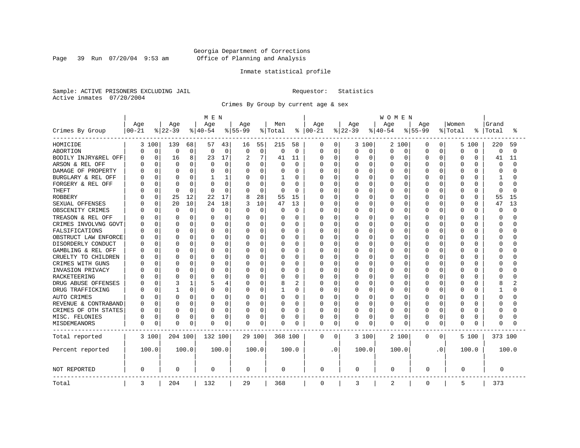Page 39 Run 07/20/04 9:53 am

## Inmate statistical profile

Sample: ACTIVE PRISONERS EXCLUDING JAIL Requestor: Statistics Active inmates 07/20/2004

Crimes By Group by current age & sex

|                      | MEN              |             |                 |       |                 |             |                  |          |                |                |                   | <b>WOMEN</b> |                 |          |                 |          |                  |                |                  |          |                |          |  |
|----------------------|------------------|-------------|-----------------|-------|-----------------|-------------|------------------|----------|----------------|----------------|-------------------|--------------|-----------------|----------|-----------------|----------|------------------|----------------|------------------|----------|----------------|----------|--|
| Crimes By Group      | Age<br>$00 - 21$ |             | Age<br>$ 22-39$ |       | Age<br>$ 40-54$ |             | Age<br>$8 55-99$ |          | Men<br>% Total | ႜ              | Age<br>$ 00 - 21$ |              | Age<br>$ 22-39$ |          | Age<br>$ 40-54$ |          | Age<br>$8 55-99$ |                | Women<br>% Total | °        | Grand<br>Total | °        |  |
|                      |                  |             |                 |       |                 |             |                  |          |                |                |                   |              |                 |          |                 |          |                  |                |                  |          |                |          |  |
| HOMICIDE             |                  | 3 100       | 139             | 68    | 57              | 43          | 16               | 55       | 215            | 58             | 0                 | 0            |                 | 3 100    | 2 100           |          | 0                | 0              | 5                | 100      | 220            | 59       |  |
| ABORTION             | 0                | $\mathbf 0$ | 0               | 0     | 0               | 0           | $\mathbf 0$      | 0        | $\Omega$       | $\mathbf 0$    | 0                 | $\mathbf 0$  | 0               | 0        | 0               | 0        | $\Omega$         | 0              | $\Omega$         | 0        | 0              | $\Omega$ |  |
| BODILY INJRY&REL OFF | U                | 0           | 16              | 8     | 23              | 17          | 2                | 7        | 41             | 11             | 0                 | 0            | 0               | 0        | 0               | 0        | 0                | $\Omega$       | $\Omega$         | 0        | 41             | 11       |  |
| ARSON & REL OFF      |                  | 0           | $\Omega$        | 0     | 0               | 0           | $\Omega$         | 0        |                | 0              | Ω                 | 0            | C               | 0        | 0               | $\Omega$ | $\Omega$         | O              | $\Omega$         | O        | 0              | $\cap$   |  |
| DAMAGE OF PROPERTY   |                  | $\Omega$    | <sup>0</sup>    | 0     |                 | $\Omega$    | $\Omega$         | 0        |                | $\Omega$       | Ω                 | 0            | U               | $\Omega$ | O               | $\Omega$ | $\Omega$         | U              | $\Omega$         | $\cap$   | $\Omega$       |          |  |
| BURGLARY & REL OFF   |                  | $\Omega$    | $\Omega$        | 0     |                 | 1           | $\Omega$         | 0        |                | $\Omega$       | Ω                 | 0            | 0               | $\Omega$ | 0               | 0        | $\Omega$         | 0              | $\Omega$         | $\Omega$ | 1              |          |  |
| FORGERY & REL OFF    |                  | 0           | C               | O     |                 | 0           | $\Omega$         | 0        | $\Omega$       | 0              | Ω                 | $\mathbf 0$  | C               | $\Omega$ | 0               | $\Omega$ | $\Omega$         | O              | $\Omega$         | $\Omega$ | $\Omega$       |          |  |
| <b>THEFT</b>         |                  | 0           | $\Omega$        | 0     | $\Omega$        | $\mathbf 0$ | $\Omega$         | 0        | $\Omega$       | 0              | Ω                 | 0            | U               | $\Omega$ | O               | $\Omega$ | $\Omega$         | 0              | $\Omega$         | $\Omega$ | $\Omega$       | n        |  |
| <b>ROBBERY</b>       |                  | 0           | 25              | 12    | 22              | 17          | 8                | 28       | 55             | 15             | 0                 | 0            | Ω               | $\Omega$ | 0               | $\Omega$ | $\Omega$         | O              | $\Omega$         | $\Omega$ | 55             | 15       |  |
| SEXUAL OFFENSES      |                  | 0           | 20              | 10    | 24              | 18          |                  | 10       | 47             | 13             | 0                 | 0            | O               | $\Omega$ | O               | 0        | $\Omega$         | U              | $\Omega$         | $\Omega$ | 47             | 13       |  |
| OBSCENITY CRIMES     |                  | 0           | 0               | 0     | $\Omega$        | 0           | 0                | 0        | $\Omega$       | 0              | Ω                 | 0            | 0               | $\Omega$ | 0               | 0        | $\Omega$         | 0              | $\Omega$         | $\Omega$ | $\Omega$       | $\cap$   |  |
| TREASON & REL OFF    |                  | $\Omega$    | <sup>0</sup>    | O     | O               | $\Omega$    | O                | $\Omega$ | $\left($       | $\Omega$       | Ω                 | $\mathbf 0$  | 0               | $\Omega$ | 0               | 0        | O                | 0              | $\Omega$         | O        | ∩              |          |  |
| CRIMES INVOLVNG GOVT |                  | 0           | $\bigcap$       | 0     |                 | 0           | 0                | 0        |                | $\Omega$       | Ω                 | $\mathbf 0$  | C               | $\Omega$ | $\Omega$        | $\Omega$ | $\Omega$         | O              | $\Omega$         | O        | $\Omega$       |          |  |
| FALSIFICATIONS       |                  | $\Omega$    | <sup>0</sup>    | 0     | O               | $\Omega$    | O                | $\Omega$ | $\Omega$       | $\Omega$       | Ω                 | 0            | U               | $\Omega$ | O               | $\Omega$ | $\Omega$         | 0              | $\Omega$         | O        | ∩              |          |  |
| OBSTRUCT LAW ENFORCE |                  | $\Omega$    | C               | 0     | O               | $\Omega$    | O                | O        | O              | $\Omega$       | Ω                 | 0            | C               | $\Omega$ | 0               | $\Omega$ | $\Omega$         | O              | $\Omega$         | O        | ∩              |          |  |
| DISORDERLY CONDUCT   |                  | $\Omega$    | C               | 0     |                 | $\Omega$    | O                | O        |                | $\Omega$       | Ω                 | 0            | U               | $\Omega$ | O               | $\Omega$ | $\Omega$         | U              | $\Omega$         | U        | C              |          |  |
| GAMBLING & REL OFF   |                  | $\Omega$    | $\Omega$        | O     | O               | $\Omega$    | O                | $\Omega$ | O              | $\Omega$       | Ω                 | $\mathbf 0$  | U               | $\Omega$ | 0               | $\Omega$ | $\Omega$         | 0              | $\Omega$         | O        | ∩              |          |  |
| CRUELTY TO CHILDREN  |                  | $\Omega$    | <sup>0</sup>    | 0     |                 | 0           | O                | 0        |                | $\Omega$       |                   | $\mathbf 0$  | U               | $\Omega$ | 0               | $\Omega$ | $\Omega$         | 0              | $\Omega$         | O        | ∩              |          |  |
| CRIMES WITH GUNS     |                  | $\Omega$    | C               | O     |                 | $\Omega$    | $\Omega$         | O        |                | $\Omega$       | Ω                 | $\mathbf 0$  | U               | $\Omega$ | 0               | $\Omega$ | $\Omega$         | O              | $\Omega$         | $\Omega$ | ∩              |          |  |
| INVASION PRIVACY     |                  | $\Omega$    | C               | 0     | O               | 0           | O                | 0        | O              | $\Omega$       | Ω                 | 0            | O               | $\Omega$ | O               | $\Omega$ | $\Omega$         | O              | $\Omega$         | O        | ∩              |          |  |
| RACKETEERING         |                  | O           | C               | 0     |                 | $\Omega$    | O                | 0        |                | 0              | Ω                 | $\mathbf 0$  | C               | $\Omega$ | $\Omega$        | O        | O                | O              | $\Omega$         | O        | C              |          |  |
| DRUG ABUSE OFFENSES  |                  | $\Omega$    | 3               | 1     |                 | 4           | O                | $\Omega$ | 8              | $\overline{c}$ | Ω                 | 0            | O               | $\Omega$ | 0               | $\Omega$ | $\Omega$         | $\Omega$       | $\Omega$         | O        | 8              |          |  |
| DRUG TRAFFICKING     |                  | $\Omega$    |                 | 0     | O               | 0           | O                | 0        |                | $\Omega$       | Ω                 | $\mathbf 0$  | 0               | $\Omega$ | 0               | 0        | $\Omega$         | 0              | $\Omega$         | O        |                |          |  |
| AUTO CRIMES          |                  | 0           | 0               | 0     | O               | 0           | 0                | 0        | 0              | 0              | Ω                 | $\mathbf 0$  | 0               | 0        | 0               | 0        | 0                | 0              | 0                | O        | $\Omega$       |          |  |
| REVENUE & CONTRABAND |                  | 0           | C               | 0     | O               | 0           | 0                | 0        |                | $\Omega$       | Ω                 | 0            | 0               | 0        | O               | 0        | $\Omega$         | 0              | $\Omega$         | O        | ∩              |          |  |
| CRIMES OF OTH STATES | U                | 0           | 0               | 0     | O               | 0           | 0                | 0        | $\Omega$       | 0              | 0                 | 0            | 0               | 0        | 0               | 0        | O                | 0              | 0                | $\Omega$ | ∩              |          |  |
| MISC. FELONIES       | 0                | 0           | 0               | 0     |                 | 0           | 0                | 0        | 0              | 0              | 0                 | 0            | 0               | 0        | 0               | 0        | 0                | 0              | 0                | 0        | $\Omega$       |          |  |
| MISDEMEANORS         | 0                | 0           | <sup>0</sup>    | 0     | 0               | 0           | 0                | 0        | 0              | 0              | 0                 | 0            | 0               | 0        | 0               | 0        | $\Omega$         | 0              | $\Omega$         | O        | 0              |          |  |
| Total reported       |                  | 3 100       | 204 100         |       | 132 100         |             |                  | 29 100   | 368 100        |                | 0                 | 0            |                 | 3 100    | 2 100           |          | 0                | $\overline{0}$ |                  | 5 100    | 373 100        |          |  |
| Percent reported     |                  | 100.0       |                 | 100.0 |                 | 100.0       |                  | 100.0    |                | 100.0          |                   | . 0          |                 | 100.0    | 100.0           |          |                  | $\cdot$ 0      |                  | 100.0    |                | 100.0    |  |
| NOT REPORTED         | 0                |             | $\Omega$        |       | 0               |             | 0                |          | 0              |                | 0                 |              | 0               |          | 0               |          | 0                |                | 0                |          | 0              |          |  |
| Total                | 3                |             | 204             |       | 132             |             | 29               |          | 368            |                | $\mathbf 0$       |              | 3               |          | $\overline{2}$  |          | $\mathbf 0$      |                | 5                |          | 373            |          |  |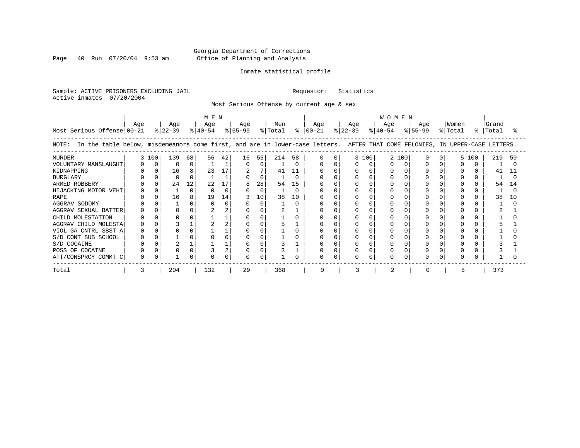Page 40 Run  $07/20/04$  9:53 am

## Inmate statistical profile

Sample: ACTIVE PRISONERS EXCLUDING JAIL Requestor: Statistics Active inmates 07/20/2004

Most Serious Offense by current age & sex

| Most Serious Offense 00-21                                                                                                            | Age |          | Age<br>$ 22-39 $ |    | MEN<br>Age<br>୫∣40-54 |              | Age<br>% 55-99 |          | Men<br>% Total |          | Age<br>$8   00 - 21$ | Age<br>$ 22-39 $ |       | <b>WOMEN</b><br>Age<br>$ 40-54 $ |     | Age<br>% 55-99 | Women<br>% Total | $\approx$ 1 | Grand<br>Total |     |
|---------------------------------------------------------------------------------------------------------------------------------------|-----|----------|------------------|----|-----------------------|--------------|----------------|----------|----------------|----------|----------------------|------------------|-------|----------------------------------|-----|----------------|------------------|-------------|----------------|-----|
| In the table below, misdemeanors come first, and are in lower-case letters. AFTER THAT COME FELONIES, IN UPPER-CASE LETTERS.<br>NOTE: |     |          |                  |    |                       |              |                |          |                |          |                      |                  |       |                                  |     |                |                  |             |                |     |
| <b>MURDER</b>                                                                                                                         |     | 3 100    | 139              | 68 | 56                    | 42           | 16             | 55       | 214            | 58       |                      |                  | 3 100 |                                  | 100 |                |                  | 5 100       | 219            | 59  |
| VOLUNTARY MANSLAUGHT                                                                                                                  |     | $\Omega$ | $\Omega$         |    |                       |              | $\Omega$       | $\Omega$ |                | $\Omega$ |                      |                  |       |                                  |     |                |                  |             |                |     |
| KIDNAPPING                                                                                                                            |     |          | 16               | 8  | 23                    | 17           |                |          | 41             | 11       |                      |                  |       |                                  |     |                |                  |             | 41             |     |
| <b>BURGLARY</b>                                                                                                                       |     |          |                  |    |                       |              |                | $\Omega$ |                | U        |                      |                  |       |                                  |     |                |                  |             |                |     |
| ARMED ROBBERY                                                                                                                         |     |          | 24               | 12 | 22                    | 17           |                | 28       | 54             | 15       |                      |                  |       |                                  |     |                |                  |             | 54             | 14  |
| HIJACKING MOTOR VEHI                                                                                                                  |     |          |                  |    |                       | <sup>0</sup> |                | 0        |                | U        |                      |                  |       |                                  |     |                |                  |             |                |     |
| <b>RAPE</b>                                                                                                                           |     |          | 16               | 8  | 19                    | 14           |                | 10       | 38             | 10       |                      |                  |       |                                  |     |                |                  |             | 38             | 1 O |
| AGGRAV SODOMY                                                                                                                         |     |          |                  |    |                       | U            |                |          |                | n        |                      |                  |       |                                  |     |                |                  |             |                |     |
| AGGRAV SEXUAL BATTER                                                                                                                  |     |          |                  |    |                       |              |                |          |                |          |                      |                  |       |                                  |     |                |                  |             |                |     |
| CHILD MOLESTATION                                                                                                                     |     |          |                  |    |                       |              |                |          |                |          |                      |                  |       |                                  |     |                |                  |             |                |     |
| AGGRAV CHILD MOLESTA                                                                                                                  |     |          |                  |    |                       |              |                |          |                |          |                      |                  |       |                                  |     |                |                  |             |                |     |
| VIOL GA CNTRL SBST A                                                                                                                  |     |          |                  |    |                       |              |                |          |                |          |                      |                  |       |                                  |     |                |                  |             |                |     |
| S/D CONT SUB SCHOOL                                                                                                                   |     |          |                  |    |                       |              |                |          |                |          |                      |                  |       |                                  |     |                |                  |             |                |     |
| S/D COCAINE                                                                                                                           |     |          |                  |    |                       |              |                |          |                |          |                      |                  |       |                                  |     |                |                  |             |                |     |
| POSS OF COCAINE                                                                                                                       |     |          |                  |    |                       |              |                |          |                |          |                      |                  |       |                                  |     |                |                  |             |                |     |
| ATT/CONSPRCY COMMT C                                                                                                                  |     |          |                  |    |                       |              |                |          |                |          | O                    |                  |       |                                  |     |                |                  |             |                |     |
| Total                                                                                                                                 |     |          | 204              |    | 132                   |              | 29             |          | 368            |          | $\Omega$             |                  |       |                                  |     |                |                  |             | 373            |     |